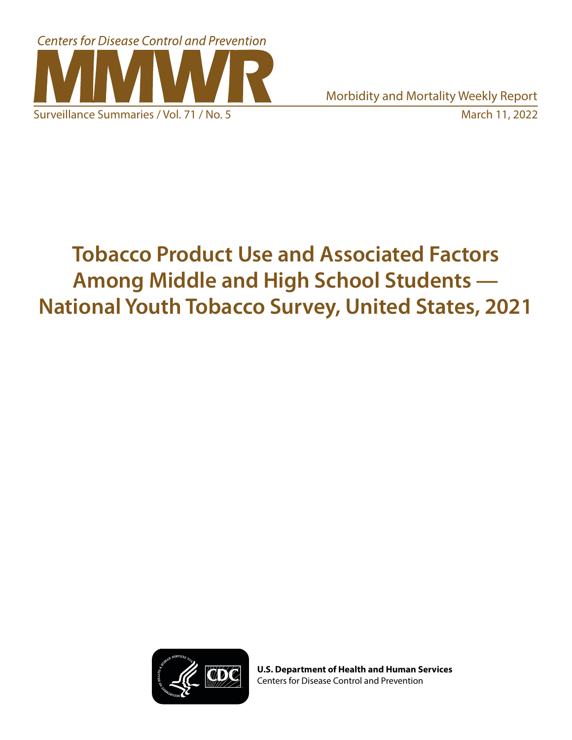

# **Tobacco Product Use and Associated Factors Among Middle and High School Students — National Youth Tobacco Survey, United States, 2021**



**U.S. Department of Health and Human Services** Centers for Disease Control and Prevention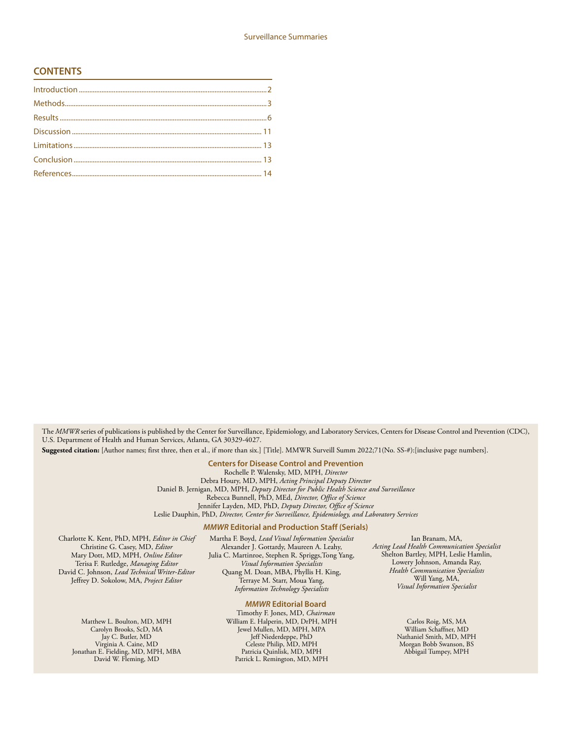#### **CONTENTS**

The *MMWR* series of publications is published by the Center for Surveillance, Epidemiology, and Laboratory Services, Centers for Disease Control and Prevention (CDC), U.S. Department of Health and Human Services, Atlanta, GA 30329-4027.

**Suggested citation:** [Author names; first three, then et al., if more than six.] [Title]. MMWR Surveill Summ 2022;71(No. SS-#):[inclusive page numbers].

**Centers for Disease Control and Prevention** Rochelle P. Walensky, MD, MPH, *Director* Debra Houry, MD, MPH, *Acting Principal Deputy Director* Daniel B. Jernigan, MD, MPH, *Deputy Director for Public Health Science and Surveillance* Rebecca Bunnell, PhD, MEd, *Director, Office of Science* Jennifer Layden, MD, PhD, *Deputy Director, Office of Science* Leslie Dauphin, PhD, *Director, Center for Surveillance, Epidemiology, and Laboratory Services*

#### *MMWR* **Editorial and Production Staff (Serials)**

Charlotte K. Kent, PhD, MPH, *Editor in Chief* Christine G. Casey, MD, *Editor* Mary Dott, MD, MPH, *Online Editor* Terisa F. Rutledge, *Managing Editor* David C. Johnson, *Lead Technical Writer-Editor* Jeffrey D. Sokolow, MA, *Project Editor*

> Matthew L. Boulton, MD, MPH Carolyn Brooks, ScD, MA Jay C. Butler, MD Virginia A. Caine, MD Jonathan E. Fielding, MD, MPH, MBA David W. Fleming, MD

Martha F. Boyd, *Lead Visual Information Specialist* Alexander J. Gottardy, Maureen A. Leahy, Julia C. Martinroe, Stephen R. Spriggs,Tong Yang, *Visual Information Specialists* Quang M. Doan, MBA, Phyllis H. King, Terraye M. Starr, Moua Yang, *Information Technology Specialists*

#### *MMWR* **Editorial Board**

Timothy F. Jones, MD, *Chairman* William E. Halperin, MD, DrPH, MPH Jewel Mullen, MD, MPH, MPA Jeff Niederdeppe, PhD Celeste Philip, MD, MPH Patricia Quinlisk, MD, MPH Patrick L. Remington, MD, MPH

Ian Branam, MA, *Acting Lead Health Communication Specialist* Shelton Bartley, MPH, Leslie Hamlin, Lowery Johnson, Amanda Ray, *Health Communication Specialists* Will Yang, MA, *Visual Information Specialist*

> Carlos Roig, MS, MA William Schaffner, MD Nathaniel Smith, MD, MPH Morgan Bobb Swanson, BS Abbigail Tumpey, MPH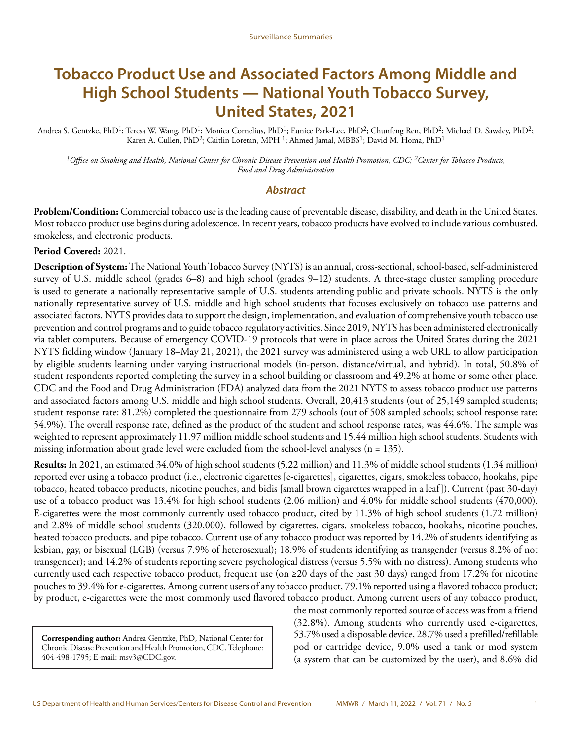# **Tobacco Product Use and Associated Factors Among Middle and High School Students — National Youth Tobacco Survey, United States, 2021**

Andrea S. Gentzke, PhD<sup>1</sup>; Teresa W. Wang, PhD<sup>1</sup>; Monica Cornelius, PhD<sup>1</sup>; Eunice Park-Lee, PhD<sup>2</sup>; Chunfeng Ren, PhD<sup>2</sup>; Michael D. Sawdey, PhD<sup>2</sup>; Karen A. Cullen, PhD<sup>2</sup>; Caitlin Loretan, MPH<sup>1</sup>; Ahmed Jamal, MBBS<sup>1</sup>; David M. Homa, PhD<sup>1</sup>

*1Office on Smoking and Health, National Center for Chronic Disease Prevention and Health Promotion, CDC; 2Center for Tobacco Products, Food and Drug Administration*

#### *Abstract*

**Problem/Condition:** Commercial tobacco use is the leading cause of preventable disease, disability, and death in the United States. Most tobacco product use begins during adolescence. In recent years, tobacco products have evolved to include various combusted, smokeless, and electronic products.

#### **Period Covered:** 2021.

**Description of System:** The National Youth Tobacco Survey (NYTS) is an annual, cross-sectional, school-based, self-administered survey of U.S. middle school (grades 6–8) and high school (grades 9–12) students. A three-stage cluster sampling procedure is used to generate a nationally representative sample of U.S. students attending public and private schools. NYTS is the only nationally representative survey of U.S. middle and high school students that focuses exclusively on tobacco use patterns and associated factors. NYTS provides data to support the design, implementation, and evaluation of comprehensive youth tobacco use prevention and control programs and to guide tobacco regulatory activities. Since 2019, NYTS has been administered electronically via tablet computers. Because of emergency COVID-19 protocols that were in place across the United States during the 2021 NYTS fielding window (January 18–May 21, 2021), the 2021 survey was administered using a web URL to allow participation by eligible students learning under varying instructional models (in-person, distance/virtual, and hybrid). In total, 50.8% of student respondents reported completing the survey in a school building or classroom and 49.2% at home or some other place. CDC and the Food and Drug Administration (FDA) analyzed data from the 2021 NYTS to assess tobacco product use patterns and associated factors among U.S. middle and high school students. Overall, 20,413 students (out of 25,149 sampled students; student response rate: 81.2%) completed the questionnaire from 279 schools (out of 508 sampled schools; school response rate: 54.9%). The overall response rate, defined as the product of the student and school response rates, was 44.6%. The sample was weighted to represent approximately 11.97 million middle school students and 15.44 million high school students. Students with missing information about grade level were excluded from the school-level analyses ( $n = 135$ ).

**Results:** In 2021, an estimated 34.0% of high school students (5.22 million) and 11.3% of middle school students (1.34 million) reported ever using a tobacco product (i.e., electronic cigarettes [e-cigarettes], cigarettes, cigars, smokeless tobacco, hookahs, pipe tobacco, heated tobacco products, nicotine pouches, and bidis [small brown cigarettes wrapped in a leaf]). Current (past 30-day) use of a tobacco product was 13.4% for high school students (2.06 million) and 4.0% for middle school students (470,000). E-cigarettes were the most commonly currently used tobacco product, cited by 11.3% of high school students (1.72 million) and 2.8% of middle school students (320,000), followed by cigarettes, cigars, smokeless tobacco, hookahs, nicotine pouches, heated tobacco products, and pipe tobacco. Current use of any tobacco product was reported by 14.2% of students identifying as lesbian, gay, or bisexual (LGB) (versus 7.9% of heterosexual); 18.9% of students identifying as transgender (versus 8.2% of not transgender); and 14.2% of students reporting severe psychological distress (versus 5.5% with no distress). Among students who currently used each respective tobacco product, frequent use (on  $\geq$ 20 days of the past 30 days) ranged from 17.2% for nicotine pouches to 39.4% for e-cigarettes. Among current users of any tobacco product, 79.1% reported using a flavored tobacco product; by product, e-cigarettes were the most commonly used flavored tobacco product. Among current users of any tobacco product,

**Corresponding author:** Andrea Gentzke, PhD, National Center for Chronic Disease Prevention and Health Promotion, CDC. Telephone: 404-498-1795; E-mail: [msv3@CDC.gov](mailto:msv3@CDC.gov).

the most commonly reported source of access was from a friend (32.8%). Among students who currently used e-cigarettes, 53.7% used a disposable device, 28.7% used a prefilled/refillable pod or cartridge device, 9.0% used a tank or mod system (a system that can be customized by the user), and 8.6% did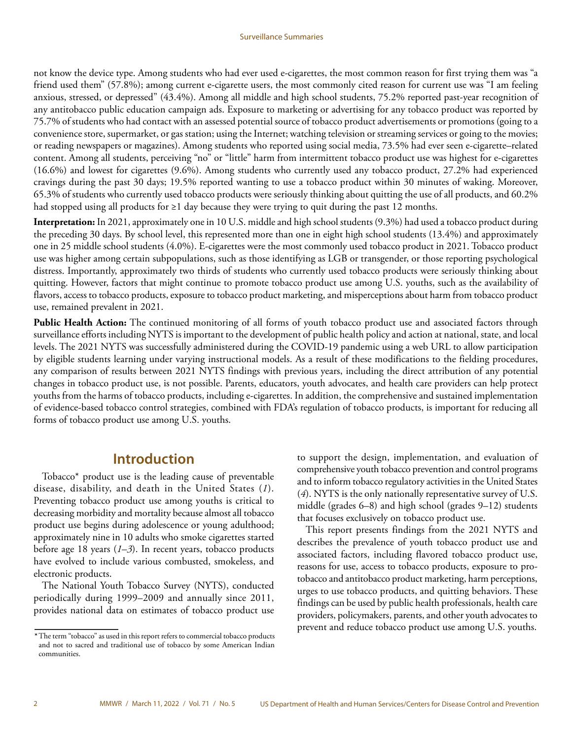<span id="page-3-0"></span>not know the device type. Among students who had ever used e-cigarettes, the most common reason for first trying them was "a friend used them" (57.8%); among current e-cigarette users, the most commonly cited reason for current use was "I am feeling anxious, stressed, or depressed" (43.4%). Among all middle and high school students, 75.2% reported past-year recognition of any antitobacco public education campaign ads. Exposure to marketing or advertising for any tobacco product was reported by 75.7% of students who had contact with an assessed potential source of tobacco product advertisements or promotions (going to a convenience store, supermarket, or gas station; using the Internet; watching television or streaming services or going to the movies; or reading newspapers or magazines). Among students who reported using social media, 73.5% had ever seen e-cigarette–related content. Among all students, perceiving "no" or "little" harm from intermittent tobacco product use was highest for e-cigarettes (16.6%) and lowest for cigarettes (9.6%). Among students who currently used any tobacco product, 27.2% had experienced cravings during the past 30 days; 19.5% reported wanting to use a tobacco product within 30 minutes of waking. Moreover, 65.3% of students who currently used tobacco products were seriously thinking about quitting the use of all products, and 60.2% had stopped using all products for ≥1 day because they were trying to quit during the past 12 months.

**Interpretation:** In 2021, approximately one in 10 U.S. middle and high school students (9.3%) had used a tobacco product during the preceding 30 days. By school level, this represented more than one in eight high school students (13.4%) and approximately one in 25 middle school students (4.0%). E-cigarettes were the most commonly used tobacco product in 2021. Tobacco product use was higher among certain subpopulations, such as those identifying as LGB or transgender, or those reporting psychological distress. Importantly, approximately two thirds of students who currently used tobacco products were seriously thinking about quitting. However, factors that might continue to promote tobacco product use among U.S. youths, such as the availability of flavors, access to tobacco products, exposure to tobacco product marketing, and misperceptions about harm from tobacco product use, remained prevalent in 2021.

**Public Health Action:** The continued monitoring of all forms of youth tobacco product use and associated factors through surveillance efforts including NYTS is important to the development of public health policy and action at national, state, and local levels. The 2021 NYTS was successfully administered during the COVID-19 pandemic using a web URL to allow participation by eligible students learning under varying instructional models. As a result of these modifications to the fielding procedures, any comparison of results between 2021 NYTS findings with previous years, including the direct attribution of any potential changes in tobacco product use, is not possible. Parents, educators, youth advocates, and health care providers can help protect youths from the harms of tobacco products, including e-cigarettes. In addition, the comprehensive and sustained implementation of evidence-based tobacco control strategies, combined with FDA's regulation of tobacco products, is important for reducing all forms of tobacco product use among U.S. youths.

### **Introduction**

Tobacco\* product use is the leading cause of preventable disease, disability, and death in the United States (*1*). Preventing tobacco product use among youths is critical to decreasing morbidity and mortality because almost all tobacco product use begins during adolescence or young adulthood; approximately nine in 10 adults who smoke cigarettes started before age 18 years (*1*–*3*). In recent years, tobacco products have evolved to include various combusted, smokeless, and electronic products.

The National Youth Tobacco Survey (NYTS), conducted periodically during 1999–2009 and annually since 2011, provides national data on estimates of tobacco product use to support the design, implementation, and evaluation of comprehensive youth tobacco prevention and control programs and to inform tobacco regulatory activities in the United States (*4*). NYTS is the only nationally representative survey of U.S. middle (grades 6–8) and high school (grades 9–12) students that focuses exclusively on tobacco product use.

This report presents findings from the 2021 NYTS and describes the prevalence of youth tobacco product use and associated factors, including flavored tobacco product use, reasons for use, access to tobacco products, exposure to protobacco and antitobacco product marketing, harm perceptions, urges to use tobacco products, and quitting behaviors. These findings can be used by public health professionals, health care providers, policymakers, parents, and other youth advocates to prevent and reduce tobacco product use among U.S. youths.

**<sup>\*</sup>**The term "tobacco" as used in this report refers to commercial tobacco products and not to sacred and traditional use of tobacco by some American Indian communities.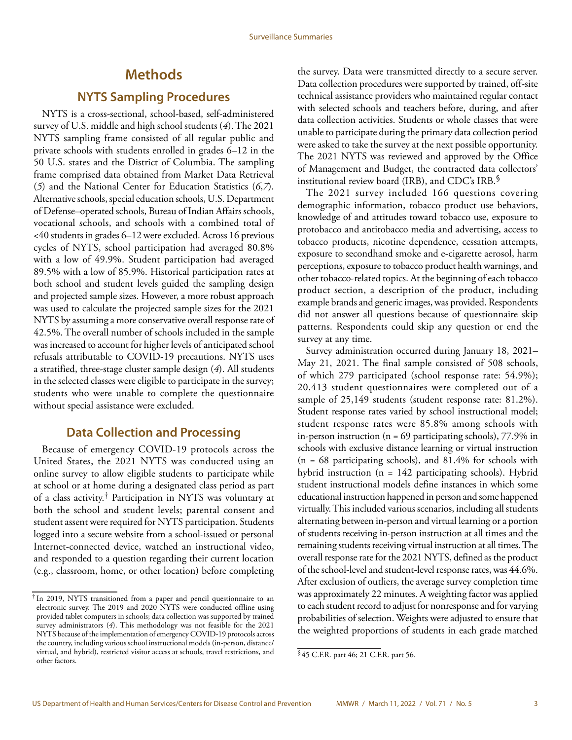# **Methods**

### **NYTS Sampling Procedures**

<span id="page-4-0"></span>NYTS is a cross-sectional, school-based, self-administered survey of U.S. middle and high school students (*4*). The 2021 NYTS sampling frame consisted of all regular public and private schools with students enrolled in grades 6–12 in the 50 U.S. states and the District of Columbia. The sampling frame comprised data obtained from Market Data Retrieval (*5*) and the National Center for Education Statistics (*6*,*7*). Alternative schools, special education schools, U.S. Department of Defense–operated schools, Bureau of Indian Affairs schools, vocational schools, and schools with a combined total of <40 students in grades 6–12 were excluded. Across 16 previous cycles of NYTS, school participation had averaged 80.8% with a low of 49.9%. Student participation had averaged 89.5% with a low of 85.9%. Historical participation rates at both school and student levels guided the sampling design and projected sample sizes. However, a more robust approach was used to calculate the projected sample sizes for the 2021 NYTS by assuming a more conservative overall response rate of 42.5%. The overall number of schools included in the sample was increased to account for higher levels of anticipated school refusals attributable to COVID-19 precautions. NYTS uses a stratified, three-stage cluster sample design (*4*). All students in the selected classes were eligible to participate in the survey; students who were unable to complete the questionnaire without special assistance were excluded.

### **Data Collection and Processing**

Because of emergency COVID-19 protocols across the United States, the 2021 NYTS was conducted using an online survey to allow eligible students to participate while at school or at home during a designated class period as part of a class activity.† Participation in NYTS was voluntary at both the school and student levels; parental consent and student assent were required for NYTS participation. Students logged into a secure website from a school-issued or personal Internet-connected device, watched an instructional video, and responded to a question regarding their current location (e.g., classroom, home, or other location) before completing

the survey. Data were transmitted directly to a secure server. Data collection procedures were supported by trained, off-site technical assistance providers who maintained regular contact with selected schools and teachers before, during, and after data collection activities. Students or whole classes that were unable to participate during the primary data collection period were asked to take the survey at the next possible opportunity. The 2021 NYTS was reviewed and approved by the Office of Management and Budget, the contracted data collectors' institutional review board (IRB), and CDC's IRB. $\$ 

The 2021 survey included 166 questions covering demographic information, tobacco product use behaviors, knowledge of and attitudes toward tobacco use, exposure to protobacco and antitobacco media and advertising, access to tobacco products, nicotine dependence, cessation attempts, exposure to secondhand smoke and e-cigarette aerosol, harm perceptions, exposure to tobacco product health warnings, and other tobacco-related topics. At the beginning of each tobacco product section, a description of the product, including example brands and generic images, was provided. Respondents did not answer all questions because of questionnaire skip patterns. Respondents could skip any question or end the survey at any time.

Survey administration occurred during January 18, 2021– May 21, 2021. The final sample consisted of 508 schools, of which 279 participated (school response rate: 54.9%); 20,413 student questionnaires were completed out of a sample of 25,149 students (student response rate: 81.2%). Student response rates varied by school instructional model; student response rates were 85.8% among schools with in-person instruction ( $n = 69$  participating schools), 77.9% in schools with exclusive distance learning or virtual instruction  $(n = 68$  participating schools), and 81.4% for schools with hybrid instruction (n = 142 participating schools). Hybrid student instructional models define instances in which some educational instruction happened in person and some happened virtually. This included various scenarios, including all students alternating between in-person and virtual learning or a portion of students receiving in-person instruction at all times and the remaining students receiving virtual instruction at all times. The overall response rate for the 2021 NYTS, defined as the product of the school-level and student-level response rates, was 44.6%. After exclusion of outliers, the average survey completion time was approximately 22 minutes. A weighting factor was applied to each student record to adjust for nonresponse and for varying probabilities of selection. Weights were adjusted to ensure that the weighted proportions of students in each grade matched

<sup>†</sup> In 2019, NYTS transitioned from a paper and pencil questionnaire to an electronic survey. The 2019 and 2020 NYTS were conducted offline using provided tablet computers in schools; data collection was supported by trained survey administrators (*4*). This methodology was not feasible for the 2021 NYTS because of the implementation of emergency COVID-19 protocols across the country, including various school instructional models (in-person, distance/ virtual, and hybrid), restricted visitor access at schools, travel restrictions, and other factors.

<sup>§</sup> 45 C.F.R. part 46; 21 C.F.R. part 56.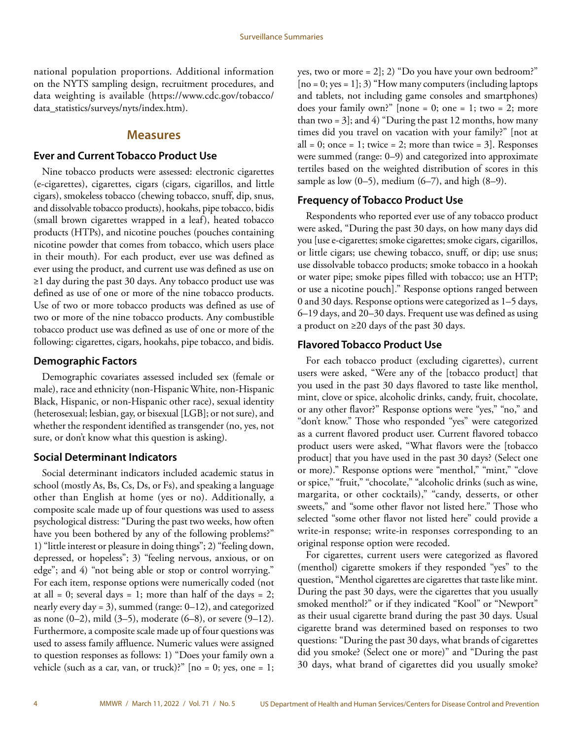national population proportions. Additional information on the NYTS sampling design, recruitment procedures, and data weighting is available [\(https://www.cdc.gov/tobacco/](https://www.cdc.gov/tobacco/data_statistics/surveys/nyts/index.htm) [data\\_statistics/surveys/nyts/index.htm](https://www.cdc.gov/tobacco/data_statistics/surveys/nyts/index.htm)).

#### **Measures**

#### **Ever and Current Tobacco Product Use**

Nine tobacco products were assessed: electronic cigarettes (e-cigarettes), cigarettes, cigars (cigars, cigarillos, and little cigars), smokeless tobacco (chewing tobacco, snuff, dip, snus, and dissolvable tobacco products), hookahs, pipe tobacco, bidis (small brown cigarettes wrapped in a leaf), heated tobacco products (HTPs), and nicotine pouches (pouches containing nicotine powder that comes from tobacco, which users place in their mouth). For each product, ever use was defined as ever using the product, and current use was defined as use on ≥1 day during the past 30 days. Any tobacco product use was defined as use of one or more of the nine tobacco products. Use of two or more tobacco products was defined as use of two or more of the nine tobacco products. Any combustible tobacco product use was defined as use of one or more of the following: cigarettes, cigars, hookahs, pipe tobacco, and bidis.

#### **Demographic Factors**

Demographic covariates assessed included sex (female or male), race and ethnicity (non-Hispanic White, non-Hispanic Black, Hispanic, or non-Hispanic other race), sexual identity (heterosexual; lesbian, gay, or bisexual [LGB]; or not sure), and whether the respondent identified as transgender (no, yes, not sure, or don't know what this question is asking).

#### **Social Determinant Indicators**

Social determinant indicators included academic status in school (mostly As, Bs, Cs, Ds, or Fs), and speaking a language other than English at home (yes or no). Additionally, a composite scale made up of four questions was used to assess psychological distress: "During the past two weeks, how often have you been bothered by any of the following problems?" 1) "little interest or pleasure in doing things"; 2) "feeling down, depressed, or hopeless"; 3) "feeling nervous, anxious, or on edge"; and 4) "not being able or stop or control worrying." For each item, response options were numerically coded (not at all = 0; several days = 1; more than half of the days = 2; nearly every day = 3), summed (range: 0–12), and categorized as none (0–2), mild (3–5), moderate (6–8), or severe (9–12). Furthermore, a composite scale made up of four questions was used to assess family affluence. Numeric values were assigned to question responses as follows: 1) "Does your family own a vehicle (such as a car, van, or truck)?"  $[no = 0; yes, one = 1;$ 

yes, two or more = 2]; 2) "Do you have your own bedroom?"  $[no = 0; yes = 1]; 3$  "How many computers (including laptops and tablets, not including game consoles and smartphones) does your family own?" [none = 0; one = 1; two = 2; more than two =  $3$ ]; and  $4$ ) "During the past 12 months, how many times did you travel on vacation with your family?" [not at all = 0; once = 1; twice = 2; more than twice =  $3$ ]. Responses were summed (range: 0–9) and categorized into approximate tertiles based on the weighted distribution of scores in this sample as low  $(0-5)$ , medium  $(6-7)$ , and high  $(8-9)$ .

#### **Frequency of Tobacco Product Use**

Respondents who reported ever use of any tobacco product were asked, "During the past 30 days, on how many days did you [use e-cigarettes; smoke cigarettes; smoke cigars, cigarillos, or little cigars; use chewing tobacco, snuff, or dip; use snus; use dissolvable tobacco products; smoke tobacco in a hookah or water pipe; smoke pipes filled with tobacco; use an HTP; or use a nicotine pouch]." Response options ranged between 0 and 30 days. Response options were categorized as 1–5 days, 6–19 days, and 20–30 days. Frequent use was defined as using a product on ≥20 days of the past 30 days.

#### **Flavored Tobacco Product Use**

For each tobacco product (excluding cigarettes), current users were asked, "Were any of the [tobacco product] that you used in the past 30 days flavored to taste like menthol, mint, clove or spice, alcoholic drinks, candy, fruit, chocolate, or any other flavor?" Response options were "yes," "no," and "don't know." Those who responded "yes" were categorized as a current flavored product user. Current flavored tobacco product users were asked, "What flavors were the [tobacco product] that you have used in the past 30 days? (Select one or more)." Response options were "menthol," "mint," "clove or spice," "fruit," "chocolate," "alcoholic drinks (such as wine, margarita, or other cocktails)," "candy, desserts, or other sweets," and "some other flavor not listed here." Those who selected "some other flavor not listed here" could provide a write-in response; write-in responses corresponding to an original response option were recoded.

For cigarettes, current users were categorized as flavored (menthol) cigarette smokers if they responded "yes" to the question, "Menthol cigarettes are cigarettes that taste like mint. During the past 30 days, were the cigarettes that you usually smoked menthol?" or if they indicated "Kool" or "Newport" as their usual cigarette brand during the past 30 days. Usual cigarette brand was determined based on responses to two questions: "During the past 30 days, what brands of cigarettes did you smoke? (Select one or more)" and "During the past 30 days, what brand of cigarettes did you usually smoke?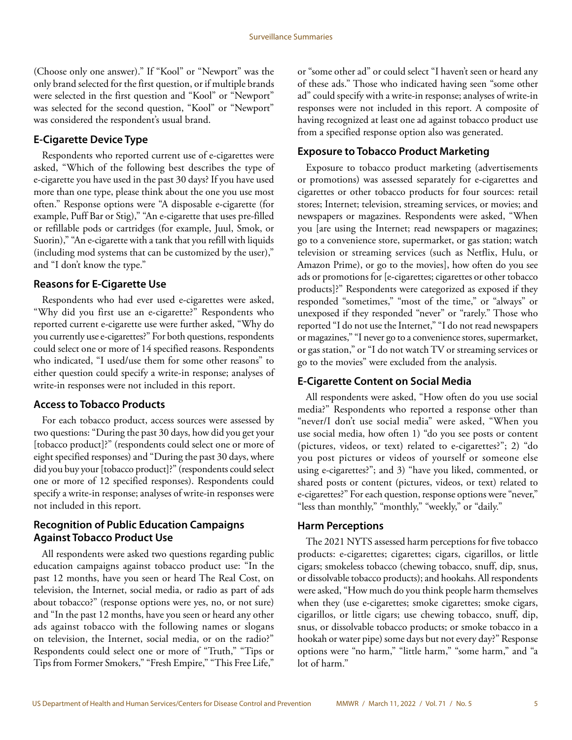(Choose only one answer)." If "Kool" or "Newport" was the only brand selected for the first question, or if multiple brands were selected in the first question and "Kool" or "Newport" was selected for the second question, "Kool" or "Newport" was considered the respondent's usual brand.

### **E-Cigarette Device Type**

Respondents who reported current use of e-cigarettes were asked, "Which of the following best describes the type of e-cigarette you have used in the past 30 days? If you have used more than one type, please think about the one you use most often." Response options were "A disposable e-cigarette (for example, Puff Bar or Stig)," "An e-cigarette that uses pre-filled or refillable pods or cartridges (for example, Juul, Smok, or Suorin)," "An e-cigarette with a tank that you refill with liquids (including mod systems that can be customized by the user)," and "I don't know the type."

### **Reasons for E-Cigarette Use**

Respondents who had ever used e-cigarettes were asked, "Why did you first use an e-cigarette?" Respondents who reported current e-cigarette use were further asked, "Why do you currently use e-cigarettes?" For both questions, respondents could select one or more of 14 specified reasons. Respondents who indicated, "I used/use them for some other reasons" to either question could specify a write-in response; analyses of write-in responses were not included in this report.

### **Access to Tobacco Products**

For each tobacco product, access sources were assessed by two questions: "During the past 30 days, how did you get your [tobacco product]?" (respondents could select one or more of eight specified responses) and "During the past 30 days, where did you buy your [tobacco product]?" (respondents could select one or more of 12 specified responses). Respondents could specify a write-in response; analyses of write-in responses were not included in this report.

### **Recognition of Public Education Campaigns Against Tobacco Product Use**

All respondents were asked two questions regarding public education campaigns against tobacco product use: "In the past 12 months, have you seen or heard The Real Cost, on television, the Internet, social media, or radio as part of ads about tobacco?" (response options were yes, no, or not sure) and "In the past 12 months, have you seen or heard any other ads against tobacco with the following names or slogans on television, the Internet, social media, or on the radio?" Respondents could select one or more of "Truth," "Tips or Tips from Former Smokers," "Fresh Empire," "This Free Life,"

or "some other ad" or could select "I haven't seen or heard any of these ads." Those who indicated having seen "some other ad" could specify with a write-in response; analyses of write-in responses were not included in this report. A composite of having recognized at least one ad against tobacco product use from a specified response option also was generated.

### **Exposure to Tobacco Product Marketing**

Exposure to tobacco product marketing (advertisements or promotions) was assessed separately for e-cigarettes and cigarettes or other tobacco products for four sources: retail stores; Internet; television, streaming services, or movies; and newspapers or magazines. Respondents were asked, "When you [are using the Internet; read newspapers or magazines; go to a convenience store, supermarket, or gas station; watch television or streaming services (such as Netflix, Hulu, or Amazon Prime), or go to the movies], how often do you see ads or promotions for [e-cigarettes; cigarettes or other tobacco products]?" Respondents were categorized as exposed if they responded "sometimes," "most of the time," or "always" or unexposed if they responded "never" or "rarely." Those who reported "I do not use the Internet," "I do not read newspapers or magazines," "I never go to a convenience stores, supermarket, or gas station," or "I do not watch TV or streaming services or go to the movies" were excluded from the analysis.

### **E-Cigarette Content on Social Media**

All respondents were asked, "How often do you use social media?" Respondents who reported a response other than "never/I don't use social media" were asked, "When you use social media, how often 1) "do you see posts or content (pictures, videos, or text) related to e-cigarettes?"; 2) "do you post pictures or videos of yourself or someone else using e-cigarettes?"; and 3) "have you liked, commented, or shared posts or content (pictures, videos, or text) related to e-cigarettes?" For each question, response options were "never," "less than monthly," "monthly," "weekly," or "daily."

### **Harm Perceptions**

The 2021 NYTS assessed harm perceptions for five tobacco products: e-cigarettes; cigarettes; cigars, cigarillos, or little cigars; smokeless tobacco (chewing tobacco, snuff, dip, snus, or dissolvable tobacco products); and hookahs. All respondents were asked, "How much do you think people harm themselves when they (use e-cigarettes; smoke cigarettes; smoke cigars, cigarillos, or little cigars; use chewing tobacco, snuff, dip, snus, or dissolvable tobacco products; or smoke tobacco in a hookah or water pipe) some days but not every day?" Response options were "no harm," "little harm," "some harm," and "a lot of harm."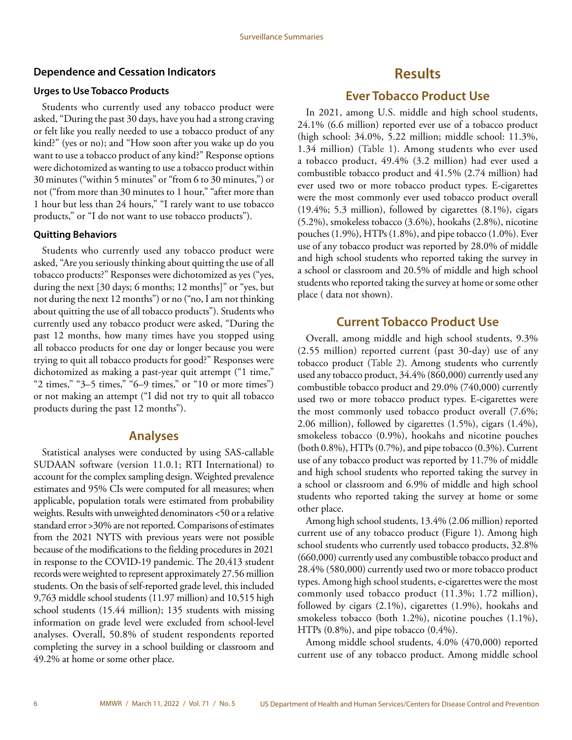#### <span id="page-7-0"></span>**Dependence and Cessation Indicators**

#### **Urges to Use Tobacco Products**

Students who currently used any tobacco product were asked, "During the past 30 days, have you had a strong craving or felt like you really needed to use a tobacco product of any kind?" (yes or no); and "How soon after you wake up do you want to use a tobacco product of any kind?" Response options were dichotomized as wanting to use a tobacco product within 30 minutes ("within 5 minutes" or "from 6 to 30 minutes,") or not ("from more than 30 minutes to 1 hour," "after more than 1 hour but less than 24 hours," "I rarely want to use tobacco products," or "I do not want to use tobacco products").

#### **Quitting Behaviors**

Students who currently used any tobacco product were asked, "Are you seriously thinking about quitting the use of all tobacco products?" Responses were dichotomized as yes ("yes, during the next [30 days; 6 months; 12 months]" or "yes, but not during the next 12 months") or no ("no, I am not thinking about quitting the use of all tobacco products"). Students who currently used any tobacco product were asked, "During the past 12 months, how many times have you stopped using all tobacco products for one day or longer because you were trying to quit all tobacco products for good?" Responses were dichotomized as making a past-year quit attempt ("1 time," "2 times," "3–5 times," "6–9 times," or "10 or more times") or not making an attempt ("I did not try to quit all tobacco products during the past 12 months").

#### **Analyses**

Statistical analyses were conducted by using SAS-callable SUDAAN software (version 11.0.1; RTI International) to account for the complex sampling design. Weighted prevalence estimates and 95% CIs were computed for all measures; when applicable, population totals were estimated from probability weights. Results with unweighted denominators <50 or a relative standard error >30% are not reported. Comparisons of estimates from the 2021 NYTS with previous years were not possible because of the modifications to the fielding procedures in 2021 in response to the COVID-19 pandemic. The 20,413 student records were weighted to represent approximately 27.56 million students. On the basis of self-reported grade level, this included 9,763 middle school students (11.97 million) and 10,515 high school students (15.44 million); 135 students with missing information on grade level were excluded from school-level analyses. Overall, 50.8% of student respondents reported completing the survey in a school building or classroom and 49.2% at home or some other place.

# **Results**

### **Ever Tobacco Product Use**

In 2021, among U.S. middle and high school students, 24.1% (6.6 million) reported ever use of a tobacco product (high school: 34.0%, 5.22 million; middle school: 11.3%, 1.34 million) (Table 1). Among students who ever used a tobacco product, 49.4% (3.2 million) had ever used a combustible tobacco product and 41.5% (2.74 million) had ever used two or more tobacco product types. E-cigarettes were the most commonly ever used tobacco product overall (19.4%; 5.3 million), followed by cigarettes (8.1%), cigars (5.2%), smokeless tobacco (3.6%), hookahs (2.8%), nicotine pouches (1.9%), HTPs (1.8%), and pipe tobacco (1.0%). Ever use of any tobacco product was reported by 28.0% of middle and high school students who reported taking the survey in a school or classroom and 20.5% of middle and high school students who reported taking the survey at home or some other place ( data not shown).

### **Current Tobacco Product Use**

Overall, among middle and high school students, 9.3% (2.55 million) reported current (past 30-day) use of any tobacco product (Table 2). Among students who currently used any tobacco product, 34.4% (860,000) currently used any combustible tobacco product and 29.0% (740,000) currently used two or more tobacco product types. E-cigarettes were the most commonly used tobacco product overall (7.6%; 2.06 million), followed by cigarettes (1.5%), cigars (1.4%), smokeless tobacco (0.9%), hookahs and nicotine pouches (both 0.8%), HTPs (0.7%), and pipe tobacco (0.3%). Current use of any tobacco product was reported by 11.7% of middle and high school students who reported taking the survey in a school or classroom and 6.9% of middle and high school students who reported taking the survey at home or some other place.

Among high school students, 13.4% (2.06 million) reported current use of any tobacco product (Figure 1). Among high school students who currently used tobacco products, 32.8% (660,000) currently used any combustible tobacco product and 28.4% (580,000) currently used two or more tobacco product types. Among high school students, e-cigarettes were the most commonly used tobacco product (11.3%; 1.72 million), followed by cigars (2.1%), cigarettes (1.9%), hookahs and smokeless tobacco (both 1.2%), nicotine pouches (1.1%), HTPs (0.8%), and pipe tobacco (0.4%).

Among middle school students, 4.0% (470,000) reported current use of any tobacco product. Among middle school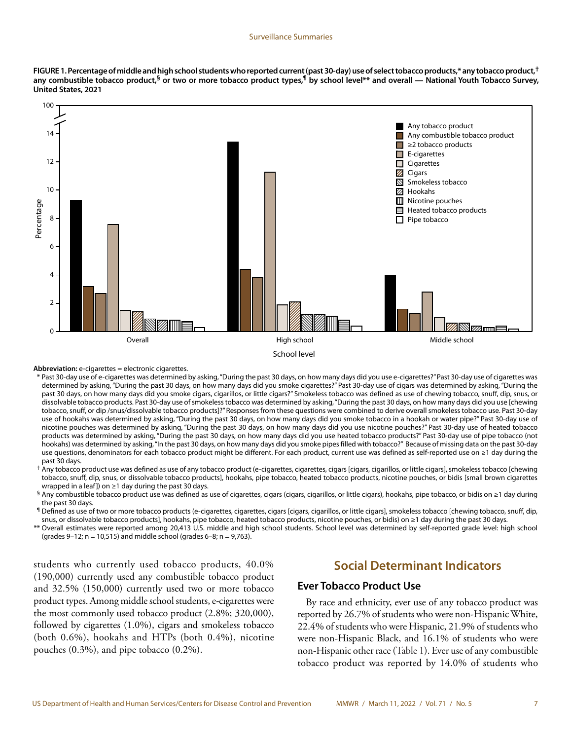**FIGURE 1. Percentage of middle and high school students who reported current (past 30-day) use of select tobacco products,\* any tobacco product,† any combustible tobacco product,§ or two or more tobacco product types,¶ by school level\*\* and overall — National Youth Tobacco Survey, United States, 2021** 



#### **Abbreviation:** e-cigarettes = electronic cigarettes.

\* Past 30-day use of e-cigarettes was determined by asking, "During the past 30 days, on how many days did you use e-cigarettes?" Past 30-day use of cigarettes was determined by asking, "During the past 30 days, on how many days did you smoke cigarettes?" Past 30-day use of cigars was determined by asking, "During the past 30 days, on how many days did you smoke cigars, cigarillos, or little cigars?" Smokeless tobacco was defined as use of chewing tobacco, snuff, dip, snus, or dissolvable tobacco products. Past 30-day use of smokeless tobacco was determined by asking, "During the past 30 days, on how many days did you use [chewing tobacco, snuff, or dip /snus/dissolvable tobacco products]?" Responses from these questions were combined to derive overall smokeless tobacco use. Past 30-day use of hookahs was determined by asking, "During the past 30 days, on how many days did you smoke tobacco in a hookah or water pipe?" Past 30-day use of nicotine pouches was determined by asking, "During the past 30 days, on how many days did you use nicotine pouches?" Past 30-day use of heated tobacco products was determined by asking, "During the past 30 days, on how many days did you use heated tobacco products?" Past 30-day use of pipe tobacco (not hookahs) was determined by asking, "In the past 30 days, on how many days did you smoke pipes filled with tobacco?" Because of missing data on the past 30-day use questions, denominators for each tobacco product might be different. For each product, current use was defined as self-reported use on ≥1 day during the past 30 days.

† Any tobacco product use was defined as use of any tobacco product (e-cigarettes, cigarettes, cigars [cigars, cigarillos, or little cigars], smokeless tobacco [chewing tobacco, snuff, dip, snus, or dissolvable tobacco products], hookahs, pipe tobacco, heated tobacco products, nicotine pouches, or bidis [small brown cigarettes wrapped in a leaf]) on  $\geq$ 1 day during the past 30 days.

§ Any combustible tobacco product use was defined as use of cigarettes, cigars (cigars, cigarillos, or little cigars), hookahs, pipe tobacco, or bidis on ≥1 day during the past 30 days.

¶ Defined as use of two or more tobacco products (e-cigarettes, cigarettes, cigars [cigars, cigarillos, or little cigars], smokeless tobacco [chewing tobacco, snuff, dip, snus, or dissolvable tobacco products], hookahs, pipe tobacco, heated tobacco products, nicotine pouches, or bidis) on ≥1 day during the past 30 days.

\*\* Overall estimates were reported among 20,413 U.S. middle and high school students. School level was determined by self-reported grade level: high school (grades 9–12; n = 10,515) and middle school (grades 6–8; n = 9,763).

students who currently used tobacco products, 40.0% (190,000) currently used any combustible tobacco product and 32.5% (150,000) currently used two or more tobacco product types. Among middle school students, e-cigarettes were the most commonly used tobacco product (2.8%; 320,000), followed by cigarettes (1.0%), cigars and smokeless tobacco (both 0.6%), hookahs and HTPs (both 0.4%), nicotine pouches (0.3%), and pipe tobacco (0.2%).

### **Social Determinant Indicators**

#### **Ever Tobacco Product Use**

By race and ethnicity, ever use of any tobacco product was reported by 26.7% of students who were non-Hispanic White, 22.4% of students who were Hispanic, 21.9% of students who were non-Hispanic Black, and 16.1% of students who were non-Hispanic other race (Table 1). Ever use of any combustible tobacco product was reported by 14.0% of students who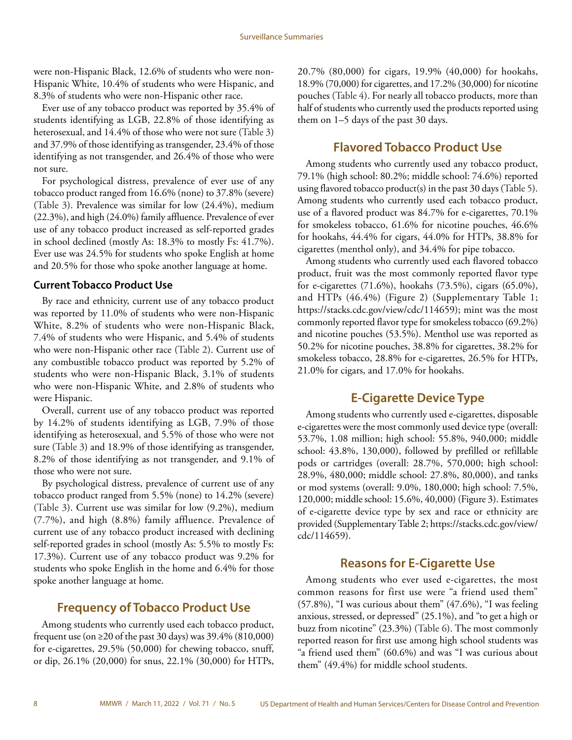were non-Hispanic Black, 12.6% of students who were non-Hispanic White, 10.4% of students who were Hispanic, and 8.3% of students who were non-Hispanic other race.

Ever use of any tobacco product was reported by 35.4% of students identifying as LGB, 22.8% of those identifying as heterosexual, and 14.4% of those who were not sure (Table 3) and 37.9% of those identifying as transgender, 23.4% of those identifying as not transgender, and 26.4% of those who were not sure.

For psychological distress, prevalence of ever use of any tobacco product ranged from 16.6% (none) to 37.8% (severe) (Table 3). Prevalence was similar for low (24.4%), medium (22.3%), and high (24.0%) family affluence. Prevalence of ever use of any tobacco product increased as self-reported grades in school declined (mostly As: 18.3% to mostly Fs: 41.7%). Ever use was 24.5% for students who spoke English at home and 20.5% for those who spoke another language at home.

#### **Current Tobacco Product Use**

By race and ethnicity, current use of any tobacco product was reported by 11.0% of students who were non-Hispanic White, 8.2% of students who were non-Hispanic Black, 7.4% of students who were Hispanic, and 5.4% of students who were non-Hispanic other race (Table 2). Current use of any combustible tobacco product was reported by 5.2% of students who were non-Hispanic Black, 3.1% of students who were non-Hispanic White, and 2.8% of students who were Hispanic.

Overall, current use of any tobacco product was reported by 14.2% of students identifying as LGB, 7.9% of those identifying as heterosexual, and 5.5% of those who were not sure (Table 3) and 18.9% of those identifying as transgender, 8.2% of those identifying as not transgender, and 9.1% of those who were not sure.

By psychological distress, prevalence of current use of any tobacco product ranged from 5.5% (none) to 14.2% (severe) (Table 3). Current use was similar for low (9.2%), medium (7.7%), and high (8.8%) family affluence. Prevalence of current use of any tobacco product increased with declining self-reported grades in school (mostly As: 5.5% to mostly Fs: 17.3%). Current use of any tobacco product was 9.2% for students who spoke English in the home and 6.4% for those spoke another language at home.

# **Frequency of Tobacco Product Use**

Among students who currently used each tobacco product, frequent use (on  $\geq$ 20 of the past 30 days) was 39.4% (810,000) for e-cigarettes, 29.5% (50,000) for chewing tobacco, snuff, or dip, 26.1% (20,000) for snus, 22.1% (30,000) for HTPs, 20.7% (80,000) for cigars, 19.9% (40,000) for hookahs, 18.9% (70,000) for cigarettes, and 17.2% (30,000) for nicotine pouches (Table 4). For nearly all tobacco products, more than half of students who currently used the products reported using them on 1–5 days of the past 30 days.

# **Flavored Tobacco Product Use**

Among students who currently used any tobacco product, 79.1% (high school: 80.2%; middle school: 74.6%) reported using flavored tobacco product(s) in the past 30 days (Table 5). Among students who currently used each tobacco product, use of a flavored product was 84.7% for e-cigarettes, 70.1% for smokeless tobacco, 61.6% for nicotine pouches, 46.6% for hookahs, 44.4% for cigars, 44.0% for HTPs, 38.8% for cigarettes (menthol only), and 34.4% for pipe tobacco.

Among students who currently used each flavored tobacco product, fruit was the most commonly reported flavor type for e-cigarettes (71.6%), hookahs (73.5%), cigars (65.0%), and HTPs (46.4%) (Figure 2) (Supplementary Table 1; [https://stacks.cdc.gov/view/cdc/114659\)](https://stacks.cdc.gov/view/cdc/114659); mint was the most commonly reported flavor type for smokeless tobacco (69.2%) and nicotine pouches (53.5%). Menthol use was reported as 50.2% for nicotine pouches, 38.8% for cigarettes, 38.2% for smokeless tobacco, 28.8% for e-cigarettes, 26.5% for HTPs, 21.0% for cigars, and 17.0% for hookahs.

# **E-Cigarette Device Type**

Among students who currently used e-cigarettes, disposable e-cigarettes were the most commonly used device type (overall: 53.7%, 1.08 million; high school: 55.8%, 940,000; middle school: 43.8%, 130,000), followed by prefilled or refillable pods or cartridges (overall: 28.7%, 570,000; high school: 28.9%, 480,000; middle school: 27.8%, 80,000), and tanks or mod systems (overall: 9.0%, 180,000; high school: 7.5%, 120,000; middle school: 15.6%, 40,000) (Figure 3). Estimates of e-cigarette device type by sex and race or ethnicity are provided (Supplementary Table 2; [https://stacks.cdc.gov/view/](https://stacks.cdc.gov/view/cdc/114659) [cdc/114659\)](https://stacks.cdc.gov/view/cdc/114659).

# **Reasons for E-Cigarette Use**

Among students who ever used e-cigarettes, the most common reasons for first use were "a friend used them" (57.8%), "I was curious about them" (47.6%), "I was feeling anxious, stressed, or depressed" (25.1%), and "to get a high or buzz from nicotine" (23.3%) (Table 6). The most commonly reported reason for first use among high school students was "a friend used them" (60.6%) and was "I was curious about them" (49.4%) for middle school students.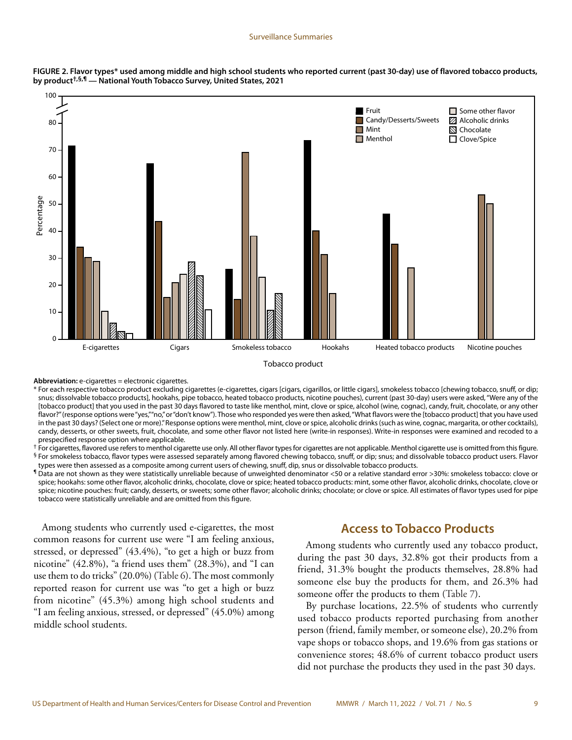



Tobacco product

**Abbreviation:** e-cigarettes = electronic cigarettes.

\* For each respective tobacco product excluding cigarettes (e-cigarettes, cigars [cigars, cigarillos, or little cigars], smokeless tobacco [chewing tobacco, snuff, or dip; snus; dissolvable tobacco products], hookahs, pipe tobacco, heated tobacco products, nicotine pouches), current (past 30-day) users were asked, "Were any of the [tobacco product] that you used in the past 30 days flavored to taste like menthol, mint, clove or spice, alcohol (wine, cognac), candy, fruit, chocolate, or any other flavor?" (response options were "yes,""no," or "don't know"). Those who responded yes were then asked, "What flavors were the [tobacco product] that you have used in the past 30 days? (Select one or more)." Response options were menthol, mint, clove or spice, alcoholic drinks (such as wine, cognac, margarita, or other cocktails), candy, desserts, or other sweets, fruit, chocolate, and some other flavor not listed here (write-in responses). Write-in responses were examined and recoded to a prespecified response option where applicable.

<sup>†</sup> For cigarettes, flavored use refers to menthol cigarette use only. All other flavor types for cigarettes are not applicable. Menthol cigarette use is omitted from this figure.

§ For smokeless tobacco, flavor types were assessed separately among flavored chewing tobacco, snuff, or dip; snus; and dissolvable tobacco product users. Flavor types were then assessed as a composite among current users of chewing, snuff, dip, snus or dissolvable tobacco products.

¶ Data are not shown as they were statistically unreliable because of unweighted denominator <50 or a relative standard error >30%: smokeless tobacco: clove or spice; hookahs: some other flavor, alcoholic drinks, chocolate, clove or spice; heated tobacco products: mint, some other flavor, alcoholic drinks, chocolate, clove or spice; nicotine pouches: fruit; candy, desserts, or sweets; some other flavor; alcoholic drinks; chocolate; or clove or spice. All estimates of flavor types used for pipe tobacco were statistically unreliable and are omitted from this figure.

Among students who currently used e-cigarettes, the most common reasons for current use were "I am feeling anxious, stressed, or depressed" (43.4%), "to get a high or buzz from nicotine" (42.8%), "a friend uses them" (28.3%), and "I can use them to do tricks" (20.0%) (Table 6). The most commonly reported reason for current use was "to get a high or buzz from nicotine" (45.3%) among high school students and "I am feeling anxious, stressed, or depressed" (45.0%) among middle school students.

### **Access to Tobacco Products**

Among students who currently used any tobacco product, during the past 30 days, 32.8% got their products from a friend, 31.3% bought the products themselves, 28.8% had someone else buy the products for them, and 26.3% had someone offer the products to them (Table 7).

By purchase locations, 22.5% of students who currently used tobacco products reported purchasing from another person (friend, family member, or someone else), 20.2% from vape shops or tobacco shops, and 19.6% from gas stations or convenience stores; 48.6% of current tobacco product users did not purchase the products they used in the past 30 days.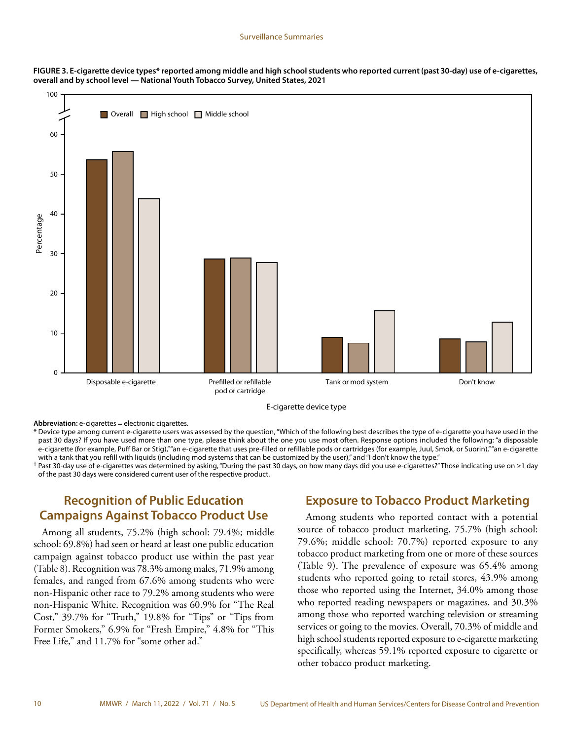

**FIGURE 3. E-cigarette device types\* reported among middle and high school students who reported current (past 30-day) use of e-cigarettes, overall and by school level — National Youth Tobacco Survey, United States, 2021**

E-cigarette device type

**Abbreviation:** e-cigarettes = electronic cigarettes.

\* Device type among current e-cigarette users was assessed by the question, "Which of the following best describes the type of e-cigarette you have used in the past 30 days? If you have used more than one type, please think about the one you use most often. Response options included the following: "a disposable e-cigarette (for example, Puff Bar or Stig),""an e-cigarette that uses pre-filled or refillable pods or cartridges (for example, Juul, Smok, or Suorin),""an e-cigarette with a tank that you refill with liquids (including mod systems that can be customized by the user)," and "I don't know the type."

† Past 30-day use of e-cigarettes was determined by asking, "During the past 30 days, on how many days did you use e-cigarettes?" Those indicating use on ≥1 day of the past 30 days were considered current user of the respective product.

# **Recognition of Public Education Campaigns Against Tobacco Product Use**

Among all students, 75.2% (high school: 79.4%; middle school: 69.8%) had seen or heard at least one public education campaign against tobacco product use within the past year (Table 8). Recognition was 78.3% among males, 71.9% among females, and ranged from 67.6% among students who were non-Hispanic other race to 79.2% among students who were non-Hispanic White. Recognition was 60.9% for "The Real Cost," 39.7% for "Truth," 19.8% for "Tips" or "Tips from Former Smokers," 6.9% for "Fresh Empire," 4.8% for "This Free Life," and 11.7% for "some other ad."

### **Exposure to Tobacco Product Marketing**

Among students who reported contact with a potential source of tobacco product marketing, 75.7% (high school: 79.6%; middle school: 70.7%) reported exposure to any tobacco product marketing from one or more of these sources (Table 9). The prevalence of exposure was 65.4% among students who reported going to retail stores, 43.9% among those who reported using the Internet, 34.0% among those who reported reading newspapers or magazines, and 30.3% among those who reported watching television or streaming services or going to the movies. Overall, 70.3% of middle and high school students reported exposure to e-cigarette marketing specifically, whereas 59.1% reported exposure to cigarette or other tobacco product marketing.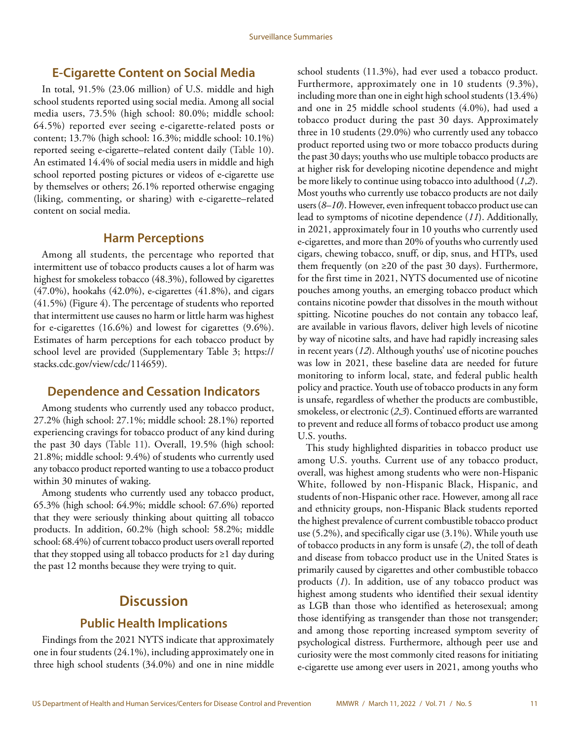### <span id="page-12-0"></span>**E-Cigarette Content on Social Media**

In total, 91.5% (23.06 million) of U.S. middle and high school students reported using social media. Among all social media users, 73.5% (high school: 80.0%; middle school: 64.5%) reported ever seeing e-cigarette-related posts or content; 13.7% (high school: 16.3%; middle school: 10.1%) reported seeing e-cigarette–related content daily (Table 10). An estimated 14.4% of social media users in middle and high school reported posting pictures or videos of e-cigarette use by themselves or others; 26.1% reported otherwise engaging (liking, commenting, or sharing) with e-cigarette–related content on social media.

### **Harm Perceptions**

Among all students, the percentage who reported that intermittent use of tobacco products causes a lot of harm was highest for smokeless tobacco (48.3%), followed by cigarettes (47.0%), hookahs (42.0%), e-cigarettes (41.8%), and cigars (41.5%) (Figure 4). The percentage of students who reported that intermittent use causes no harm or little harm was highest for e-cigarettes (16.6%) and lowest for cigarettes (9.6%). Estimates of harm perceptions for each tobacco product by school level are provided (Supplementary Table 3; [https://](https://stacks.cdc.gov/view/cdc/114659) [stacks.cdc.gov/view/cdc/114659\)](https://stacks.cdc.gov/view/cdc/114659).

#### **Dependence and Cessation Indicators**

Among students who currently used any tobacco product, 27.2% (high school: 27.1%; middle school: 28.1%) reported experiencing cravings for tobacco product of any kind during the past 30 days (Table 11). Overall, 19.5% (high school: 21.8%; middle school: 9.4%) of students who currently used any tobacco product reported wanting to use a tobacco product within 30 minutes of waking.

Among students who currently used any tobacco product, 65.3% (high school: 64.9%; middle school: 67.6%) reported that they were seriously thinking about quitting all tobacco products. In addition, 60.2% (high school: 58.2%; middle school: 68.4%) of current tobacco product users overall reported that they stopped using all tobacco products for ≥1 day during the past 12 months because they were trying to quit.

# **Discussion**

### **Public Health Implications**

Findings from the 2021 NYTS indicate that approximately one in four students (24.1%), including approximately one in three high school students (34.0%) and one in nine middle school students (11.3%), had ever used a tobacco product. Furthermore, approximately one in 10 students (9.3%), including more than one in eight high school students (13.4%) and one in 25 middle school students (4.0%), had used a tobacco product during the past 30 days. Approximately three in 10 students (29.0%) who currently used any tobacco product reported using two or more tobacco products during the past 30 days; youths who use multiple tobacco products are at higher risk for developing nicotine dependence and might be more likely to continue using tobacco into adulthood (*1*,*2*). Most youths who currently use tobacco products are not daily users (*8*–*10*). However, even infrequent tobacco product use can lead to symptoms of nicotine dependence (*11*). Additionally, in 2021, approximately four in 10 youths who currently used e-cigarettes, and more than 20% of youths who currently used cigars, chewing tobacco, snuff, or dip, snus, and HTPs, used them frequently (on  $\geq 20$  of the past 30 days). Furthermore, for the first time in 2021, NYTS documented use of nicotine pouches among youths, an emerging tobacco product which contains nicotine powder that dissolves in the mouth without spitting. Nicotine pouches do not contain any tobacco leaf, are available in various flavors, deliver high levels of nicotine by way of nicotine salts, and have had rapidly increasing sales in recent years (*12*). Although youths' use of nicotine pouches was low in 2021, these baseline data are needed for future monitoring to inform local, state, and federal public health policy and practice. Youth use of tobacco products in any form is unsafe, regardless of whether the products are combustible, smokeless, or electronic (*2*,*3*). Continued efforts are warranted to prevent and reduce all forms of tobacco product use among U.S. youths.

This study highlighted disparities in tobacco product use among U.S. youths. Current use of any tobacco product, overall, was highest among students who were non-Hispanic White, followed by non-Hispanic Black, Hispanic, and students of non-Hispanic other race. However, among all race and ethnicity groups, non-Hispanic Black students reported the highest prevalence of current combustible tobacco product use (5.2%), and specifically cigar use (3.1%). While youth use of tobacco products in any form is unsafe (*2*), the toll of death and disease from tobacco product use in the United States is primarily caused by cigarettes and other combustible tobacco products (*1*). In addition, use of any tobacco product was highest among students who identified their sexual identity as LGB than those who identified as heterosexual; among those identifying as transgender than those not transgender; and among those reporting increased symptom severity of psychological distress. Furthermore, although peer use and curiosity were the most commonly cited reasons for initiating e-cigarette use among ever users in 2021, among youths who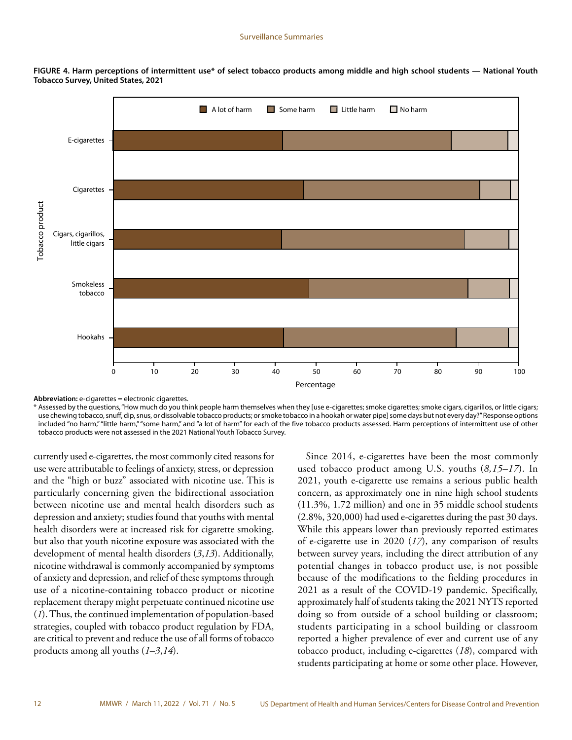

**FIGURE 4. Harm perceptions of intermittent use\* of select tobacco products among middle and high school students — National Youth Tobacco Survey, United States, 2021**

**Abbreviation:** e-cigarettes = electronic cigarettes.

\* Assessed by the questions, "How much do you think people harm themselves when they [use e-cigarettes; smoke cigarettes; smoke cigars, cigarillos, or little cigars; use chewing tobacco, snuff, dip, snus, or dissolvable tobacco products; or smoke tobacco in a hookah or water pipe] some days but not every day?" Response options included "no harm," "little harm," "some harm," and "a lot of harm" for each of the five tobacco products assessed. Harm perceptions of intermittent use of other tobacco products were not assessed in the 2021 National Youth Tobacco Survey.

currently used e-cigarettes, the most commonly cited reasons for use were attributable to feelings of anxiety, stress, or depression and the "high or buzz" associated with nicotine use. This is particularly concerning given the bidirectional association between nicotine use and mental health disorders such as depression and anxiety; studies found that youths with mental health disorders were at increased risk for cigarette smoking, but also that youth nicotine exposure was associated with the development of mental health disorders (*3*,*13*). Additionally, nicotine withdrawal is commonly accompanied by symptoms of anxiety and depression, and relief of these symptoms through use of a nicotine-containing tobacco product or nicotine replacement therapy might perpetuate continued nicotine use (*1*). Thus, the continued implementation of population-based strategies, coupled with tobacco product regulation by FDA, are critical to prevent and reduce the use of all forms of tobacco products among all youths (*1*–*3*,*14*).

Since 2014, e-cigarettes have been the most commonly used tobacco product among U.S. youths (*8,15–17*). In 2021, youth e-cigarette use remains a serious public health concern, as approximately one in nine high school students (11.3%, 1.72 million) and one in 35 middle school students (2.8%, 320,000) had used e-cigarettes during the past 30 days. While this appears lower than previously reported estimates of e-cigarette use in 2020 (*17*), any comparison of results between survey years, including the direct attribution of any potential changes in tobacco product use, is not possible because of the modifications to the fielding procedures in 2021 as a result of the COVID-19 pandemic. Specifically, approximately half of students taking the 2021 NYTS reported doing so from outside of a school building or classroom; students participating in a school building or classroom reported a higher prevalence of ever and current use of any tobacco product, including e-cigarettes (*18*), compared with students participating at home or some other place. However,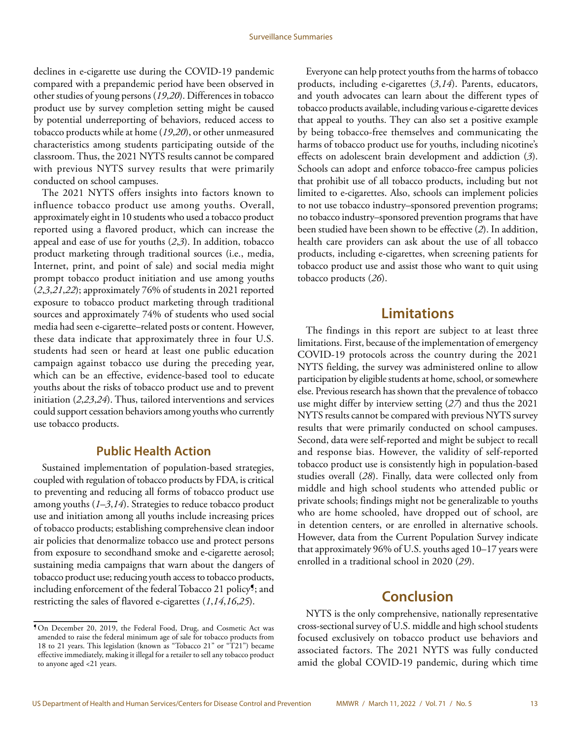<span id="page-14-0"></span>declines in e-cigarette use during the COVID-19 pandemic compared with a prepandemic period have been observed in other studies of young persons (*19*,*20*). Differences in tobacco product use by survey completion setting might be caused by potential underreporting of behaviors, reduced access to tobacco products while at home (*19*,*20*), or other unmeasured characteristics among students participating outside of the classroom. Thus, the 2021 NYTS results cannot be compared with previous NYTS survey results that were primarily conducted on school campuses.

The 2021 NYTS offers insights into factors known to influence tobacco product use among youths. Overall, approximately eight in 10 students who used a tobacco product reported using a flavored product, which can increase the appeal and ease of use for youths (*2*,*3*). In addition, tobacco product marketing through traditional sources (i.e., media, Internet, print, and point of sale) and social media might prompt tobacco product initiation and use among youths (*2*,*3*,*21*,*22*); approximately 76% of students in 2021 reported exposure to tobacco product marketing through traditional sources and approximately 74% of students who used social media had seen e-cigarette–related posts or content. However, these data indicate that approximately three in four U.S. students had seen or heard at least one public education campaign against tobacco use during the preceding year, which can be an effective, evidence-based tool to educate youths about the risks of tobacco product use and to prevent initiation (*2*,*23*,*24*). Thus, tailored interventions and services could support cessation behaviors among youths who currently use tobacco products.

### **Public Health Action**

Sustained implementation of population-based strategies, coupled with regulation of tobacco products by FDA, is critical to preventing and reducing all forms of tobacco product use among youths (*1*–*3*,*14*). Strategies to reduce tobacco product use and initiation among all youths include increasing prices of tobacco products; establishing comprehensive clean indoor air policies that denormalize tobacco use and protect persons from exposure to secondhand smoke and e-cigarette aerosol; sustaining media campaigns that warn about the dangers of tobacco product use; reducing youth access to tobacco products, including enforcement of the federal Tobacco 21 policy¶; and restricting the sales of flavored e-cigarettes (*1*,*14*,*16*,*25*).

Everyone can help protect youths from the harms of tobacco products, including e-cigarettes (*3*,*14*). Parents, educators, and youth advocates can learn about the different types of tobacco products available, including various e-cigarette devices that appeal to youths. They can also set a positive example by being tobacco-free themselves and communicating the harms of tobacco product use for youths, including nicotine's effects on adolescent brain development and addiction (*3*). Schools can adopt and enforce tobacco-free campus policies that prohibit use of all tobacco products, including but not limited to e-cigarettes. Also, schools can implement policies to not use tobacco industry–sponsored prevention programs; no tobacco industry–sponsored prevention programs that have been studied have been shown to be effective (*2*). In addition, health care providers can ask about the use of all tobacco products, including e-cigarettes, when screening patients for tobacco product use and assist those who want to quit using tobacco products (*26*).

# **Limitations**

The findings in this report are subject to at least three limitations. First, because of the implementation of emergency COVID-19 protocols across the country during the 2021 NYTS fielding, the survey was administered online to allow participation by eligible students at home, school, or somewhere else. Previous research has shown that the prevalence of tobacco use might differ by interview setting (*27*) and thus the 2021 NYTS results cannot be compared with previous NYTS survey results that were primarily conducted on school campuses. Second, data were self-reported and might be subject to recall and response bias. However, the validity of self-reported tobacco product use is consistently high in population-based studies overall (*28*). Finally, data were collected only from middle and high school students who attended public or private schools; findings might not be generalizable to youths who are home schooled, have dropped out of school, are in detention centers, or are enrolled in alternative schools. However, data from the Current Population Survey indicate that approximately 96% of U.S. youths aged 10–17 years were enrolled in a traditional school in 2020 (*29*).

# **Conclusion**

NYTS is the only comprehensive, nationally representative cross-sectional survey of U.S. middle and high school students focused exclusively on tobacco product use behaviors and associated factors. The 2021 NYTS was fully conducted amid the global COVID-19 pandemic, during which time

<sup>¶</sup>On December 20, 2019, the Federal Food, Drug, and Cosmetic Act was amended to raise the federal minimum age of sale for tobacco products from 18 to 21 years. This legislation (known as "Tobacco 21" or "T21") became effective immediately, making it illegal for a retailer to sell any tobacco product to anyone aged <21 years.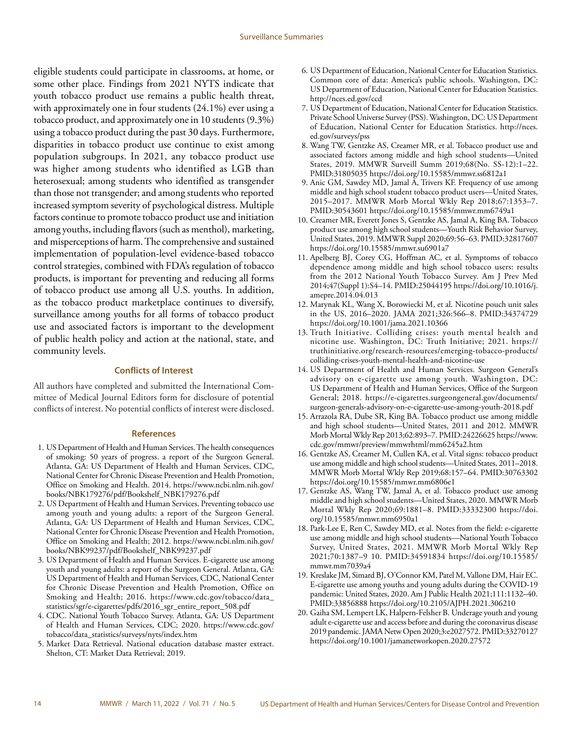<span id="page-15-0"></span>eligible students could participate in classrooms, at home, or some other place. Findings from 2021 NYTS indicate that youth tobacco product use remains a public health threat, with approximately one in four students (24.1%) ever using a tobacco product, and approximately one in 10 students (9.3%) using a tobacco product during the past 30 days. Furthermore, disparities in tobacco product use continue to exist among population subgroups. In 2021, any tobacco product use was higher among students who identified as LGB than heterosexual; among students who identified as transgender than those not transgender; and among students who reported increased symptom severity of psychological distress. Multiple factors continue to promote tobacco product use and initiation among youths, including flavors (such as menthol), marketing, and misperceptions of harm. The comprehensive and sustained implementation of population-level evidence-based tobacco control strategies, combined with FDA's regulation of tobacco products, is important for preventing and reducing all forms of tobacco product use among all U.S. youths. In addition, as the tobacco product marketplace continues to diversify, surveillance among youths for all forms of tobacco product use and associated factors is important to the development of public health policy and action at the national, state, and community levels.

#### **Conflicts of Interest**

All authors have completed and submitted the International Committee of Medical Journal Editors form for disclosure of potential conflicts of interest. No potential conflicts of interest were disclosed.

#### **References**

- 1. US Department of Health and Human Services. The health consequences of smoking: 50 years of progress. a report of the Surgeon General. Atlanta, GA: US Department of Health and Human Services, CDC, National Center for Chronic Disease Prevention and Health Promotion, Office on Smoking and Health. 2014. [https://www.ncbi.nlm.nih.gov/](https://www.ncbi.nlm.nih.gov/books/NBK179276/pdf/Bookshelf_NBK179276.pdf) [books/NBK179276/pdf/Bookshelf\\_NBK179276.pdf](https://www.ncbi.nlm.nih.gov/books/NBK179276/pdf/Bookshelf_NBK179276.pdf)
- 2. US Department of Health and Human Services. Preventing tobacco use among youth and young adults: a report of the Surgeon General. Atlanta, GA: US Department of Health and Human Services, CDC, National Center for Chronic Disease Prevention and Health Promotion, Office on Smoking and Health; 2012. [https://www.ncbi.nlm.nih.gov/](https://www.ncbi.nlm.nih.gov/books/NBK99237/pdf/Bookshelf_NBK99237.pdf) [books/NBK99237/pdf/Bookshelf\\_NBK99237.pdf](https://www.ncbi.nlm.nih.gov/books/NBK99237/pdf/Bookshelf_NBK99237.pdf)
- 3. US Department of Health and Human Services. E-cigarette use among youth and young adults: a report of the Surgeon General. Atlanta, GA: US Department of Health and Human Services, CDC, National Center for Chronic Disease Prevention and Health Promotion, Office on Smoking and Health; 2016. [https://www.cdc.gov/tobacco/data\\_](https://www.cdc.gov/tobacco/data_statistics/sgr/e-cigarettes/pdfs/2016_sgr_entire_report_508.pdf) [statistics/sgr/e-cigarettes/pdfs/2016\\_sgr\\_entire\\_report\\_508.pdf](https://www.cdc.gov/tobacco/data_statistics/sgr/e-cigarettes/pdfs/2016_sgr_entire_report_508.pdf)
- 4. CDC. National Youth Tobacco Survey. Atlanta, GA: US Department of Health and Human Services, CDC; 2020. [https://www.cdc.gov/](https://www.cdc.gov/tobacco/data_statistics/surveys/nyts/index.htm) [tobacco/data\\_statistics/surveys/nyts/index.htm](https://www.cdc.gov/tobacco/data_statistics/surveys/nyts/index.htm)
- 5. Market Data Retrieval. National education database master extract. Shelton, CT: Market Data Retrieval; 2019.
- 6. US Department of Education, National Center for Education Statistics. Common core of data: America's public schools. Washington, DC: US Department of Education, National Center for Education Statistics. <http://nces.ed.gov/ccd>
- 7. US Department of Education, National Center for Education Statistics. Private School Universe Survey (PSS). Washington, DC: US Department of Education, National Center for Education Statistics. [http://nces.](http://nces.ed.gov/surveys/pss) [ed.gov/surveys/pss](http://nces.ed.gov/surveys/pss)
- 8. Wang TW, Gentzke AS, Creamer MR, et al. Tobacco product use and associated factors among middle and high school students—United States, 2019. MMWR Surveill Summ 2019;68(No. SS-12):1–22. [PMID:31805035](https://www.ncbi.nlm.nih.gov/entrez/query.fcgi?cmd=Retrieve&db=PubMed&list_uids=31805035&dopt=Abstract) <https://doi.org/10.15585/mmwr.ss6812a1>
- 9. Anic GM, Sawdey MD, Jamal A, Trivers KF. Frequency of use among middle and high school student tobacco product users—United States, 2015–2017. MMWR Morb Mortal Wkly Rep 2018;67:1353–7. [PMID:30543601](https://www.ncbi.nlm.nih.gov/entrez/query.fcgi?cmd=Retrieve&db=PubMed&list_uids=30543601&dopt=Abstract) <https://doi.org/10.15585/mmwr.mm6749a1>
- 10. Creamer MR, Everett Jones S, Gentzke AS, Jamal A, King BA. Tobacco product use among high school students—Youth Risk Behavior Survey, United States, 2019. MMWR Suppl 2020;69:56–63[. PMID:32817607](https://www.ncbi.nlm.nih.gov/entrez/query.fcgi?cmd=Retrieve&db=PubMed&list_uids=32817607&dopt=Abstract) <https://doi.org/10.15585/mmwr.su6901a7>
- 11. Apelberg BJ, Corey CG, Hoffman AC, et al. Symptoms of tobacco dependence among middle and high school tobacco users: results from the 2012 National Youth Tobacco Survey. Am J Prev Med 2014;47(Suppl 1):S4–14. [PMID:25044195](https://www.ncbi.nlm.nih.gov/entrez/query.fcgi?cmd=Retrieve&db=PubMed&list_uids=25044195&dopt=Abstract) [https://doi.org/10.1016/j.](https://doi.org/10.1016/j.amepre.2014.04.013) [amepre.2014.04.013](https://doi.org/10.1016/j.amepre.2014.04.013)
- 12. Marynak KL, Wang X, Borowiecki M, et al. Nicotine pouch unit sales in the US, 2016–2020. JAMA 2021;326:566–8[. PMID:34374729](https://www.ncbi.nlm.nih.gov/entrez/query.fcgi?cmd=Retrieve&db=PubMed&list_uids=34374729&dopt=Abstract) <https://doi.org/10.1001/jama.2021.10366>
- 13. Truth Initiative. Colliding crises: youth mental health and nicotine use. Washington, DC: Truth Initiative; 2021. [https://](https://truthinitiative.org/research-resources/emerging-tobacco-products/colliding-crises-youth-mental-health-and-nicotine-use) [truthinitiative.org/research-resources/emerging-tobacco-products/](https://truthinitiative.org/research-resources/emerging-tobacco-products/colliding-crises-youth-mental-health-and-nicotine-use) [colliding-crises-youth-mental-health-and-nicotine-use](https://truthinitiative.org/research-resources/emerging-tobacco-products/colliding-crises-youth-mental-health-and-nicotine-use)
- 14. US Department of Health and Human Services. Surgeon General's advisory on e-cigarette use among youth. Washington, DC: US Department of Health and Human Services, Office of the Surgeon General; 2018. [https://e-cigarettes.surgeongeneral.gov/documents/](https://e-cigarettes.surgeongeneral.gov/documents/surgeon-generals-advisory-on-e-cigarette-use-among-youth-2018.pdf) [surgeon-generals-advisory-on-e-cigarette-use-among-youth-2018.pdf](https://e-cigarettes.surgeongeneral.gov/documents/surgeon-generals-advisory-on-e-cigarette-use-among-youth-2018.pdf)
- 15. Arrazola RA, Dube SR, King BA. Tobacco product use among middle and high school students—United States, 2011 and 2012. MMWR Morb Mortal Wkly Rep 2013;62:893–7. [PMID:24226625](https://pubmed.ncbi.nlm.nih.gov/24226625/) [https://www.](https://www.cdc.gov/mmwr/preview/mmwrhtml/mm6245a2.htm) [cdc.gov/mmwr/preview/mmwrhtml/mm6245a2.htm](https://www.cdc.gov/mmwr/preview/mmwrhtml/mm6245a2.htm)
- 16. Gentzke AS, Creamer M, Cullen KA, et al. Vital signs: tobacco product use among middle and high school students—United States, 2011–2018. MMWR Morb Mortal Wkly Rep 2019;68:157–64[. PMID:30763302](https://www.ncbi.nlm.nih.gov/entrez/query.fcgi?cmd=Retrieve&db=PubMed&list_uids=30763302&dopt=Abstract) <https://doi.org/10.15585/mmwr.mm6806e1>
- 17. Gentzke AS, Wang TW, Jamal A, et al. Tobacco product use among middle and high school students—United States, 2020. MMWR Morb Mortal Wkly Rep 2020;69:1881–8. [PMID:33332300](https://www.ncbi.nlm.nih.gov/entrez/query.fcgi?cmd=Retrieve&db=PubMed&list_uids=33332300&dopt=Abstract) [https://doi.](https://doi.org/10.15585/mmwr.mm6950a1) [org/10.15585/mmwr.mm6950a1](https://doi.org/10.15585/mmwr.mm6950a1)
- 18. Park-Lee E, Ren C, Sawdey MD, et al. Notes from the field: e-cigarette use among middle and high school students—National Youth Tobacco Survey, United States, 2021. MMWR Morb Mortal Wkly Rep 2021;70:1387–9 10. [PMID:34591834](https://www.ncbi.nlm.nih.gov/entrez/query.fcgi?cmd=Retrieve&db=PubMed&list_uids=34591834&dopt=Abstract) [https://doi.org/10.15585/](https://doi.org/10.15585/mmwr.mm7039a4) [mmwr.mm7039a4](https://doi.org/10.15585/mmwr.mm7039a4)
- 19. Kreslake JM, Simard BJ, O'Connor KM, Patel M, Vallone DM, Hair EC. E-cigarette use among youths and young adults during the COVID-19 pandemic: United States, 2020. Am J Public Health 2021;111:1132–40. [PMID:33856888](https://www.ncbi.nlm.nih.gov/entrez/query.fcgi?cmd=Retrieve&db=PubMed&list_uids=33856888&dopt=Abstract) <https://doi.org/10.2105/AJPH.2021.306210>
- 20. Gaiha SM, Lempert LK, Halpern-Felsher B. Underage youth and young adult e-cigarette use and access before and during the coronavirus disease 2019 pandemic. JAMA Netw Open 2020;3:e2027572. [PMID:33270127](https://www.ncbi.nlm.nih.gov/entrez/query.fcgi?cmd=Retrieve&db=PubMed&list_uids=33270127&dopt=Abstract) <https://doi.org/10.1001/jamanetworkopen.2020.27572>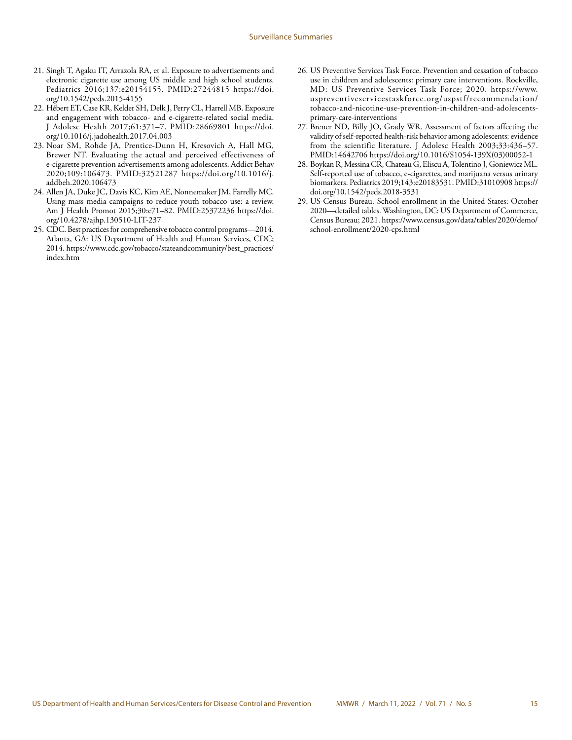- 21. Singh T, Agaku IT, Arrazola RA, et al. Exposure to advertisements and electronic cigarette use among US middle and high school students. Pediatrics 2016;137:e20154155. [PMID:27244815](https://www.ncbi.nlm.nih.gov/entrez/query.fcgi?cmd=Retrieve&db=PubMed&list_uids=27244815&dopt=Abstract) [https://doi.](https://doi.org/10.1542/peds.2015-4155) [org/10.1542/peds.2015-4155](https://doi.org/10.1542/peds.2015-4155)
- 22. Hébert ET, Case KR, Kelder SH, Delk J, Perry CL, Harrell MB. Exposure and engagement with tobacco- and e-cigarette-related social media. J Adolesc Health 2017;61:371–7[. PMID:28669801](https://www.ncbi.nlm.nih.gov/entrez/query.fcgi?cmd=Retrieve&db=PubMed&list_uids=28669801&dopt=Abstract) [https://doi.](https://doi.org/10.1016/j.jadohealth.2017.04.003) [org/10.1016/j.jadohealth.2017.04.003](https://doi.org/10.1016/j.jadohealth.2017.04.003)
- 23. Noar SM, Rohde JA, Prentice-Dunn H, Kresovich A, Hall MG, Brewer NT. Evaluating the actual and perceived effectiveness of e-cigarette prevention advertisements among adolescents. Addict Behav 2020;109:106473[. PMID:32521287](https://www.ncbi.nlm.nih.gov/entrez/query.fcgi?cmd=Retrieve&db=PubMed&list_uids=32521287&dopt=Abstract) [https://doi.org/10.1016/j.](https://doi.org/10.1016/j.addbeh.2020.106473) [addbeh.2020.106473](https://doi.org/10.1016/j.addbeh.2020.106473)
- 24. Allen JA, Duke JC, Davis KC, Kim AE, Nonnemaker JM, Farrelly MC. Using mass media campaigns to reduce youth tobacco use: a review. Am J Health Promot 2015;30:e71–82. [PMID:25372236](https://www.ncbi.nlm.nih.gov/entrez/query.fcgi?cmd=Retrieve&db=PubMed&list_uids=25372236&dopt=Abstract) [https://doi.](https://doi.org/10.4278/ajhp.130510-LIT-237) [org/10.4278/ajhp.130510-LIT-237](https://doi.org/10.4278/ajhp.130510-LIT-237)
- 25. CDC. Best practices for comprehensive tobacco control programs—2014. Atlanta, GA: US Department of Health and Human Services, CDC; 2014. [https://www.cdc.gov/tobacco/stateandcommunity/best\\_practices/](https://www.cdc.gov/tobacco/stateandcommunity/best_practices/index.htm) [index.htm](https://www.cdc.gov/tobacco/stateandcommunity/best_practices/index.htm)
- 26. US Preventive Services Task Force. Prevention and cessation of tobacco use in children and adolescents: primary care interventions. Rockville, MD: US Preventive Services Task Force; 2020. [https://www.](https://www.uspreventiveservicestaskforce.org/uspstf/recommendation/tobacco-and-nicotine-use-prevention-in-children-and-adolescents-primary-care-interventions) [uspreventiveservicestaskforce.org/uspstf/recommendation/](https://www.uspreventiveservicestaskforce.org/uspstf/recommendation/tobacco-and-nicotine-use-prevention-in-children-and-adolescents-primary-care-interventions) [tobacco-and-nicotine-use-prevention-in-children-and-adolescents](https://www.uspreventiveservicestaskforce.org/uspstf/recommendation/tobacco-and-nicotine-use-prevention-in-children-and-adolescents-primary-care-interventions)[primary-care-interventions](https://www.uspreventiveservicestaskforce.org/uspstf/recommendation/tobacco-and-nicotine-use-prevention-in-children-and-adolescents-primary-care-interventions)
- 27. Brener ND, Billy JO, Grady WR. Assessment of factors affecting the validity of self-reported health-risk behavior among adolescents: evidence from the scientific literature. J Adolesc Health 2003;33:436-57. [PMID:14642706](https://www.ncbi.nlm.nih.gov/entrez/query.fcgi?cmd=Retrieve&db=PubMed&list_uids=14642706&dopt=Abstract) [https://doi.org/10.1016/S1054-139X\(03\)00052-1](https://doi.org/10.1016/S1054-139X(03)00052-1)
- 28. Boykan R, Messina CR, Chateau G, Eliscu A, Tolentino J, Goniewicz ML. Self-reported use of tobacco, e-cigarettes, and marijuana versus urinary biomarkers. Pediatrics 2019;143:e20183531[. PMID:31010908](https://www.ncbi.nlm.nih.gov/entrez/query.fcgi?cmd=Retrieve&db=PubMed&list_uids=31010908&dopt=Abstract) [https://](https://doi.org/10.1542/peds.2018-3531) [doi.org/10.1542/peds.2018-3531](https://doi.org/10.1542/peds.2018-3531)
- 29. US Census Bureau. School enrollment in the United States: October 2020—detailed tables. Washington, DC: US Department of Commerce, Census Bureau; 2021. [https://www.census.gov/data/tables/2020/demo/](https://www.census.gov/data/tables/2020/demo/school-enrollment/2020-cps.html) [school-enrollment/2020-cps.html](https://www.census.gov/data/tables/2020/demo/school-enrollment/2020-cps.html)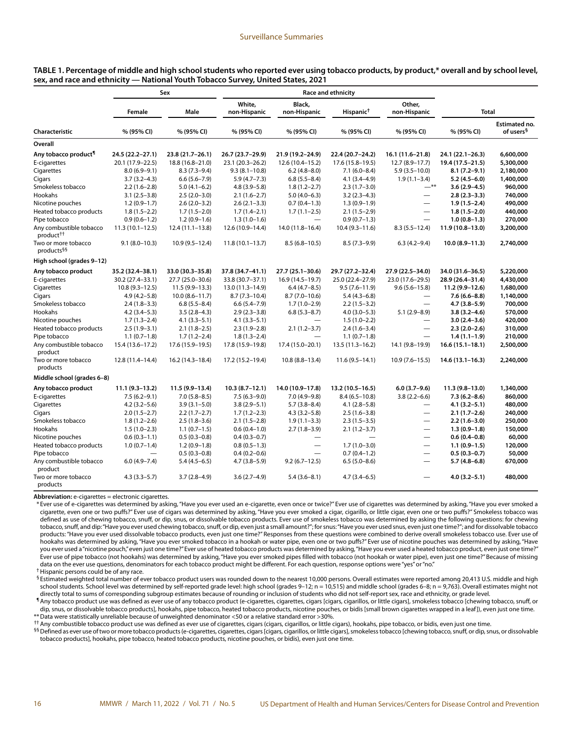| TABLE 1. Percentage of middle and high school students who reported ever using tobacco products, by product,* overall and by school level, |  |
|--------------------------------------------------------------------------------------------------------------------------------------------|--|
| sex, and race and ethnicity — National Youth Tobacco Survey, United States, 2021                                                           |  |

|                                                  |                     | Sex                 | <b>Race and ethnicity</b> |                        |                       |                          |                     |                                        |
|--------------------------------------------------|---------------------|---------------------|---------------------------|------------------------|-----------------------|--------------------------|---------------------|----------------------------------------|
|                                                  | Female              | Male                | White,<br>non-Hispanic    | Black,<br>non-Hispanic | Hispanic <sup>†</sup> | Other,<br>non-Hispanic   | <b>Total</b>        |                                        |
| Characteristic                                   | % (95% CI)          | % (95% CI)          | % (95% CI)                | % (95% CI)             | % (95% CI)            | % (95% CI)               | % (95% CI)          | Estimated no.<br>of users <sup>§</sup> |
| Overall                                          |                     |                     |                           |                        |                       |                          |                     |                                        |
| Any tobacco product <sup>1</sup>                 | 24.5 (22.2-27.1)    | 23.8 (21.7-26.1)    | 26.7 (23.7-29.9)          | 21.9 (19.2-24.9)       | 22.4 (20.7-24.2)      | 16.1 (11.6-21.8)         | 24.1 (22.1-26.3)    | 6,600,000                              |
| E-cigarettes                                     | 20.1 (17.9-22.5)    | 18.8 (16.8-21.0)    | 23.1 (20.3-26.2)          | 12.6 (10.4-15.2)       | 17.6 (15.8-19.5)      | $12.7(8.9 - 17.7)$       | 19.4 (17.5-21.5)    | 5,300,000                              |
| Cigarettes                                       | $8.0(6.9 - 9.1)$    | $8.3(7.3-9.4)$      | $9.3(8.1 - 10.8)$         | $6.2(4.8 - 8.0)$       | $7.1(6.0 - 8.4)$      | $5.9(3.5 - 10.0)$        | $8.1(7.2 - 9.1)$    | 2,180,000                              |
| Cigars                                           | $3.7(3.2 - 4.3)$    | $6.6(5.6 - 7.9)$    | $5.9(4.7 - 7.3)$          | $6.8(5.5 - 8.4)$       | $4.1(3.4 - 4.9)$      | $1.9(1.1 - 3.4)$         | $5.2(4.5-6.0)$      | 1,400,000                              |
| Smokeless tobacco                                | $2.2(1.6-2.8)$      | $5.0(4.1-6.2)$      | $4.8(3.9 - 5.8)$          | $1.8(1.2 - 2.7)$       | $2.3(1.7-3.0)$        | $-$ **                   | $3.6(2.9 - 4.5)$    | 960,000                                |
| Hookahs                                          | $3.1(2.5-3.8)$      | $2.5(2.0-3.0)$      | $2.1(1.6-2.7)$            | $5.0(4.0-6.3)$         | $3.2(2.3-4.3)$        | $\overline{\phantom{0}}$ | $2.8(2.3 - 3.3)$    | 740,000                                |
| Nicotine pouches                                 | $1.2(0.9-1.7)$      | $2.6(2.0-3.2)$      | $2.6(2.1-3.3)$            | $0.7(0.4-1.3)$         | $1.3(0.9-1.9)$        | $\overline{\phantom{0}}$ | $1.9(1.5-2.4)$      | 490,000                                |
| Heated tobacco products                          | $1.8(1.5-2.2)$      | $1.7(1.5-2.0)$      | $1.7(1.4-2.1)$            | $1.7(1.1-2.5)$         | $2.1(1.5-2.9)$        | $\overline{\phantom{0}}$ | $1.8(1.5-2.0)$      | 440,000                                |
| Pipe tobacco                                     | $0.9(0.6-1.2)$      | $1.2(0.9-1.6)$      | $1.3(1.0-1.6)$            |                        | $0.9(0.7-1.3)$        |                          | $1.0(0.8-1.3)$      | 270,000                                |
| Any combustible tobacco<br>product <sup>††</sup> | $11.3(10.1 - 12.5)$ | $12.4(11.1-13.8)$   | 12.6 (10.9-14.4)          | 14.0 (11.8-16.4)       | $10.4(9.3 - 11.6)$    | $8.3(5.5 - 12.4)$        | $11.9(10.8-13.0)$   | 3,200,000                              |
| Two or more tobacco<br>products <sup>§§</sup>    | $9.1(8.0-10.3)$     | $10.9(9.5 - 12.4)$  | $11.8(10.1 - 13.7)$       | $8.5(6.8 - 10.5)$      | $8.5(7.3-9.9)$        | $6.3(4.2 - 9.4)$         | $10.0(8.9 - 11.3)$  | 2,740,000                              |
| High school (grades 9-12)                        |                     |                     |                           |                        |                       |                          |                     |                                        |
| Any tobacco product                              | 35.2 (32.4-38.1)    | 33.0 (30.3-35.8)    | 37.8 (34.7-41.1)          | 27.7 (25.1-30.6)       | 29.7 (27.2-32.4)      | 27.9 (22.5-34.0)         | 34.0 (31.6-36.5)    | 5,220,000                              |
| E-cigarettes                                     | 30.2 (27.4-33.1)    | 27.7 (25.0-30.6)    | 33.8 (30.7-37.1)          | 16.9 (14.5-19.7)       | 25.0 (22.4-27.9)      | 23.0 (17.6-29.5)         | 28.9 (26.4-31.4)    | 4,430,000                              |
| Cigarettes                                       | $10.8(9.3 - 12.5)$  | $11.5(9.9 - 13.3)$  | 13.0 (11.3-14.9)          | $6.4(4.7-8.5)$         | $9.5(7.6 - 11.9)$     | $9.6(5.6 - 15.8)$        | 11.2 (9.9-12.6)     | 1,680,000                              |
| Cigars                                           | $4.9(4.2 - 5.8)$    | $10.0 (8.6 - 11.7)$ | $8.7(7.3 - 10.4)$         | $8.7(7.0-10.6)$        | $5.4(4.3-6.8)$        |                          | $7.6(6.6 - 8.8)$    | 1,140,000                              |
| Smokeless tobacco                                | $2.4(1.8-3.3)$      | $6.8(5.5 - 8.4)$    | $6.6(5.4 - 7.9)$          | $1.7(1.0-2.9)$         | $2.2(1.5-3.2)$        | $\overline{\phantom{0}}$ | $4.7(3.8 - 5.9)$    | 700,000                                |
| Hookahs                                          | $4.2(3.4 - 5.3)$    | $3.5(2.8-4.3)$      | $2.9(2.3-3.8)$            | $6.8(5.3 - 8.7)$       | $4.0(3.0-5.3)$        | $5.1(2.9 - 8.9)$         | $3.8(3.2 - 4.6)$    | 570,000                                |
| Nicotine pouches                                 | $1.7(1.3-2.4)$      | $4.1(3.3 - 5.1)$    | $4.1(3.3 - 5.1)$          |                        | $1.5(1.0-2.2)$        | $\overline{\phantom{0}}$ | $3.0(2.4 - 3.6)$    | 420,000                                |
| Heated tobacco products                          | $2.5(1.9-3.1)$      | $2.1(1.8-2.5)$      | $2.3(1.9-2.8)$            | $2.1(1.2 - 3.7)$       | $2.4(1.6-3.4)$        | $\overline{\phantom{0}}$ | $2.3(2.0-2.6)$      | 310,000                                |
| Pipe tobacco                                     | $1.1(0.7-1.8)$      | $1.7(1.2 - 2.4)$    | $1.8(1.3-2.4)$            |                        | $1.1(0.7-1.8)$        | $\equiv$                 | $1.4(1.1-1.9)$      | 210,000                                |
| Any combustible tobacco<br>product               | 15.4 (13.6-17.2)    | 17.6 (15.9-19.5)    | 17.8 (15.9-19.8)          | 17.4 (15.0-20.1)       | $13.5(11.3 - 16.2)$   | 14.1 (9.8-19.9)          | $16.6(15.1 - 18.1)$ | 2,500,000                              |
| Two or more tobacco<br>products                  | $12.8(11.4 - 14.4)$ | 16.2 (14.3-18.4)    | 17.2 (15.2-19.4)          | $10.8(8.8 - 13.4)$     | $11.6(9.5 - 14.1)$    | $10.9(7.6 - 15.5)$       | $14.6(13.1 - 16.3)$ | 2,240,000                              |
| Middle school (grades 6-8)                       |                     |                     |                           |                        |                       |                          |                     |                                        |
| Any tobacco product                              | $11.1 (9.3 - 13.2)$ | 11.5 (9.9-13.4)     | $10.3(8.7 - 12.1)$        | 14.0 (10.9-17.8)       | 13.2 (10.5-16.5)      | $6.0(3.7-9.6)$           | $11.3(9.8 - 13.0)$  | 1,340,000                              |
| E-cigarettes                                     | $7.5(6.2 - 9.1)$    | $7.0(5.8 - 8.5)$    | $7.5(6.3-9.0)$            | $7.0(4.9-9.8)$         | $8.4(6.5 - 10.8)$     | $3.8(2.2 - 6.6)$         | $7.3(6.2 - 8.6)$    | 860,000                                |
| Cigarettes                                       | $4.2(3.2 - 5.6)$    | $3.9(3.1 - 5.0)$    | $3.8(2.9 - 5.1)$          | $5.7(3.8-8.4)$         | $4.1(2.8 - 5.8)$      |                          | $4.1(3.2 - 5.1)$    | 480,000                                |
| Cigars                                           | $2.0(1.5-2.7)$      | $2.2(1.7-2.7)$      | $1.7(1.2-2.3)$            | $4.3(3.2 - 5.8)$       | $2.5(1.6-3.8)$        | $\overline{\phantom{0}}$ | $2.1(1.7-2.6)$      | 240,000                                |
| Smokeless tobacco                                | $1.8(1.2 - 2.6)$    | $2.5(1.8-3.6)$      | $2.1(1.5-2.8)$            | $1.9(1.1-3.3)$         | $2.3(1.5-3.5)$        | $\overline{\phantom{0}}$ | $2.2(1.6-3.0)$      | 250,000                                |
| Hookahs                                          | $1.5(1.0-2.3)$      | $1.1(0.7-1.5)$      | $0.6(0.4 - 1.0)$          | $2.7(1.8-3.9)$         | $2.1(1.2-3.7)$        | $\equiv$                 | $1.3(0.9-1.8)$      | 150,000                                |
| Nicotine pouches                                 | $0.6(0.3-1.1)$      | $0.5(0.3-0.8)$      | $0.4(0.3-0.7)$            |                        |                       | $=$                      | $0.6(0.4-0.8)$      | 60,000                                 |
| Heated tobacco products                          | $1.0(0.7-1.4)$      | $1.2(0.9-1.8)$      | $0.8(0.5-1.3)$            |                        | $1.7(1.0-3.0)$        | $\equiv$                 | $1.1(0.9-1.5)$      | 120,000                                |
| Pipe tobacco                                     |                     | $0.5(0.3-0.8)$      | $0.4(0.2-0.6)$            |                        | $0.7(0.4-1.2)$        | $\overline{\phantom{0}}$ | $0.5(0.3-0.7)$      | 50,000                                 |
| Any combustible tobacco<br>product               | $6.0(4.9 - 7.4)$    | $5.4(4.5-6.5)$      | $4.7(3.8 - 5.9)$          | $9.2(6.7 - 12.5)$      | $6.5(5.0 - 8.6)$      | $\overline{\phantom{0}}$ | $5.7(4.8-6.8)$      | 670,000                                |
| Two or more tobacco<br>products                  | $4.3(3.3 - 5.7)$    | $3.7(2.8-4.9)$      | $3.6(2.7-4.9)$            | $5.4(3.6-8.1)$         | $4.7(3.4 - 6.5)$      |                          | $4.0(3.2 - 5.1)$    | 480,000                                |

**Abbreviation:** e-cigarettes = electronic cigarettes.

\* Ever use of e-cigarettes was determined by asking, "Have you ever used an e-cigarette, even once or twice?" Ever use of cigarettes was determined by asking, "Have you ever smoked a cigarette, even one or two puffs?" Ever use of cigars was determined by asking, "Have you ever smoked a cigar, cigarillo, or little cigar, even one or two puffs?" Smokeless tobacco was defined as use of chewing tobacco, snuff, or dip, snus, or dissolvable tobacco products. Ever use of smokeless tobacco was determined by asking the following questions: for chewing tobacco, snuff, and dip: "Have you ever used chewing tobacco, snuff, or dip, even just a small amount?"; for snus: "Have you ever used snus, even just one time?"; and for dissolvable tobacco products: "Have you ever used dissolvable tobacco products, even just one time?" Responses from these questions were combined to derive overall smokeless tobacco use. Ever use of hookahs was determined by asking, "Have you ever smoked tobacco in a hookah or water pipe, even one or two puffs?" Ever use of nicotine pouches was determined by asking, "Have you ever used a "nicotine pouch," even just one time?" Ever use of heated tobacco products was determined by asking, "Have you ever used a heated tobacco product, even just one time?" Ever use of pipe tobacco (not hookahs) was determined by asking, "Have you ever smoked pipes filled with tobacco (not hookah or water pipe), even just one time?" Because of missing data on the ever use questions, denominators for each tobacco product might be different. For each question, response options were "yes" or "no."

†Hispanic persons could be of any race.

§ Estimated weighted total number of ever tobacco product users was rounded down to the nearest 10,000 persons. Overall estimates were reported among 20,413 U.S. middle and high school students. School level was determined by self-reported grade level: high school (grades 9–12; n = 10,515) and middle school (grades 6–8; n = 9,763). Overall estimates might not directly total to sums of corresponding subgroup estimates because of rounding or inclusion of students who did not self-report sex, race and ethnicity, or grade level.

¶Any tobacco product use was defined as ever use of any tobacco product (e-cigarettes, cigarettes, cigars [cigars, cigarillos, or little cigars], smokeless tobacco [chewing tobacco, snuff, or dip, snus, or dissolvable tobacco products], hookahs, pipe tobacco, heated tobacco products, nicotine pouches, or bidis [small brown cigarettes wrapped in a leaf]), even just one time. \*\*Data were statistically unreliable because of unweighted denominator <50 or a relative standard error >30%.

††Any combustible tobacco product use was defined as ever use of cigarettes, cigars (cigars, cigarillos, or little cigars), hookahs, pipe tobacco, or bidis, even just one time.

§§Defined as ever use of two or more tobacco products (e-cigarettes, cigarettes, cigars [cigars, cigarillos, or little cigars], smokeless tobacco [chewing tobacco, snuff, or dip, snus, or dissolvable tobacco products], hookahs, pipe tobacco, heated tobacco products, nicotine pouches, or bidis), even just one time.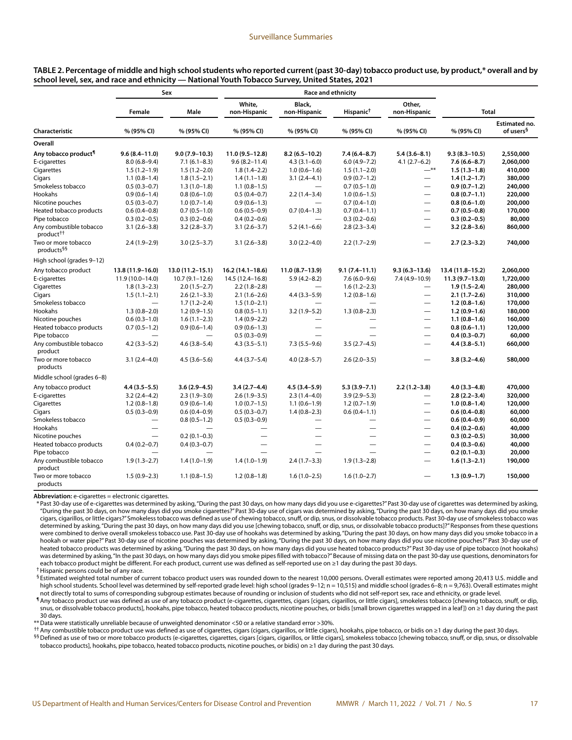| TABLE 2. Percentage of middle and high school students who reported current (past 30-day) tobacco product use, by product,* overall and by |  |  |
|--------------------------------------------------------------------------------------------------------------------------------------------|--|--|
| school level, sex, and race and ethnicity — National Youth Tobacco Survey, United States, 2021                                             |  |  |

|                                                  |                          | Sex                 |                        | <b>Race and ethnicity</b> |                       |                          |                   |                                               |  |  |  |  |
|--------------------------------------------------|--------------------------|---------------------|------------------------|---------------------------|-----------------------|--------------------------|-------------------|-----------------------------------------------|--|--|--|--|
|                                                  | Female                   | Male                | White,<br>non-Hispanic | Black,<br>non-Hispanic    | Hispanic <sup>†</sup> | Other.<br>non-Hispanic   | <b>Total</b>      |                                               |  |  |  |  |
| Characteristic                                   | % (95% CI)               | % (95% CI)          | % (95% CI)             | % (95% CI)                | % (95% CI)            | % (95% CI)               | % (95% CI)        | <b>Estimated no.</b><br>of users <sup>§</sup> |  |  |  |  |
| Overall                                          |                          |                     |                        |                           |                       |                          |                   |                                               |  |  |  |  |
| Any tobacco product <sup>1</sup>                 | $9.6(8.4 - 11.0)$        | $9.0(7.9 - 10.3)$   | $11.0(9.5-12.8)$       | $8.2(6.5 - 10.2)$         | $7.4(6.4 - 8.7)$      | $5.4(3.6 - 8.1)$         | $9.3(8.3 - 10.5)$ | 2,550,000                                     |  |  |  |  |
| E-cigarettes                                     | $8.0(6.8-9.4)$           | $7.1(6.1 - 8.3)$    | $9.6(8.2 - 11.4)$      | $4.3(3.1 - 6.0)$          | $6.0(4.9 - 7.2)$      | $4.1(2.7-6.2)$           | $7.6(6.6 - 8.7)$  | 2,060,000                                     |  |  |  |  |
| Cigarettes                                       | $1.5(1.2-1.9)$           | $1.5(1.2 - 2.0)$    | $1.8(1.4-2.2)$         | $1.0(0.6-1.6)$            | $1.5(1.1-2.0)$        | $-$ **                   | $1.5(1.3-1.8)$    | 410,000                                       |  |  |  |  |
| Cigars                                           | $1.1(0.8-1.4)$           | $1.8(1.5-2.1)$      | $1.4(1.1-1.8)$         | $3.1(2.4 - 4.1)$          | $0.9(0.7-1.2)$        | $\qquad \qquad -$        | $1.4(1.2-1.7)$    | 380,000                                       |  |  |  |  |
| Smokeless tobacco                                | $0.5(0.3-0.7)$           | $1.3(1.0-1.8)$      | $1.1(0.8-1.5)$         | $\overline{\phantom{0}}$  | $0.7(0.5-1.0)$        | $\overline{\phantom{0}}$ | $0.9(0.7-1.2)$    | 240,000                                       |  |  |  |  |
| Hookahs                                          | $0.9(0.6 - 1.4)$         | $0.8(0.6 - 1.0)$    | $0.5(0.4-0.7)$         | $2.2(1.4-3.4)$            | $1.0(0.6-1.5)$        | $\overline{\phantom{0}}$ | $0.8(0.7-1.1)$    | 220,000                                       |  |  |  |  |
| Nicotine pouches                                 | $0.5(0.3-0.7)$           | $1.0(0.7-1.4)$      | $0.9(0.6-1.3)$         |                           | $0.7(0.4-1.0)$        | $\overline{\phantom{0}}$ | $0.8(0.6 - 1.0)$  | 200,000                                       |  |  |  |  |
| Heated tobacco products                          | $0.6(0.4-0.8)$           | $0.7(0.5-1.0)$      | $0.6(0.5-0.9)$         | $0.7(0.4-1.3)$            | $0.7(0.4-1.1)$        | $\overline{\phantom{0}}$ | $0.7(0.5-0.8)$    | 170,000                                       |  |  |  |  |
| Pipe tobacco                                     | $0.3(0.2 - 0.5)$         | $0.3(0.2 - 0.6)$    | $0.4(0.2-0.6)$         |                           | $0.3(0.2 - 0.6)$      | $\overline{\phantom{0}}$ | $0.3(0.2 - 0.5)$  | 80,000                                        |  |  |  |  |
| Any combustible tobacco<br>product <sup>††</sup> | $3.1(2.6-3.8)$           | $3.2(2.8-3.7)$      | $3.1(2.6-3.7)$         | $5.2(4.1-6.6)$            | $2.8(2.3-3.4)$        | $\equiv$                 | $3.2(2.8-3.6)$    | 860,000                                       |  |  |  |  |
| Two or more tobacco<br>products <sup>§§</sup>    | $2.4(1.9-2.9)$           | $3.0(2.5-3.7)$      | $3.1(2.6-3.8)$         | $3.0(2.2 - 4.0)$          | $2.2(1.7-2.9)$        | $\overline{\phantom{0}}$ | $2.7(2.3-3.2)$    | 740,000                                       |  |  |  |  |
| High school (grades 9-12)                        |                          |                     |                        |                           |                       |                          |                   |                                               |  |  |  |  |
| Any tobacco product                              | 13.8 (11.9-16.0)         | $13.0(11.2 - 15.1)$ | $16.2(14.1 - 18.6)$    | $11.0(8.7-13.9)$          | $9.1(7.4 - 11.1)$     | $9.3(6.3 - 13.6)$        | 13.4 (11.8-15.2)  | 2,060,000                                     |  |  |  |  |
| E-cigarettes                                     | $11.9(10.0 - 14.0)$      | $10.7(9.1 - 12.6)$  | 14.5 (12.4-16.8)       | $5.9(4.2 - 8.2)$          | $7.6(6.0-9.6)$        | $7.4(4.9-10.9)$          | $11.3(9.7-13.0)$  | 1,720,000                                     |  |  |  |  |
| Cigarettes                                       | $1.8(1.3-2.3)$           | $2.0(1.5-2.7)$      | $2.2(1.8-2.8)$         |                           | $1.6(1.2 - 2.3)$      | $\qquad \qquad -$        | $1.9(1.5-2.4)$    | 280,000                                       |  |  |  |  |
| Cigars                                           | $1.5(1.1-2.1)$           | $2.6(2.1-3.3)$      | $2.1(1.6-2.6)$         | $4.4(3.3-5.9)$            | $1.2(0.8-1.6)$        | $\overline{\phantom{0}}$ | $2.1(1.7-2.6)$    | 310,000                                       |  |  |  |  |
| Smokeless tobacco                                | $\overline{\phantom{0}}$ | $1.7(1.2-2.4)$      | $1.5(1.0-2.1)$         |                           |                       | $\overline{\phantom{0}}$ | $1.2(0.8-1.6)$    | 170,000                                       |  |  |  |  |
| Hookahs                                          | $1.3(0.8-2.0)$           | $1.2(0.9-1.5)$      | $0.8(0.5-1.1)$         | $3.2(1.9-5.2)$            | $1.3(0.8-2.3)$        | $\overline{\phantom{0}}$ | $1.2(0.9-1.6)$    | 180,000                                       |  |  |  |  |
| Nicotine pouches                                 | $0.6(0.3-1.0)$           | $1.6(1.1-2.3)$      | $1.4(0.9-2.2)$         |                           |                       | $\qquad \qquad -$        | $1.1(0.8-1.6)$    | 160,000                                       |  |  |  |  |
| Heated tobacco products                          | $0.7(0.5-1.2)$           | $0.9(0.6 - 1.4)$    | $0.9(0.6-1.3)$         |                           |                       | $\overline{\phantom{0}}$ | $0.8(0.6 - 1.1)$  | 120,000                                       |  |  |  |  |
| Pipe tobacco                                     |                          |                     | $0.5(0.3-0.9)$         |                           |                       | $\overline{\phantom{0}}$ | $0.4(0.3-0.7)$    | 60,000                                        |  |  |  |  |
| Any combustible tobacco<br>product               | $4.2(3.3-5.2)$           | $4.6(3.8 - 5.4)$    | $4.3(3.5-5.1)$         | $7.3(5.5-9.6)$            | $3.5(2.7-4.5)$        | $\overline{\phantom{0}}$ | $4.4(3.8 - 5.1)$  | 660,000                                       |  |  |  |  |
| Two or more tobacco<br>products                  | $3.1(2.4 - 4.0)$         | $4.5(3.6 - 5.6)$    | $4.4(3.7-5.4)$         | $4.0(2.8 - 5.7)$          | $2.6(2.0-3.5)$        | $\overline{\phantom{0}}$ | $3.8(3.2 - 4.6)$  | 580,000                                       |  |  |  |  |
| Middle school (grades 6-8)                       |                          |                     |                        |                           |                       |                          |                   |                                               |  |  |  |  |
| Any tobacco product                              | 4.4 (3.5–5.5)            | $3.6(2.9 - 4.5)$    | $3.4(2.7-4.4)$         | $4.5(3.4 - 5.9)$          | $5.3(3.9 - 7.1)$      | $2.2(1.2 - 3.8)$         | $4.0(3.3-4.8)$    | 470,000                                       |  |  |  |  |
| E-cigarettes                                     | $3.2(2.4 - 4.2)$         | $2.3(1.9-3.0)$      | $2.6(1.9-3.5)$         | $2.3(1.4-4.0)$            | $3.9(2.9 - 5.3)$      | $\overline{\phantom{0}}$ | $2.8(2.2 - 3.4)$  | 320,000                                       |  |  |  |  |
| Cigarettes                                       | $1.2(0.8-1.8)$           | $0.9(0.6-1.4)$      | $1.0(0.7-1.5)$         | $1.1(0.6-1.9)$            | $1.2(0.7-1.9)$        | $=$                      | $1.0(0.8-1.4)$    | 120,000                                       |  |  |  |  |
| Cigars                                           | $0.5(0.3-0.9)$           | $0.6(0.4 - 0.9)$    | $0.5(0.3-0.7)$         | $1.4(0.8-2.3)$            | $0.6(0.4-1.1)$        | $\equiv$                 | $0.6(0.4-0.8)$    | 60,000                                        |  |  |  |  |
| Smokeless tobacco                                | $\overline{\phantom{0}}$ | $0.8(0.5-1.2)$      | $0.5(0.3-0.9)$         |                           |                       | $\overline{\phantom{0}}$ | $0.6(0.4-0.9)$    | 60,000                                        |  |  |  |  |
| Hookahs                                          |                          |                     |                        |                           |                       | $\overline{\phantom{0}}$ | $0.4(0.2-0.6)$    | 40,000                                        |  |  |  |  |
| Nicotine pouches                                 |                          | $0.2(0.1 - 0.3)$    |                        |                           |                       | —                        | $0.3(0.2 - 0.5)$  | 30,000                                        |  |  |  |  |
| Heated tobacco products                          | $0.4(0.2 - 0.7)$         | $0.4(0.3-0.7)$      |                        |                           |                       | $\overline{\phantom{0}}$ | $0.4(0.3-0.6)$    | 40,000                                        |  |  |  |  |
| Pipe tobacco                                     |                          |                     |                        |                           |                       | $\overline{\phantom{0}}$ | $0.2(0.1-0.3)$    | 20,000                                        |  |  |  |  |
| Any combustible tobacco<br>product               | $1.9(1.3-2.7)$           | $1.4(1.0-1.9)$      | $1.4(1.0-1.9)$         | $2.4(1.7-3.3)$            | $1.9(1.3-2.8)$        | $\equiv$                 | $1.6(1.3-2.1)$    | 190,000                                       |  |  |  |  |
| Two or more tobacco<br>products                  | $1.5(0.9-2.3)$           | $1.1(0.8-1.5)$      | $1.2(0.8-1.8)$         | $1.6(1.0-2.5)$            | $1.6(1.0-2.7)$        | $\overline{\phantom{0}}$ | $1.3(0.9-1.7)$    | 150,000                                       |  |  |  |  |

**Abbreviation:** e-cigarettes = electronic cigarettes.

\* Past 30-day use of e-cigarettes was determined by asking, "During the past 30 days, on how many days did you use e-cigarettes?" Past 30-day use of cigarettes was determined by asking, "During the past 30 days, on how many days did you smoke cigarettes?" Past 30-day use of cigars was determined by asking, "During the past 30 days, on how many days did you smoke cigars, cigarillos, or little cigars?" Smokeless tobacco was defined as use of chewing tobacco, snuff, or dip, snus, or dissolvable tobacco products. Past 30-day use of smokeless tobacco was determined by asking, "During the past 30 days, on how many days did you use [chewing tobacco, snuff, or dip, snus, or dissolvable tobacco products]?" Responses from these questions were combined to derive overall smokeless tobacco use. Past 30-day use of hookahs was determined by asking, "During the past 30 days, on how many days did you smoke tobacco in a hookah or water pipe?" Past 30-day use of nicotine pouches was determined by asking, "During the past 30 days, on how many days did you use nicotine pouches?" Past 30-day use of heated tobacco products was determined by asking, "During the past 30 days, on how many days did you use heated tobacco products?" Past 30-day use of pipe tobacco (not hookahs) was determined by asking, "In the past 30 days, on how many days did you smoke pipes filled with tobacco?" Because of missing data on the past 30-day use questions, denominators for each tobacco product might be different. For each product, current use was defined as self-reported use on ≥1 day during the past 30 days.

†Hispanic persons could be of any race.

 $\frac{6}{3}$  Estimated weighted total number of current tobacco product users was rounded down to the nearest 10,000 persons. Overall estimates were reported among 20.413 U.S. middle and high school students. School level was determined by self-reported grade level: high school (grades 9–12; n = 10,515) and middle school (grades 6–8; n = 9,763). Overall estimates might not directly total to sums of corresponding subgroup estimates because of rounding or inclusion of students who did not self-report sex, race and ethnicity, or grade level.

¶Any tobacco product use was defined as use of any tobacco product (e-cigarettes, cigarettes, cigars [cigars, cigarillos, or little cigars], smokeless tobacco [chewing tobacco, snuff, or dip, snus, or dissolvable tobacco products], hookahs, pipe tobacco, heated tobacco products, nicotine pouches, or bidis [small brown cigarettes wrapped in a leaf]) on ≥1 day during the past 30 days.

\*\*Data were statistically unreliable because of unweighted denominator <50 or a relative standard error >30%.

††Any combustible tobacco product use was defined as use of cigarettes, cigars (cigars, cigarillos, or little cigars), hookahs, pipe tobacco, or bidis on ≥1 day during the past 30 days. §§Defined as use of two or more tobacco products (e-cigarettes, cigarettes, cigars [cigars, cigarillos, or little cigars], smokeless tobacco [chewing tobacco, snuff, or dip, snus, or dissolvable

tobacco products], hookahs, pipe tobacco, heated tobacco products, nicotine pouches, or bidis) on ≥1 day during the past 30 days.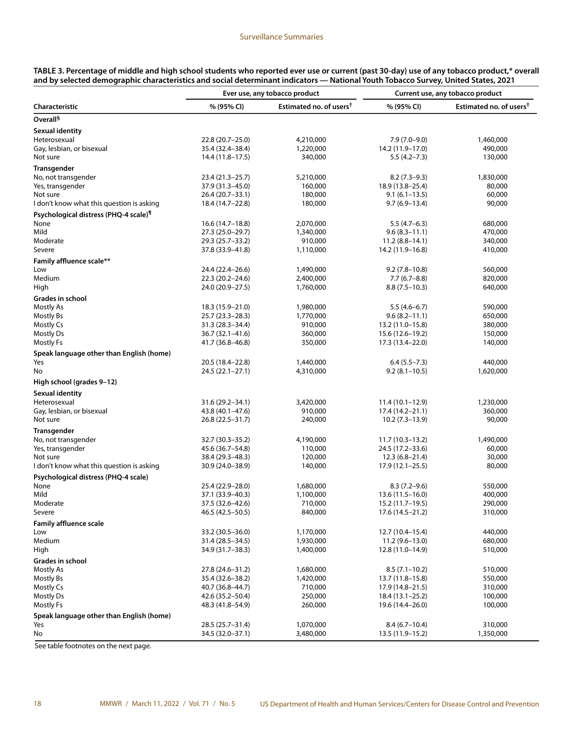|                                                   | Ever use, any tobacco product |                                     |                    | Current use, any tobacco product    |  |  |  |
|---------------------------------------------------|-------------------------------|-------------------------------------|--------------------|-------------------------------------|--|--|--|
| Characteristic                                    | % (95% CI)                    | Estimated no. of users <sup>†</sup> | % (95% CI)         | Estimated no. of users <sup>†</sup> |  |  |  |
| Overall <sup>§</sup>                              |                               |                                     |                    |                                     |  |  |  |
| <b>Sexual identity</b>                            |                               |                                     |                    |                                     |  |  |  |
| Heterosexual                                      | 22.8 (20.7-25.0)              | 4,210,000                           | $7.9(7.0-9.0)$     | 1,460,000                           |  |  |  |
| Gay, lesbian, or bisexual                         | 35.4 (32.4–38.4)              | 1,220,000                           | 14.2 (11.9-17.0)   | 490,000                             |  |  |  |
| Not sure                                          | 14.4 (11.8–17.5)              | 340,000                             | $5.5(4.2 - 7.3)$   | 130,000                             |  |  |  |
| <b>Transgender</b>                                |                               |                                     |                    |                                     |  |  |  |
| No, not transgender                               | 23.4 (21.3-25.7)              | 5,210,000                           | $8.2(7.3-9.3)$     | 1,830,000                           |  |  |  |
| Yes, transgender                                  | 37.9 (31.3-45.0)              | 160,000                             | 18.9 (13.8-25.4)   | 80,000                              |  |  |  |
| Not sure                                          | 26.4 (20.7-33.1)              | 180,000                             | $9.1(6.1 - 13.5)$  | 60,000                              |  |  |  |
| I don't know what this question is asking         | 18.4 (14.7-22.8)              | 180,000                             | $9.7(6.9-13.4)$    | 90,000                              |  |  |  |
| Psychological distress (PHQ-4 scale) <sup>¶</sup> |                               |                                     |                    |                                     |  |  |  |
| None                                              | 16.6 (14.7-18.8)              | 2,070,000                           | $5.5(4.7-6.3)$     | 680,000                             |  |  |  |
| Mild                                              | 27.3 (25.0–29.7)              | 1,340,000                           | $9.6(8.3 - 11.1)$  | 470,000                             |  |  |  |
| Moderate                                          | 29.3 (25.7–33.2)              | 910,000                             | $11.2(8.8 - 14.1)$ | 340,000                             |  |  |  |
| Severe                                            | 37.8 (33.9–41.8)              | 1,110,000                           | 14.2 (11.9–16.8)   | 410,000                             |  |  |  |
| <b>Family affluence scale**</b>                   |                               |                                     |                    |                                     |  |  |  |
| Low                                               | 24.4 (22.4-26.6)              | 1,490,000                           | $9.2(7.8 - 10.8)$  | 560,000                             |  |  |  |
| Medium                                            | 22.3 (20.2–24.6)              | 2,400,000                           | $7.7(6.7-8.8)$     | 820,000                             |  |  |  |
| High                                              | 24.0 (20.9–27.5)              | 1,760,000                           | $8.8(7.5-10.3)$    | 640,000                             |  |  |  |
| Grades in school                                  |                               |                                     |                    |                                     |  |  |  |
| Mostly As                                         | 18.3 (15.9–21.0)              | 1,980,000                           | $5.5(4.6-6.7)$     | 590,000                             |  |  |  |
| Mostly Bs                                         | 25.7 (23.3–28.3)              | 1,770,000                           | $9.6(8.2 - 11.1)$  | 650,000                             |  |  |  |
| Mostly Cs                                         | $31.3(28.3 - 34.4)$           | 910,000                             | 13.2 (11.0–15.8)   | 380,000                             |  |  |  |
| Mostly Ds                                         | 36.7 (32.1–41.6)              | 360,000                             | 15.6 (12.6-19.2)   | 150,000                             |  |  |  |
| Mostly Fs                                         | 41.7 (36.8–46.8)              | 350,000                             | 17.3 (13.4–22.0)   | 140,000                             |  |  |  |
| Speak language other than English (home)          |                               |                                     |                    |                                     |  |  |  |
| Yes                                               | 20.5 (18.4–22.8)              | 1,440,000                           | $6.4(5.5 - 7.3)$   | 440,000                             |  |  |  |
| No                                                | 24.5 (22.1-27.1)              | 4,310,000                           | $9.2(8.1 - 10.5)$  | 1,620,000                           |  |  |  |
| High school (grades 9-12)                         |                               |                                     |                    |                                     |  |  |  |
| <b>Sexual identity</b>                            |                               |                                     |                    |                                     |  |  |  |
| Heterosexual                                      | 31.6 (29.2-34.1)              | 3,420,000                           | $11.4(10.1-12.9)$  | 1,230,000                           |  |  |  |
| Gay, lesbian, or bisexual                         | 43.8 (40.1–47.6)              | 910,000                             | 17.4 (14.2–21.1)   | 360,000                             |  |  |  |
| Not sure                                          | 26.8 (22.5–31.7)              | 240,000                             | $10.2(7.3-13.9)$   | 90,000                              |  |  |  |
| Transgender                                       |                               |                                     |                    |                                     |  |  |  |
| No, not transgender                               | 32.7 (30.3-35.2)              | 4,190,000                           | $11.7(10.3-13.2)$  | 1,490,000                           |  |  |  |
| Yes, transgender                                  | 45.6 (36.7–54.8)              | 110,000                             | 24.5 (17.2-33.6)   | 60,000                              |  |  |  |
| Not sure                                          | 38.4 (29.3–48.3)              | 120,000                             | $12.3(6.8-21.4)$   | 30,000                              |  |  |  |
| I don't know what this question is asking         | 30.9 (24.0–38.9)              | 140,000                             | 17.9 (12.1–25.5)   | 80,000                              |  |  |  |
| Psychological distress (PHQ-4 scale)              |                               |                                     |                    |                                     |  |  |  |
| None                                              | 25.4 (22.9 - 28.0)            | 1,680,000                           | $8.3(7.2 - 9.6)$   | 550,000                             |  |  |  |
| Mild                                              | 37.1 (33.9-40.3)              | 1,100,000                           | $13.6(11.5-16.0)$  | 400,000                             |  |  |  |
| Moderate                                          | 37.5 (32.6–42.6)              | 710,000                             | 15.2 (11.7–19.5)   | 290,000                             |  |  |  |
| Severe                                            | 46.5 (42.5–50.5)              | 840,000                             | 17.6 (14.5–21.2)   | 310,000                             |  |  |  |
| <b>Family affluence scale</b>                     |                               |                                     |                    |                                     |  |  |  |
| Low                                               | 33.2 (30.5-36.0)              | 1,170,000                           | 12.7 (10.4-15.4)   | 440,000                             |  |  |  |
| Medium                                            | 31.4 (28.5–34.5)              | 1,930,000                           | $11.2(9.6-13.0)$   | 680,000                             |  |  |  |
| High                                              | 34.9 (31.7–38.3)              | 1,400,000                           | 12.8 (11.0–14.9)   | 510,000                             |  |  |  |
| Grades in school                                  |                               |                                     |                    |                                     |  |  |  |
| Mostly As                                         | 27.8 (24.6–31.2)              | 1,680,000                           | $8.5(7.1-10.2)$    | 510,000                             |  |  |  |
| Mostly Bs                                         | 35.4 (32.6–38.2)              | 1,420,000                           | 13.7 (11.8–15.8)   | 550,000                             |  |  |  |
| Mostly Cs                                         | 40.7 (36.8–44.7)              | 710,000                             | 17.9 (14.8-21.5)   | 310,000                             |  |  |  |
| Mostly Ds                                         | 42.6 (35.2–50.4)              | 250,000                             | 18.4 (13.1–25.2)   | 100,000                             |  |  |  |
| Mostly Fs                                         | 48.3 (41.8–54.9)              | 260,000                             | 19.6 (14.4–26.0)   | 100,000                             |  |  |  |
| Speak language other than English (home)          |                               |                                     |                    |                                     |  |  |  |
| Yes                                               | 28.5 (25.7–31.4)              | 1,070,000                           | $8.4(6.7-10.4)$    | 310,000                             |  |  |  |
| No<br>$\overline{c}$ .                            | 34.5 (32.0–37.1)              | 3,480,000                           | 13.5 (11.9–15.2)   | 1,350,000                           |  |  |  |

**TABLE 3. Percentage of middle and high school students who reported ever use or current (past 30-day) use of any tobacco product,\* overall and by selected demographic characteristics and social determinant indicators — National Youth Tobacco Survey, United States, 2021**

See table footnotes on the next page.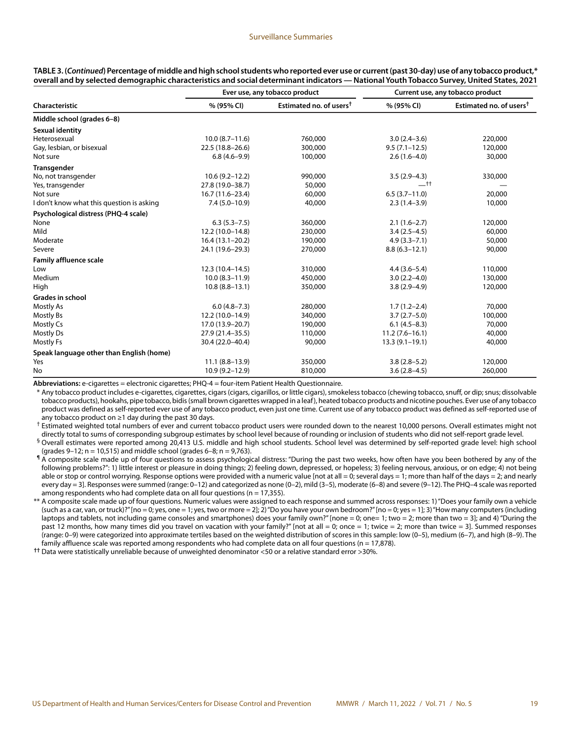|                                           |                     | Ever use, any tobacco product       | Current use, any tobacco product |                                     |  |
|-------------------------------------------|---------------------|-------------------------------------|----------------------------------|-------------------------------------|--|
| Characteristic                            | % (95% CI)          | Estimated no. of users <sup>†</sup> | % (95% CI)                       | Estimated no. of users <sup>†</sup> |  |
| Middle school (grades 6-8)                |                     |                                     |                                  |                                     |  |
| Sexual identity                           |                     |                                     |                                  |                                     |  |
| Heterosexual                              | $10.0 (8.7 - 11.6)$ | 760,000                             | $3.0(2.4 - 3.6)$                 | 220,000                             |  |
| Gay, lesbian, or bisexual                 | 22.5 (18.8-26.6)    | 300,000                             | $9.5(7.1 - 12.5)$                | 120,000                             |  |
| Not sure                                  | $6.8(4.6-9.9)$      | 100,000                             | $2.6(1.6-4.0)$                   | 30,000                              |  |
| <b>Transgender</b>                        |                     |                                     |                                  |                                     |  |
| No, not transgender                       | $10.6(9.2 - 12.2)$  | 990,000                             | $3.5(2.9-4.3)$                   | 330,000                             |  |
| Yes, transgender                          | 27.8 (19.0-38.7)    | 50,000                              | $-t$ t                           |                                     |  |
| Not sure                                  | 16.7 (11.6–23.4)    | 60,000                              | $6.5(3.7-11.0)$                  | 20,000                              |  |
| I don't know what this question is asking | $7.4(5.0 - 10.9)$   | 40,000                              | $2.3(1.4-3.9)$                   | 10,000                              |  |
| Psychological distress (PHQ-4 scale)      |                     |                                     |                                  |                                     |  |
| None                                      | $6.3(5.3 - 7.5)$    | 360,000                             | $2.1(1.6-2.7)$                   | 120,000                             |  |
| Mild                                      | 12.2 (10.0-14.8)    | 230,000                             | $3.4(2.5-4.5)$                   | 60,000                              |  |
| Moderate                                  | $16.4(13.1-20.2)$   | 190,000                             | $4.9(3.3 - 7.1)$                 | 50,000                              |  |
| Severe                                    | 24.1 (19.6-29.3)    | 270,000                             | $8.8(6.3 - 12.1)$                | 90,000                              |  |
| <b>Family affluence scale</b>             |                     |                                     |                                  |                                     |  |
| Low                                       | $12.3(10.4 - 14.5)$ | 310,000                             | $4.4(3.6 - 5.4)$                 | 110,000                             |  |
| Medium                                    | $10.0(8.3 - 11.9)$  | 450,000                             | $3.0(2.2 - 4.0)$                 | 130,000                             |  |
| High                                      | $10.8(8.8 - 13.1)$  | 350,000                             | $3.8(2.9 - 4.9)$                 | 120,000                             |  |
| <b>Grades in school</b>                   |                     |                                     |                                  |                                     |  |
| Mostly As                                 | $6.0(4.8 - 7.3)$    | 280,000                             | $1.7(1.2 - 2.4)$                 | 70,000                              |  |
| Mostly Bs                                 | 12.2 (10.0-14.9)    | 340,000                             | $3.7(2.7-5.0)$                   | 100,000                             |  |
| Mostly Cs                                 | 17.0 (13.9 - 20.7)  | 190,000                             | $6.1(4.5-8.3)$                   | 70,000                              |  |
| <b>Mostly Ds</b>                          | 27.9 (21.4-35.5)    | 110,000                             | $11.2(7.6-16.1)$                 | 40,000                              |  |
| Mostly Fs                                 | 30.4 (22.0-40.4)    | 90,000                              | $13.3(9.1-19.1)$                 | 40,000                              |  |
| Speak language other than English (home)  |                     |                                     |                                  |                                     |  |
| Yes                                       | $11.1 (8.8 - 13.9)$ | 350,000                             | $3.8(2.8 - 5.2)$                 | 120,000                             |  |
| No                                        | $10.9(9.2 - 12.9)$  | 810,000                             | $3.6(2.8-4.5)$                   | 260,000                             |  |

**TABLE 3. (***Continued***) Percentage of middle and high school students who reported ever use or current (past 30-day) use of any tobacco product,\* overall and by selected demographic characteristics and social determinant indicators — National Youth Tobacco Survey, United States, 2021**

**Abbreviations:** e-cigarettes = electronic cigarettes; PHQ-4 = four-item Patient Health Questionnaire.

\* Any tobacco product includes e-cigarettes, cigarettes, cigars (cigars, cigarillos, or little cigars), smokeless tobacco (chewing tobacco, snuff, or dip; snus; dissolvable tobacco products), hookahs, pipe tobacco, bidis (small brown cigarettes wrapped in a leaf), heated tobacco products and nicotine pouches. Ever use of any tobacco product was defined as self-reported ever use of any tobacco product, even just one time. Current use of any tobacco product was defined as self-reported use of any tobacco product on ≥1 day during the past 30 days.

† Estimated weighted total numbers of ever and current tobacco product users were rounded down to the nearest 10,000 persons. Overall estimates might not directly total to sums of corresponding subgroup estimates by school level because of rounding or inclusion of students who did not self-report grade level.

§ Overall estimates were reported among 20,413 U.S. middle and high school students. School level was determined by self-reported grade level: high school (grades  $9-12$ ; n = 10,515) and middle school (grades 6-8; n = 9,763).

¶ A composite scale made up of four questions to assess psychological distress: "During the past two weeks, how often have you been bothered by any of the following problems?": 1) little interest or pleasure in doing things; 2) feeling down, depressed, or hopeless; 3) feeling nervous, anxious, or on edge; 4) not being able or stop or control worrying. Response options were provided with a numeric value [not at all = 0; several days = 1; more than half of the days = 2; and nearly every day = 3]. Responses were summed (range: 0–12) and categorized as none (0–2), mild (3–5), moderate (6–8) and severe (9–12). The PHQ–4 scale was reported among respondents who had complete data on all four questions ( $n = 17,355$ ).

\*\* A composite scale made up of four questions. Numeric values were assigned to each response and summed across responses: 1) "Does your family own a vehicle (such as a car, van, or truck)?" [no = 0; yes, one = 1; yes, two or more = 2]; 2) "Do you have your own bedroom?" [no = 0; yes = 1]; 3) "How many computers (including laptops and tablets, not including game consoles and smartphones) does your family own?" [none = 0; one= 1; two = 2; more than two = 3]; and 4) "During the past 12 months, how many times did you travel on vacation with your family?" [not at all = 0; once = 1; twice = 2; more than twice = 3]. Summed responses (range: 0–9) were categorized into approximate tertiles based on the weighted distribution of scores in this sample: low (0–5), medium (6–7), and high (8–9). The family affluence scale was reported among respondents who had complete data on all four questions (n = 17,878).

**††** Data were statistically unreliable because of unweighted denominator <50 or a relative standard error >30%.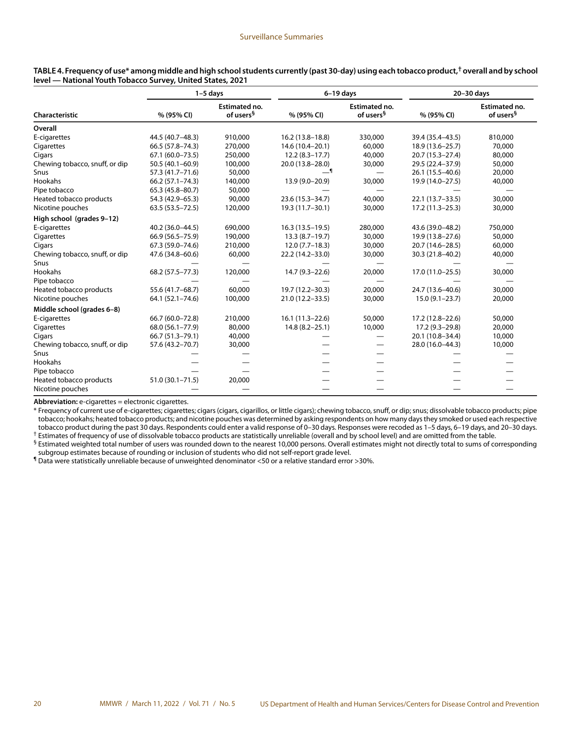|                                |                     | $1-5$ days                                    | $6-19$ days         |                                               | 20-30 days        |                                        |  |
|--------------------------------|---------------------|-----------------------------------------------|---------------------|-----------------------------------------------|-------------------|----------------------------------------|--|
| Characteristic                 | % (95% CI)          | <b>Estimated no.</b><br>of users <sup>§</sup> | % (95% CI)          | <b>Estimated no.</b><br>of users <sup>§</sup> | % (95% CI)        | Estimated no.<br>of users <sup>§</sup> |  |
| Overall                        |                     |                                               |                     |                                               |                   |                                        |  |
| E-cigarettes                   | 44.5 (40.7-48.3)    | 910,000                                       | $16.2(13.8 - 18.8)$ | 330,000                                       | 39.4 (35.4-43.5)  | 810,000                                |  |
| Cigarettes                     | 66.5 (57.8-74.3)    | 270,000                                       | 14.6 (10.4-20.1)    | 60,000                                        | 18.9 (13.6-25.7)  | 70,000                                 |  |
| Cigars                         | $67.1(60.0 - 73.5)$ | 250,000                                       | $12.2(8.3-17.7)$    | 40,000                                        | 20.7 (15.3-27.4)  | 80,000                                 |  |
| Chewing tobacco, snuff, or dip | 50.5 (40.1-60.9)    | 100,000                                       | 20.0 (13.8-28.0)    | 30,000                                        | 29.5 (22.4-37.9)  | 50,000                                 |  |
| Snus                           | 57.3 (41.7-71.6)    | 50,000                                        |                     |                                               | 26.1 (15.5-40.6)  | 20,000                                 |  |
| Hookahs                        | $66.2(57.1 - 74.3)$ | 140,000                                       | 13.9 (9.0-20.9)     | 30,000                                        | 19.9 (14.0-27.5)  | 40,000                                 |  |
| Pipe tobacco                   | $65.3(45.8 - 80.7)$ | 50,000                                        |                     |                                               |                   |                                        |  |
| Heated tobacco products        | 54.3 (42.9-65.3)    | 90,000                                        | 23.6 (15.3-34.7)    | 40,000                                        | $22.1(13.7-33.5)$ | 30,000                                 |  |
| Nicotine pouches               | $63.5(53.5 - 72.5)$ | 120,000                                       | 19.3 (11.7-30.1)    | 30,000                                        | 17.2 (11.3-25.3)  | 30,000                                 |  |
| High school (grades 9-12)      |                     |                                               |                     |                                               |                   |                                        |  |
| E-cigarettes                   | 40.2 (36.0-44.5)    | 690,000                                       | $16.3(13.5 - 19.5)$ | 280,000                                       | 43.6 (39.0-48.2)  | 750,000                                |  |
| Cigarettes                     | 66.9 (56.5-75.9)    | 190,000                                       | $13.3(8.7-19.7)$    | 30,000                                        | 19.9 (13.8-27.6)  | 50,000                                 |  |
| Cigars                         | 67.3 (59.0-74.6)    | 210,000                                       | $12.0(7.7-18.3)$    | 30,000                                        | 20.7 (14.6-28.5)  | 60,000                                 |  |
| Chewing tobacco, snuff, or dip | 47.6 (34.8-60.6)    | 60,000                                        | 22.2 (14.2-33.0)    | 30,000                                        | 30.3 (21.8-40.2)  | 40,000                                 |  |
| Snus                           |                     |                                               |                     |                                               |                   |                                        |  |
| Hookahs                        | 68.2 (57.5 - 77.3)  | 120,000                                       | 14.7 (9.3-22.6)     | 20,000                                        | 17.0 (11.0-25.5)  | 30,000                                 |  |
| Pipe tobacco                   |                     |                                               |                     |                                               |                   |                                        |  |
| Heated tobacco products        | 55.6 (41.7-68.7)    | 60,000                                        | 19.7 (12.2-30.3)    | 20,000                                        | 24.7 (13.6-40.6)  | 30,000                                 |  |
| Nicotine pouches               | 64.1 (52.1-74.6)    | 100,000                                       | 21.0 (12.2-33.5)    | 30,000                                        | $15.0(9.1-23.7)$  | 20,000                                 |  |
| Middle school (grades 6-8)     |                     |                                               |                     |                                               |                   |                                        |  |
| E-cigarettes                   | 66.7 (60.0-72.8)    | 210,000                                       | $16.1(11.3-22.6)$   | 50,000                                        | 17.2 (12.8-22.6)  | 50,000                                 |  |
| Cigarettes                     | 68.0 (56.1-77.9)    | 80,000                                        | $14.8(8.2 - 25.1)$  | 10,000                                        | 17.2 (9.3-29.8)   | 20,000                                 |  |
| Cigars                         | 66.7 (51.3-79.1)    | 40,000                                        |                     |                                               | 20.1 (10.8-34.4)  | 10,000                                 |  |
| Chewing tobacco, snuff, or dip | 57.6 (43.2-70.7)    | 30,000                                        |                     | $\qquad \qquad \longleftarrow$                | 28.0 (16.0-44.3)  | 10,000                                 |  |
| Snus                           |                     |                                               |                     |                                               |                   |                                        |  |
| Hookahs                        |                     |                                               |                     |                                               |                   |                                        |  |
| Pipe tobacco                   |                     |                                               |                     |                                               |                   |                                        |  |
| Heated tobacco products        | $51.0(30.1 - 71.5)$ | 20,000                                        |                     |                                               |                   |                                        |  |
| Nicotine pouches               |                     |                                               |                     |                                               |                   |                                        |  |

**TABLE 4. Frequency of use\* among middle and high school students currently (past 30-day) using each tobacco product,† overall and by school level — National Youth Tobacco Survey, United States, 2021**

**Abbreviation:** e-cigarettes = electronic cigarettes.

\* Frequency of current use of e-cigarettes; cigarettes; cigars (cigars, cigarillos, or little cigars); chewing tobacco, snuff, or dip; snus; dissolvable tobacco products; pipe tobacco; hookahs; heated tobacco products; and nicotine pouches was determined by asking respondents on how many days they smoked or used each respective tobacco product during the past 30 days. Respondents could enter a valid response of 0–30 days. Responses were recoded as 1–5 days, 6–19 days, and 20–30 days. † Estimates of frequency of use of dissolvable tobacco products are statistically unreliable (overall and by school level) and are omitted from the table.

§ Estimated weighted total number of users was rounded down to the nearest 10,000 persons. Overall estimates might not directly total to sums of corresponding

subgroup estimates because of rounding or inclusion of students who did not self-report grade level.

¶ Data were statistically unreliable because of unweighted denominator <50 or a relative standard error >30%.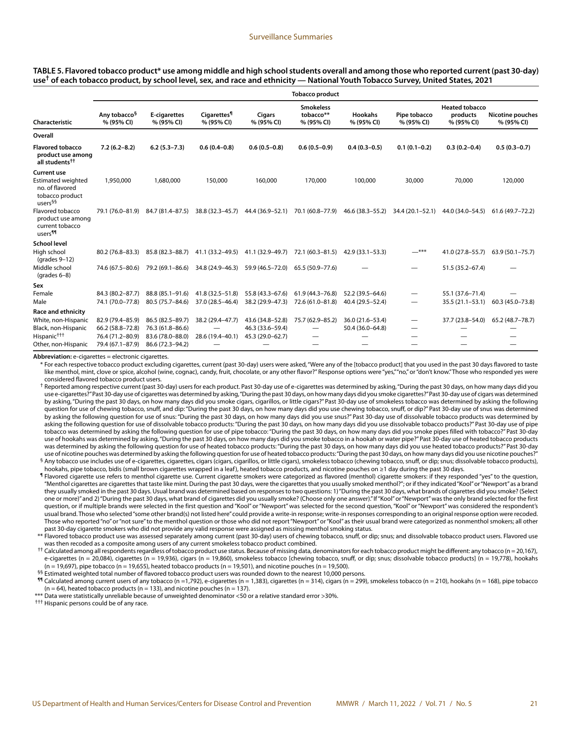#### **TABLE 5. Flavored tobacco product\* use among middle and high school students overall and among those who reported current (past 30-day) use† of each tobacco product, by school level, sex, and race and ethnicity — National Youth Tobacco Survey, United States, 2021**

|                                                                                                              | <b>Tobacco product</b>                 |                            |                                             |                      |                                             |                              |                            |                                                 |                                       |  |
|--------------------------------------------------------------------------------------------------------------|----------------------------------------|----------------------------|---------------------------------------------|----------------------|---------------------------------------------|------------------------------|----------------------------|-------------------------------------------------|---------------------------------------|--|
| Characteristic                                                                                               | Any tobacco <sup>§</sup><br>% (95% CI) | E-cigarettes<br>% (95% CI) | <b>Cigarettes<sup>1</sup></b><br>% (95% CI) | Cigars<br>% (95% CI) | <b>Smokeless</b><br>tobacco**<br>% (95% CI) | <b>Hookahs</b><br>% (95% CI) | Pipe tobacco<br>% (95% CI) | <b>Heated tobacco</b><br>products<br>% (95% CI) | <b>Nicotine pouches</b><br>% (95% CI) |  |
| Overall                                                                                                      |                                        |                            |                                             |                      |                                             |                              |                            |                                                 |                                       |  |
| <b>Flavored tobacco</b><br>product use among<br>all students <sup>††</sup>                                   | $7.2(6.2 - 8.2)$                       | $6.2(5.3 - 7.3)$           | $0.6(0.4-0.8)$                              | $0.6(0.5-0.8)$       | $0.6(0.5-0.9)$                              | $0.4(0.3-0.5)$               | $0.1(0.1 - 0.2)$           | $0.3(0.2 - 0.4)$                                | $0.5(0.3-0.7)$                        |  |
| <b>Current use</b><br><b>Estimated weighted</b><br>no. of flavored<br>tobacco product<br>users <sup>§§</sup> | 1,950,000                              | 1,680,000                  | 150,000                                     | 160,000              | 170,000                                     | 100,000                      | 30,000                     | 70,000                                          | 120,000                               |  |
| Flavored tobacco<br>product use among<br>current tobacco<br>users <sup>¶¶</sup>                              | 79.1 (76.0-81.9)                       | 84.7 (81.4-87.5)           | 38.8 (32.3-45.7)                            | 44.4 (36.9-52.1)     | 70.1 (60.8-77.9)                            | 46.6 (38.3-55.2)             | 34.4 (20.1-52.1)           | 44.0 (34.0-54.5)                                | $61.6(49.7 - 72.2)$                   |  |
| <b>School level</b>                                                                                          |                                        |                            |                                             |                      |                                             |                              |                            |                                                 |                                       |  |
| High school<br>$\frac{1}{2}$ (grades 9-12)                                                                   | 80.2 (76.8-83.3)                       | 85.8 (82.3-88.7)           | 41.1 (33.2-49.5)                            | 41.1 (32.9-49.7)     | 72.1 (60.3-81.5)                            | 42.9 (33.1-53.3)             | $-***$                     | 41.0 (27.8-55.7)                                | $63.9(50.1 - 75.7)$                   |  |
| Middle school<br>(grades $6-8$ )                                                                             | 74.6 (67.5-80.6)                       | 79.2 (69.1-86.6)           | 34.8 (24.9-46.3)                            | 59.9 (46.5-72.0)     | 65.5 (50.9 - 77.6)                          |                              | $\overline{\phantom{0}}$   | 51.5 (35.2-67.4)                                |                                       |  |
| Sex                                                                                                          |                                        |                            |                                             |                      |                                             |                              |                            |                                                 |                                       |  |
| Female                                                                                                       | 84.3 (80.2-87.7)                       | 88.8 (85.1-91.6)           | 41.8 (32.5-51.8)                            | 55.8 (43.3-67.6)     | 61.9 (44.3-76.8)                            | 52.2 (39.5-64.6)             | $\overline{\phantom{0}}$   | 55.1 (37.6-71.4)                                |                                       |  |
| Male                                                                                                         | 74.1 (70.0-77.8)                       | 80.5 (75.7-84.6)           | 37.0 (28.5-46.4)                            | 38.2 (29.9-47.3)     | 72.6 (61.0-81.8)                            | 40.4 (29.5-52.4)             |                            | $35.5(21.1 - 53.1)$                             | 60.3 (45.0-73.8)                      |  |
| Race and ethnicity                                                                                           |                                        |                            |                                             |                      |                                             |                              |                            |                                                 |                                       |  |
| White, non-Hispanic                                                                                          | 82.9 (79.4-85.9)                       | 86.5 (82.5-89.7)           | 38.2 (29.4-47.7)                            | 43.6 (34.8–52.8)     | 75.7 (62.9-85.2)                            | 36.0 (21.6-53.4)             |                            | 37.7 (23.8-54.0)                                | 65.2 (48.7-78.7)                      |  |
| Black, non-Hispanic                                                                                          | 66.2 (58.8-72.8)                       | 76.3 (61.8-86.6)           |                                             | 46.3 (33.6–59.4)     |                                             | 50.4 (36.0-64.8)             |                            |                                                 |                                       |  |
| Hispanic <sup>†††</sup>                                                                                      | 76.4 (71.2-80.9)                       | 83.6 (78.0-88.0)           | 28.6 (19.4-40.1)                            | 45.3 (29.0-62.7)     |                                             |                              |                            |                                                 |                                       |  |
| Other, non-Hispanic                                                                                          | 79.4 (67.1-87.9)                       | 86.6 (72.3-94.2)           |                                             | —                    |                                             |                              |                            |                                                 |                                       |  |

**Abbreviation:** e-cigarettes = electronic cigarettes.

\* For each respective tobacco product excluding cigarettes, current (past 30-day) users were asked, "Were any of the [tobacco product] that you used in the past 30 days flavored to taste like menthol, mint, clove or spice, alcohol (wine, cognac), candy, fruit, chocolate, or any other flavor?" Response options were "yes," "no," or "don't know." Those who responded yes were considered flavored tobacco product users.

† Reported among respective current (past 30-day) users for each product. Past 30-day use of e-cigarettes was determined by asking, "During the past 30 days, on how many days did you use e-cigarettes?" Past 30-day use of cigarettes was determined by asking, "During the past 30 days, on how many days did you smoke cigarettes?" Past 30-day use of cigars was determined by asking, "During the past 30 days, on how many days did you smoke cigars, cigarillos, or little cigars?" Past 30-day use of smokeless tobacco was determined by asking the following question for use of chewing tobacco, snuff, and dip: "During the past 30 days, on how many days did you use chewing tobacco, snuff, or dip?" Past 30-day use of snus was determined by asking the following question for use of snus: "During the past 30 days, on how many days did you use snus?" Past 30-day use of dissolvable tobacco products was determined by asking the following question for use of dissolvable tobacco products: "During the past 30 days, on how many days did you use dissolvable tobacco products?" Past 30-day use of pipe tobacco was determined by asking the following question for use of pipe tobacco: "During the past 30 days, on how many days did you smoke pipes filled with tobacco?" Past 30-day use of hookahs was determined by asking, "During the past 30 days, on how many days did you smoke tobacco in a hookah or water pipe?" Past 30-day use of heated tobacco products was determined by asking the following question for use of heated tobacco products: "During the past 30 days, on how many days did you use heated tobacco products?" Past 30-day use of nicotine pouches was determined by asking the following question for use of heated tobacco products: "During the past 30 days, on how many days did you use nicotine pouches?" § Any tobacco use includes use of e-cigarettes, cigarettes, cigars (cigars, cigarillos, or little cigars), smokeless tobacco (chewing tobacco, snuff, or dip; snus; dissolvable tobacco products),

hookahs, pipe tobacco, bidis (small brown cigarettes wrapped in a leaf), heated tobacco products, and nicotine pouches on ≥1 day during the past 30 days.

¶ Flavored cigarette use refers to menthol cigarette use. Current cigarette smokers were categorized as flavored (menthol) cigarette smokers: if they responded "yes" to the question, "Menthol cigarettes are cigarettes that taste like mint. During the past 30 days, were the cigarettes that you usually smoked menthol?"; or if they indicated "Kool" or "Newport" as a brand they usually smoked in the past 30 days. Usual brand was determined based on responses to two questions: 1) "During the past 30 days, what brands of cigarettes did you smoke? (Select one or more)" and 2) "During the past 30 days, what brand of cigarettes did you usually smoke? (Choose only one answer)." If "Kool" or "Newport" was the only brand selected for the first question, or if multiple brands were selected in the first question and "Kool" or "Newport" was selected for the second question, "Kool" or "Newport" was considered the respondent's usual brand. Those who selected "some other brand(s) not listed here" could provide a write-in response; write-in responses corresponding to an original response option were recoded. Those who reported "no" or "not sure" to the menthol question or those who did not report "Newport" or "Kool" as their usual brand were categorized as nonmenthol smokers; all other past 30-day cigarette smokers who did not provide any valid response were assigned as missing menthol smoking status.

\*\* Flavored tobacco product use was assessed separately among current (past 30-day) users of chewing tobacco, snuff, or dip; snus; and dissolvable tobacco product users. Flavored use was then recoded as a composite among users of any current smokeless tobacco product combined.

†† Calculated among all respondents regardless of tobacco product use status. Because of missing data, denominators for each tobacco product might be different: any tobacco (n = 20,167), e-cigarettes (n = 20,084), cigarettes (n = 19,936), cigars (n = 19,860), smokeless tobacco [chewing tobacco, snuff, or dip; snus; dissolvable tobacco products] (n = 19,778), hookahs  $(n = 19,697)$ , pipe tobacco  $(n = 19,655)$ , heated tobacco products  $(n = 19,501)$ , and nicotine pouches  $(n = 19,500)$ .

§§ Estimated weighted total number of flavored tobacco product users was rounded down to the nearest 10,000 persons.

¶¶ Calculated among current users of any tobacco (n =1,792), e-cigarettes (n = 1,383), cigarettes (n = 314), cigars (n = 299), smokeless tobacco (n = 210), hookahs (n = 168), pipe tobacco  $(n = 64)$ , heated tobacco products  $(n = 133)$ , and nicotine pouches  $(n = 137)$ .

\*\*\* Data were statistically unreliable because of unweighted denominator <50 or a relative standard error >30%.

††† Hispanic persons could be of any race.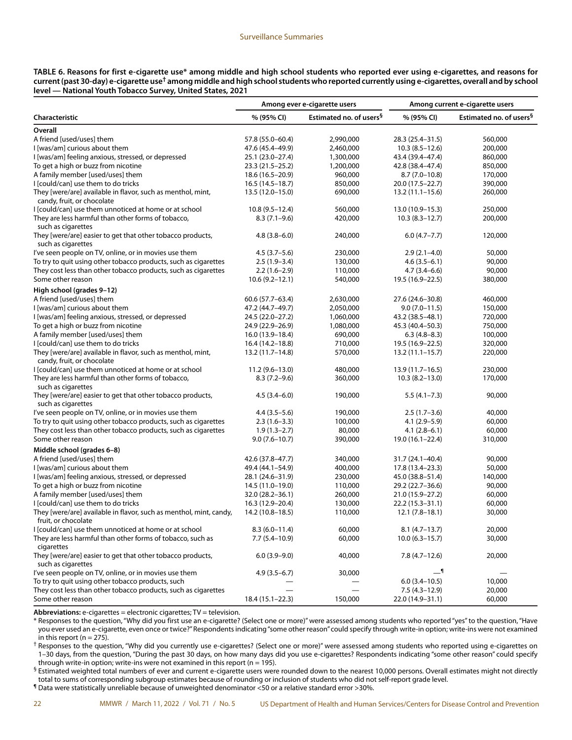|                                                            | TABLE 6. Reasons for first e-cigarette use* among middle and high school students who reported ever using e-cigarettes, and reasons for                   |
|------------------------------------------------------------|-----------------------------------------------------------------------------------------------------------------------------------------------------------|
|                                                            | current (past 30-day) e-cigarette use <sup>t</sup> among middle and high school students who reported currently using e-cigarettes, overall and by school |
| level — National Youth Tobacco Survey, United States, 2021 |                                                                                                                                                           |

|                                                                                  |                     | Among ever e-cigarette users        | Among current e-cigarette users |                                     |  |
|----------------------------------------------------------------------------------|---------------------|-------------------------------------|---------------------------------|-------------------------------------|--|
| Characteristic                                                                   | % (95% CI)          | Estimated no. of users <sup>§</sup> | % (95% CI)                      | Estimated no. of users <sup>§</sup> |  |
| Overall                                                                          |                     |                                     |                                 |                                     |  |
| A friend [used/uses] them                                                        | 57.8 (55.0-60.4)    | 2,990,000                           | 28.3 (25.4-31.5)                | 560,000                             |  |
| I [was/am] curious about them                                                    | 47.6 (45.4-49.9)    | 2,460,000                           | $10.3(8.5-12.6)$                | 200,000                             |  |
| I [was/am] feeling anxious, stressed, or depressed                               | 25.1 (23.0–27.4)    | 1,300,000                           | 43.4 (39.4-47.4)                | 860,000                             |  |
| To get a high or buzz from nicotine                                              | 23.3 (21.5–25.2)    | 1,200,000                           | 42.8 (38.4–47.4)                | 850,000                             |  |
| A family member [used/uses] them                                                 | 18.6 (16.5-20.9)    | 960,000                             | $8.7(7.0-10.8)$                 | 170,000                             |  |
| I [could/can] use them to do tricks                                              | $16.5(14.5-18.7)$   | 850,000                             | 20.0 (17.5 - 22.7)              | 390,000                             |  |
| They [were/are] available in flavor, such as menthol, mint,                      | $13.5(12.0-15.0)$   | 690,000                             | $13.2(11.1 - 15.6)$             | 260,000                             |  |
| candy, fruit, or chocolate                                                       |                     |                                     |                                 |                                     |  |
| I [could/can] use them unnoticed at home or at school                            | $10.8(9.5 - 12.4)$  | 560,000                             | 13.0 (10.9-15.3)                | 250,000                             |  |
| They are less harmful than other forms of tobacco,                               | $8.3(7.1-9.6)$      | 420,000                             | $10.3(8.3-12.7)$                | 200,000                             |  |
| such as cigarettes                                                               |                     |                                     |                                 |                                     |  |
| They [were/are] easier to get that other tobacco products,                       | $4.8(3.8 - 6.0)$    | 240,000                             | $6.0(4.7 - 7.7)$                | 120,000                             |  |
| such as cigarettes                                                               |                     |                                     |                                 |                                     |  |
| I've seen people on TV, online, or in movies use them                            | $4.5(3.7-5.6)$      | 230,000                             | $2.9(2.1-4.0)$                  | 50,000                              |  |
| To try to quit using other tobacco products, such as cigarettes                  | $2.5(1.9-3.4)$      | 130,000                             | $4.6(3.5-6.1)$                  | 90,000                              |  |
| They cost less than other tobacco products, such as cigarettes                   | $2.2(1.6-2.9)$      | 110,000                             | $4.7(3.4 - 6.6)$                | 90,000                              |  |
| Some other reason                                                                | $10.6(9.2 - 12.1)$  | 540,000                             | 19.5 (16.9-22.5)                | 380,000                             |  |
|                                                                                  |                     |                                     |                                 |                                     |  |
| High school (grades 9-12)                                                        |                     |                                     |                                 |                                     |  |
| A friend [used/uses] them<br>I [was/am] curious about them                       | 60.6 (57.7-63.4)    | 2,630,000                           | 27.6 (24.6-30.8)                | 460,000                             |  |
|                                                                                  | 47.2 (44.7–49.7)    | 2,050,000                           | $9.0(7.0-11.5)$                 | 150,000                             |  |
| I [was/am] feeling anxious, stressed, or depressed                               | 24.5 (22.0-27.2)    | 1,060,000                           | 43.2 (38.5-48.1)                | 720,000                             |  |
| To get a high or buzz from nicotine                                              | 24.9 (22.9-26.9)    | 1,080,000                           | 45.3 (40.4-50.3)                | 750,000                             |  |
| A family member [used/uses] them                                                 | $16.0(13.9 - 18.4)$ | 690,000                             | $6.3(4.8-8.3)$                  | 100,000                             |  |
| I [could/can] use them to do tricks                                              | 16.4 (14.2–18.8)    | 710,000                             | 19.5 (16.9-22.5)                | 320,000                             |  |
| They [were/are] available in flavor, such as menthol, mint,                      | 13.2 (11.7–14.8)    | 570,000                             | $13.2(11.1 - 15.7)$             | 220,000                             |  |
| candy, fruit, or chocolate                                                       |                     |                                     |                                 |                                     |  |
| I [could/can] use them unnoticed at home or at school                            | $11.2(9.6 - 13.0)$  | 480,000                             | $13.9(11.7 - 16.5)$             | 230,000                             |  |
| They are less harmful than other forms of tobacco,<br>such as cigarettes         | $8.3(7.2 - 9.6)$    | 360,000                             | $10.3(8.2 - 13.0)$              | 170,000                             |  |
| They [were/are] easier to get that other tobacco products,<br>such as cigarettes | $4.5(3.4-6.0)$      | 190,000                             | $5.5(4.1 - 7.3)$                | 90,000                              |  |
| I've seen people on TV, online, or in movies use them                            | $4.4(3.5-5.6)$      | 190,000                             | $2.5(1.7-3.6)$                  | 40,000                              |  |
| To try to quit using other tobacco products, such as cigarettes                  | $2.3(1.6-3.3)$      | 100,000                             | $4.1(2.9 - 5.9)$                | 60,000                              |  |
| They cost less than other tobacco products, such as cigarettes                   | $1.9(1.3-2.7)$      | 80,000                              | $4.1(2.8-6.1)$                  | 60,000                              |  |
| Some other reason                                                                | $9.0(7.6 - 10.7)$   | 390,000                             | 19.0 (16.1-22.4)                | 310,000                             |  |
| Middle school (grades 6-8)                                                       |                     |                                     |                                 |                                     |  |
| A friend [used/uses] them                                                        | 42.6 (37.8-47.7)    | 340,000                             | 31.7 (24.1-40.4)                | 90,000                              |  |
| I [was/am] curious about them                                                    | 49.4 (44.1–54.9)    | 400,000                             | 17.8 (13.4–23.3)                | 50,000                              |  |
| I [was/am] feeling anxious, stressed, or depressed                               | 28.1 (24.6–31.9)    | 230,000                             | 45.0 (38.8–51.4)                | 140,000                             |  |
| To get a high or buzz from nicotine                                              | 14.5 (11.0–19.0)    | 110,000                             | 29.2 (22.7-36.6)                | 90,000                              |  |
| A family member [used/uses] them                                                 | $32.0(28.2 - 36.1)$ | 260,000                             | 21.0 (15.9-27.2)                | 60,000                              |  |
| I [could/can] use them to do tricks                                              | 16.3 (12.9-20.4)    | 130,000                             | 22.2 (15.3-31.1)                | 60,000                              |  |
| They [were/are] available in flavor, such as menthol, mint, candy,               | 14.2 (10.8-18.5)    | 110,000                             | 12.1 (7.8–18.1)                 | 30,000                              |  |
| fruit, or chocolate                                                              |                     |                                     |                                 |                                     |  |
| I [could/can] use them unnoticed at home or at school                            | $8.3(6.0-11.4)$     | 60,000                              | $8.1(4.7-13.7)$                 | 20,000                              |  |
| They are less harmful than other forms of tobacco, such as<br>cigarettes         | $7.7(5.4 - 10.9)$   | 60,000                              | $10.0(6.3 - 15.7)$              | 30,000                              |  |
| They [were/are] easier to get that other tobacco products,<br>such as cigarettes | $6.0(3.9-9.0)$      | 40,000                              | $7.8(4.7-12.6)$                 | 20,000                              |  |
| I've seen people on TV, online, or in movies use them                            | $4.9(3.5-6.7)$      | 30,000                              | _¶                              |                                     |  |
| To try to quit using other tobacco products, such                                |                     |                                     | $6.0(3.4-10.5)$                 | 10,000                              |  |
| They cost less than other tobacco products, such as cigarettes                   |                     |                                     | $7.5(4.3 - 12.9)$               | 20,000                              |  |
| Some other reason                                                                | $18.4(15.1 - 22.3)$ | 150,000                             | 22.0 (14.9-31.1)                | 60,000                              |  |

**Abbreviations:** e-cigarettes = electronic cigarettes; TV = television.

\* Responses to the question, "Why did you first use an e-cigarette? (Select one or more)" were assessed among students who reported "yes" to the question, "Have you ever used an e-cigarette, even once or twice?" Respondents indicating "some other reason" could specify through write-in option; write-ins were not examined in this report ( $n = 275$ ).

† Responses to the question, "Why did you currently use e-cigarettes? (Select one or more)" were assessed among students who reported using e-cigarettes on 1–30 days, from the question, "During the past 30 days, on how many days did you use e-cigarettes? Respondents indicating "some other reason" could specify through write-in option; write-ins were not examined in this report (n = 195).

 $§$  Estimated weighted total numbers of ever and current e-cigarette users were rounded down to the nearest 10,000 persons. Overall estimates might not directly total to sums of corresponding subgroup estimates because of rounding or inclusion of students who did not self-report grade level.

¶ Data were statistically unreliable because of unweighted denominator <50 or a relative standard error >30%.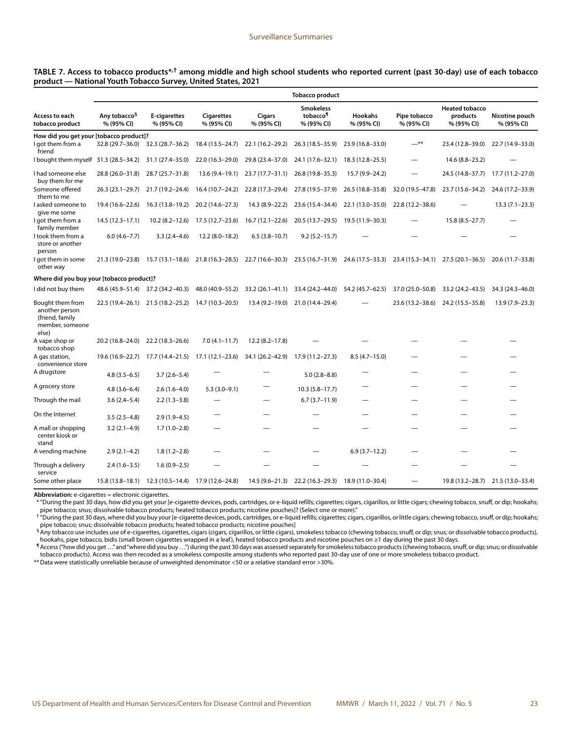#### **TABLE 7. Access to tobacco products\*,† among middle and high school students who reported current (past 30-day) use of each tobacco product — National Youth Tobacco Survey, United States, 2021**

|                                                                                   |                                        |                                                    |                                 |                      | <b>Tobacco product</b>                                 |                                   |                            |                                                 |                                   |
|-----------------------------------------------------------------------------------|----------------------------------------|----------------------------------------------------|---------------------------------|----------------------|--------------------------------------------------------|-----------------------------------|----------------------------|-------------------------------------------------|-----------------------------------|
| Access to each<br>tobacco product                                                 | Any tobacco <sup>§</sup><br>% (95% CI) | E-cigarettes<br>% (95% CI)                         | <b>Cigarettes</b><br>% (95% CI) | Cigars<br>% (95% CI) | <b>Smokeless</b><br>tobacco <sup>1</sup><br>% (95% CI) | <b>Hookahs</b><br>% (95% CI)      | Pipe tobacco<br>% (95% CI) | <b>Heated tobacco</b><br>products<br>% (95% CI) | Nicotine pouch<br>% (95% CI)      |
| How did you get your [tobacco product]?                                           |                                        |                                                    |                                 |                      |                                                        |                                   |                            |                                                 |                                   |
| I got them from a<br>friend                                                       | 32.8 (29.7-36.0)                       | $32.3(28.7 - 36.2)$                                | 18.4 (13.5–24.7)                | 22.1 (16.2-29.2)     | 26.3 (18.5 - 35.9)                                     | 23.9 (16.8-33.0)                  | $-$ **                     | 23.4 (12.8-39.0)                                | 22.7 (14.9-33.0)                  |
| I bought them myself 31.3 (28.5-34.2)                                             |                                        | 31.1 (27.4-35.0)                                   | 22.0 (16.3-29.0)                | 29.8 (23.4-37.0)     | 24.1 (17.6-32.1)                                       | 18.3 (12.8–25.5)                  |                            | 14.6 (8.8-23.2)                                 |                                   |
| I had someone else<br>buy them for me                                             | 28.8 (26.0-31.8)                       | 28.7 (25.7-31.8)                                   | 13.6 (9.4-19.1)                 | 23.7 (17.7-31.1)     | 26.8 (19.8-35.3)                                       | 15.7 (9.9-24.2)                   |                            | 24.5 (14.8-37.7)                                | 17.7 (11.2–27.0)                  |
| Someone offered<br>them to me                                                     | $26.3(23.1-29.7)$                      | 21.7 (19.2-24.4)                                   | 16.4 (10.7-24.2)                | 22.8 (17.3-29.4)     | 27.8 (19.5-37.9)                                       | 26.5 (18.8-35.8)                  | 32.0 (19.5-47.8)           | 23.7 (15.6-34.2)                                | 24.6 (17.2-33.9)                  |
| l asked someone to<br>give me some                                                | 19.4 (16.6-22.6)                       | 16.3 (13.8-19.2)                                   | 20.2 (14.6-27.3)                | 14.3 (8.9-22.2)      | 23.6 (15.4-34.4)                                       | 22.1 (13.0-35.0)                  | 22.8 (12.2-38.6)           |                                                 | $13.3(7.1 - 23.3)$                |
| l got them from a<br>family member                                                | $14.5(12.3 - 17.1)$                    | $10.2 (8.2 - 12.6)$                                | 17.5 (12.7-23.6)                | $16.7(12.1 - 22.6)$  | 20.5 (13.7–29.5)                                       | 19.5 (11.9–30.3)                  |                            | $15.8(8.5 - 27.7)$                              |                                   |
| I took them from a<br>store or another<br>person                                  | $6.0(4.6 - 7.7)$                       | $3.3(2.4 - 4.6)$                                   | $12.2(8.0-18.2)$                | $6.5(3.8-10.7)$      | $9.2(5.2 - 15.7)$                                      |                                   |                            |                                                 |                                   |
| I got them in some<br>other way                                                   | 21.3 (19.0–23.8)                       | 15.7 (13.1–18.6)                                   | $21.8(16.3 - 28.5)$             | 22.7 (16.6–30.3)     | 23.5 (16.7–31.9)                                       | 24.6 (17.5–33.3)                  | 23.4 (15.3–34.1)           | $27.5(20.1 - 36.5)$                             | 20.6 (11.7–33.8)                  |
| Where did you buy your [tobacco product]?                                         |                                        |                                                    |                                 |                      |                                                        |                                   |                            |                                                 |                                   |
| I did not buy them                                                                |                                        | 48.6 (45.9–51.4) 37.2 (34.2–40.3)                  | 48.0 (40.9-55.2)                | 33.2 (26.1–41.1)     |                                                        | 33.4 (24.2–44.0) 54.2 (45.7–62.5) | 37.0 (25.0-50.8)           | 33.2 (24.2–43.5)                                | 34.3 (24.3-46.0)                  |
| Bought them from<br>another person<br>(friend, family<br>member, someone<br>else) | 22.5 (19.4–26.1)                       | 21.5 (18.2–25.2)                                   | 14.7 (10.3-20.5)                | 13.4 (9.2-19.0)      | 21.0 (14.4-29.4)                                       |                                   | 23.6 (13.2-38.6)           | 24.2 (15.5-35.8)                                | 13.9 (7.9-23.3)                   |
| A vape shop or<br>tobacco shop                                                    | 20.2 (16.8–24.0)                       | 22.2 (18.3-26.6)                                   | $7.0(4.1 - 11.7)$               | $12.2(8.2 - 17.8)$   |                                                        |                                   |                            |                                                 |                                   |
| A gas station,<br>convenience store                                               |                                        | 19.6 (16.9–22.7) 17.7 (14.4–21.5) 17.1 (12.1–23.6) |                                 |                      | 34.1 (26.2-42.9) 17.9 (11.2-27.3)                      | $8.5(4.7-15.0)$                   |                            |                                                 |                                   |
| A drugstore                                                                       | $4.8(3.5-6.5)$                         | $3.7(2.6 - 5.4)$                                   |                                 |                      | $5.0(2.8-8.8)$                                         |                                   |                            |                                                 |                                   |
| A grocery store                                                                   | $4.8(3.6 - 6.4)$                       | $2.6(1.6-4.0)$                                     | $5.3(3.0-9.1)$                  |                      | $10.3(5.8 - 17.7)$                                     |                                   |                            |                                                 |                                   |
| Through the mail                                                                  | $3.6(2.4 - 5.4)$                       | $2.2(1.3-3.8)$                                     |                                 |                      | $6.7(3.7-11.9)$                                        |                                   |                            |                                                 |                                   |
| On the Internet                                                                   | $3.5(2.5-4.8)$                         | $2.9(1.9-4.5)$                                     |                                 |                      |                                                        |                                   |                            |                                                 |                                   |
| A mall or shopping<br>center kiosk or<br>stand                                    | $3.2(2.1-4.9)$                         | $1.7(1.0-2.8)$                                     |                                 |                      |                                                        |                                   |                            |                                                 |                                   |
| A vending machine                                                                 | $2.9(2.1-4.2)$                         | $1.8(1.2 - 2.8)$                                   |                                 |                      |                                                        | $6.9(3.7-12.2)$                   |                            |                                                 |                                   |
| Through a delivery<br>service                                                     | $2.4(1.6-3.5)$                         | $1.6(0.9-2.5)$                                     |                                 |                      |                                                        |                                   |                            |                                                 |                                   |
| Some other place                                                                  |                                        | 15.8 (13.8-18.1) 12.3 (10.5-14.4) 17.9 (12.6-24.8) |                                 | 14.5 (9.6–21.3)      | 22.2 (16.3-29.3) 18.9 (11.0-30.4)                      |                                   |                            |                                                 | 19.8 (13.2-28.7) 21.5 (13.0-33.4) |

**Abbreviation:** e-cigarettes = electronic cigarettes.

\* "During the past 30 days, how did you get your [e-cigarette devices, pods, cartridges, or e-liquid refills; cigarettes; cigars, cigarillos, or little cigars; chewing tobacco, snuff, or dip; hookahs;

pipe tobacco; snus; dissolvable tobacco products; heated tobacco products; nicotine pouches]? (Select one or more)."<br>† "During the past 30 days, where did you buy your [e-cigarette devices, pods, cartridges, or e-liquid re pipe tobacco; snus; dissolvable tobacco products; heated tobacco products; nicotine pouches]

§Any tobacco use includes use of e-cigarettes, cigarettes, cigars (cigars, cigarillos, or little cigars), smokeless tobacco (chewing tobacco, snuff, or dip; snus; or dissolvable tobacco products), hookahs, pipe tobacco, bidis (small brown cigarettes wrapped in a leaf), heated tobacco products and nicotine pouches on ≥1 day during the past 30 days.

¶Access ("how did you get …" and "where did you buy …") during the past 30 days was assessed separately for smokeless tobacco products (chewing tobacco, snuff, or dip; snus; or dissolvable tobacco products). Access was then recoded as a smokeless composite among students who reported past 30-day use of one or more smokeless tobacco product.

\*\*Data were statistically unreliable because of unweighted denominator <50 or a relative standard error >30%.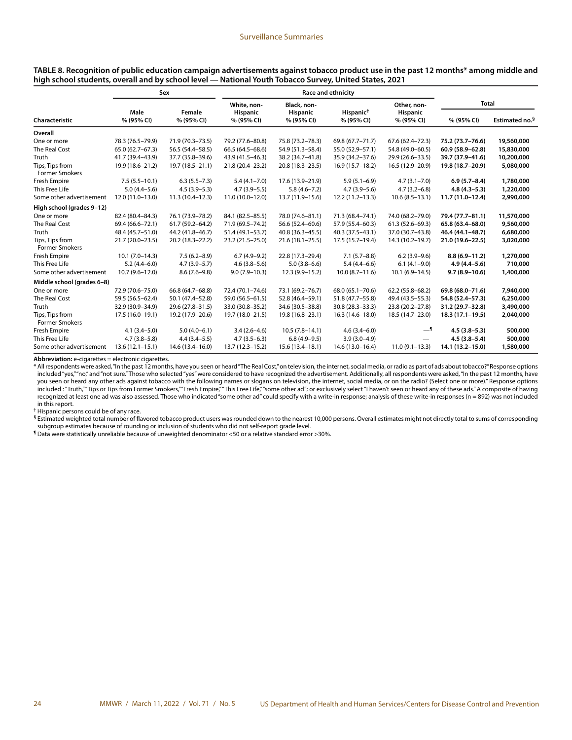**TABLE 8. Recognition of public education campaign advertisements against tobacco product use in the past 12 months\* among middle and high school students, overall and by school level — National Youth Tobacco Survey, United States, 2021**

|                                          | Sex                 |                     | <b>Race and ethnicity</b>      |                                |                       |                                |                   |                            |
|------------------------------------------|---------------------|---------------------|--------------------------------|--------------------------------|-----------------------|--------------------------------|-------------------|----------------------------|
|                                          | Male                | Female              | White, non-<br><b>Hispanic</b> | Black, non-<br><b>Hispanic</b> | Hispanic <sup>†</sup> | Other, non-<br><b>Hispanic</b> | Total             |                            |
| Characteristic                           | % (95% CI)          | % (95% CI)          | % (95% CI)                     | % (95% CI)                     | % (95% CI)            | % (95% CI)                     | % (95% CI)        | Estimated no. <sup>§</sup> |
| Overall                                  |                     |                     |                                |                                |                       |                                |                   |                            |
| One or more                              | 78.3 (76.5-79.9)    | 71.9 (70.3-73.5)    | 79.2 (77.6-80.8)               | 75.8 (73.2-78.3)               | 69.8 (67.7-71.7)      | $67.6(62.4 - 72.3)$            | 75.2 (73.7-76.6)  | 19,560,000                 |
| The Real Cost                            | $65.0(62.7 - 67.3)$ | 56.5 (54.4–58.5)    | 66.5 (64.5-68.6)               | 54.9 (51.3-58.4)               | 55.0 (52.9-57.1)      | 54.8 (49.0-60.5)               | 60.9 (58.9-62.8)  | 15,830,000                 |
| Truth                                    | 41.7 (39.4-43.9)    | 37.7 (35.8-39.6)    | 43.9 (41.5-46.3)               | 38.2 (34.7-41.8)               | 35.9 (34.2-37.6)      | 29.9 (26.6-33.5)               | 39.7 (37.9-41.6)  | 10,200,000                 |
| Tips, Tips from<br><b>Former Smokers</b> | 19.9 (18.6-21.2)    | 19.7 (18.5-21.1)    | 21.8 (20.4-23.2)               | 20.8 (18.3-23.5)               | $16.9(15.7-18.2)$     | 16.5 (12.9-20.9)               | 19.8 (18.7-20.9)  | 5,080,000                  |
| Fresh Empire                             | $7.5(5.5 - 10.1)$   | $6.3(5.5 - 7.3)$    | $5.4(4.1 - 7.0)$               | 17.6 (13.9-21.9)               | $5.9(5.1 - 6.9)$      | $4.7(3.1 - 7.0)$               | $6.9(5.7 - 8.4)$  | 1,780,000                  |
| This Free Life                           | $5.0(4.4 - 5.6)$    | $4.5(3.9 - 5.3)$    | $4.7(3.9 - 5.5)$               | $5.8(4.6 - 7.2)$               | $4.7(3.9 - 5.6)$      | $4.7(3.2 - 6.8)$               | $4.8(4.3 - 5.3)$  | 1,220,000                  |
| Some other advertisement                 | 12.0 (11.0-13.0)    | $11.3(10.4-12.3)$   | $11.0(10.0-12.0)$              | 13.7 (11.9-15.6)               | 12.2 (11.2-13.3)      | $10.6(8.5 - 13.1)$             | $11.7(11.0-12.4)$ | 2,990,000                  |
| High school (grades 9-12)                |                     |                     |                                |                                |                       |                                |                   |                            |
| One or more                              | 82.4 (80.4-84.3)    | 76.1 (73.9-78.2)    | 84.1 (82.5-85.5)               | 78.0 (74.6-81.1)               | 71.3 (68.4-74.1)      | 74.0 (68.2-79.0)               | 79.4 (77.7-81.1)  | 11,570,000                 |
| The Real Cost                            | 69.4 (66.6-72.1)    | $61.7(59.2 - 64.2)$ | 71.9 (69.5-74.2)               | 56.6 (52.4-60.6)               | 57.9 (55.4-60.3)      | $61.3(52.6 - 69.3)$            | 65.8 (63.4-68.0)  | 9,560,000                  |
| Truth                                    | 48.4 (45.7-51.0)    | 44.2 (41.8-46.7)    | $51.4(49.1 - 53.7)$            | $40.8(36.3 - 45.5)$            | 40.3 (37.5-43.1)      | 37.0 (30.7-43.8)               | 46.4 (44.1-48.7)  | 6,680,000                  |
| Tips, Tips from<br><b>Former Smokers</b> | 21.7 (20.0-23.5)    | $20.2(18.3 - 22.2)$ | 23.2 (21.5-25.0)               | $21.6(18.1 - 25.5)$            | 17.5 (15.7-19.4)      | 14.3 (10.2-19.7)               | 21.0 (19.6-22.5)  | 3,020,000                  |
| Fresh Empire                             | $10.1 (7.0 - 14.3)$ | $7.5(6.2 - 8.9)$    | $6.7(4.9-9.2)$                 | 22.8 (17.3-29.4)               | $7.1(5.7 - 8.8)$      | $6.2(3.9-9.6)$                 | $8.8(6.9 - 11.2)$ | 1,270,000                  |
| This Free Life                           | $5.2(4.4 - 6.0)$    | $4.7(3.9 - 5.7)$    | $4.6(3.8 - 5.6)$               | $5.0(3.8-6.6)$                 | $5.4(4.4-6.6)$        | $6.1(4.1-9.0)$                 | $4.9(4.4 - 5.6)$  | 710,000                    |
| Some other advertisement                 | $10.7(9.6 - 12.0)$  | $8.6(7.6-9.8)$      | $9.0(7.9 - 10.3)$              | $12.3(9.9 - 15.2)$             | $10.0 (8.7 - 11.6)$   | $10.1(6.9 - 14.5)$             | $9.7(8.9 - 10.6)$ | 1,400,000                  |
| Middle school (grades 6-8)               |                     |                     |                                |                                |                       |                                |                   |                            |
| One or more                              | 72.9 (70.6-75.0)    | 66.8 (64.7-68.8)    | 72.4 (70.1-74.6)               | 73.1 (69.2-76.7)               | 68.0 (65.1-70.6)      | 62.2 (55.8-68.2)               | 69.8 (68.0-71.6)  | 7,940,000                  |
| The Real Cost                            | 59.5 (56.5-62.4)    | 50.1 (47.4-52.8)    | 59.0 (56.5-61.5)               | 52.8 (46.4-59.1)               | 51.8 (47.7-55.8)      | 49.4 (43.5-55.3)               | 54.8 (52.4-57.3)  | 6,250,000                  |
| Truth                                    | 32.9 (30.9-34.9)    | 29.6 (27.8-31.5)    | 33.0 (30.8-35.2)               | 34.6 (30.5-38.8)               | 30.8 (28.3-33.3)      | 23.8 (20.2-27.8)               | 31.2 (29.7-32.8)  | 3,490,000                  |
| Tips. Tips from<br><b>Former Smokers</b> | 17.5 (16.0-19.1)    | 19.2 (17.9-20.6)    | 19.7 (18.0-21.5)               | 19.8 (16.8-23.1)               | $16.3(14.6 - 18.0)$   | 18.5 (14.7-23.0)               | 18.3 (17.1-19.5)  | 2,040,000                  |
| Fresh Empire                             | $4.1(3.4 - 5.0)$    | $5.0(4.0-6.1)$      | $3.4(2.6-4.6)$                 | $10.5(7.8 - 14.1)$             | $4.6(3.4 - 6.0)$      | <u>_</u> ¶                     | $4.5(3.8-5.3)$    | 500,000                    |
| This Free Life                           | $4.7(3.8 - 5.8)$    | $4.4(3.4 - 5.5)$    | $4.7(3.5-6.3)$                 | $6.8(4.9-9.5)$                 | $3.9(3.0-4.9)$        |                                | $4.5(3.8 - 5.4)$  | 500,000                    |
| Some other advertisement                 | $13.6(12.1 - 15.1)$ | 14.6 (13.4-16.0)    | $13.7(12.3 - 15.2)$            | 15.6 (13.4-18.1)               | 14.6 (13.0-16.4)      | $11.0(9.1 - 13.3)$             | 14.1 (13.2-15.0)  | 1,580,000                  |

**Abbreviation:** e-cigarettes = electronic cigarettes.

\* All respondents were asked, "In the past 12 months, have you seen or heard "The Real Cost," on television, the internet, social media, or radio as part of ads about tobacco?" Response options included "yes," "no," and "not sure." Those who selected "yes" were considered to have recognized the advertisement. Additionally, all respondents were asked, "In the past 12 months, have you seen or heard any other ads against tobacco with the following names or slogans on television, the internet, social media, or on the radio? (Select one or more)." Response options included : "Truth,""Tips or Tips from Former Smokers,""Fresh Empire,""This Free Life,""some other ad"; or exclusively select "I haven't seen or heard any of these ads." A composite of having recognized at least one ad was also assessed. Those who indicated "some other ad" could specify with a write-in response; analysis of these write-in responses (n = 892) was not included in this report.

† Hispanic persons could be of any race.

§ Estimated weighted total number of flavored tobacco product users was rounded down to the nearest 10,000 persons. Overall estimates might not directly total to sums of corresponding subgroup estimates because of rounding or inclusion of students who did not self-report grade level.

¶Data were statistically unreliable because of unweighted denominator <50 or a relative standard error >30%.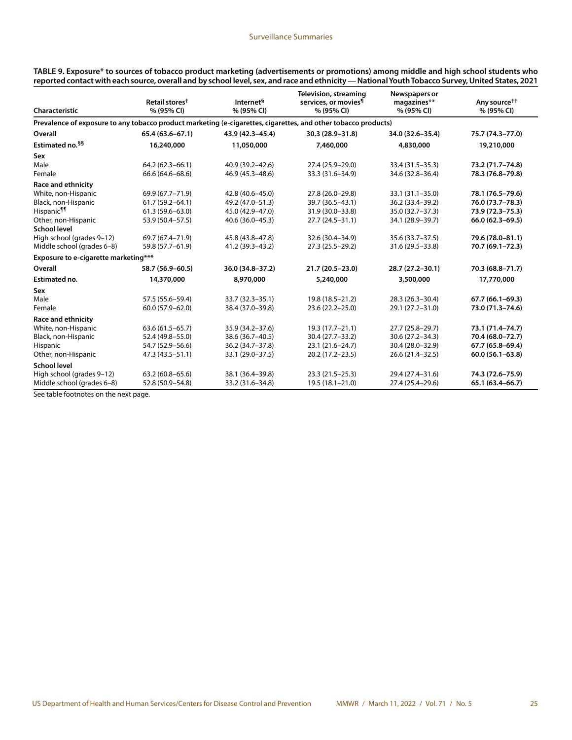| Prevalence of exposure to any tobacco product marketing (e-cigarettes, cigarettes, and other tobacco products)<br>30.3 (28.9-31.8)<br>$65.4(63.6 - 67.1)$<br>43.9 (42.3-45.4)<br>34.0 (32.6-35.4)<br>75.7 (74.3-77.0)<br>16,240,000<br>19,210,000<br>11,050,000<br>7,460,000<br>4,830,000<br>40.9 (39.2-42.6)<br>33.4 (31.5-35.3)<br>73.2 (71.7-74.8)<br>$64.2(62.3 - 66.1)$<br>27.4 (25.9-29.0)<br>46.9 (45.3-48.6)<br>78.3 (76.8-79.8)<br>66.6 (64.6–68.6)<br>33.3 (31.6-34.9)<br>34.6 (32.8-36.4)<br>69.9 (67.7-71.9)<br>27.8 (26.0-29.8)<br>33.1 (31.1-35.0)<br>78.1 (76.5-79.6)<br>42.8 (40.6-45.0)<br>$61.7(59.2 - 64.1)$<br>49.2 (47.0-51.3)<br>39.7 (36.5-43.1)<br>36.2 (33.4-39.2)<br>76.0 (73.7-78.3)<br>$61.3(59.6 - 63.0)$<br>45.0 (42.9-47.0)<br>31.9 (30.0-33.8)<br>35.0 (32.7-37.3)<br>73.9 (72.3-75.3)<br>53.9 (50.4-57.5)<br>40.6 (36.0-45.3)<br>$27.7(24.5 - 31.1)$<br>34.1 (28.9-39.7)<br>66.0 (62.3-69.5)<br>69.7 (67.4-71.9)<br>45.8 (43.8-47.8)<br>32.6 (30.4-34.9)<br>35.6 (33.7-37.5)<br>79.6 (78.0-81.1)<br>59.8 (57.7-61.9)<br>41.2 (39.3-43.2)<br>27.3 (25.5-29.2)<br>31.6 (29.5-33.8)<br>70.7 (69.1-72.3)<br>Exposure to e-cigarette marketing***<br>58.7 (56.9-60.5)<br>36.0 (34.8-37.2)<br>21.7 (20.5-23.0)<br>28.7 (27.2-30.1)<br>70.3 (68.8-71.7)<br>14,370,000<br>8,970,000<br>5,240,000<br>3,500,000<br>17,770,000<br>57.5 (55.6-59.4)<br>33.7 (32.3-35.1)<br>19.8 (18.5-21.2)<br>28.3 (26.3-30.4)<br>$67.7(66.1 - 69.3)$<br>$60.0(57.9 - 62.0)$<br>38.4 (37.0-39.8)<br>23.6 (22.2-25.0)<br>29.1 (27.2-31.0)<br>73.0 (71.3-74.6)<br>$63.6(61.5 - 65.7)$<br>35.9 (34.2-37.6)<br>$19.3(17.7 - 21.1)$<br>27.7 (25.8-29.7)<br>73.1 (71.4–74.7)<br>38.6 (36.7-40.5)<br>30.4 (27.7-33.2)<br>30.6 (27.2-34.3)<br>52.4 (49.8-55.0)<br>70.4 (68.0-72.7)<br>54.7 (52.9-56.6)<br>36.2 (34.7-37.8)<br>67.7 (65.8-69.4)<br>23.1 (21.6-24.7)<br>30.4 (28.0-32.9)<br>$60.0(56.1 - 63.8)$<br>47.3 (43.5 - 51.1)<br>33.1 (29.0-37.5)<br>20.2 (17.2-23.5)<br>26.6 (21.4 - 32.5)<br>$63.2(60.8 - 65.6)$<br>38.1 (36.4-39.8)<br>$23.3(21.5 - 25.3)$<br>29.4 (27.4-31.6)<br>74.3 (72.6-75.9)<br>52.8 (50.9-54.8)<br>33.2 (31.6-34.8)<br>19.5 (18.1-21.0)<br>27.4 (25.4-29.6)<br>65.1 (63.4-66.7) | <b>Characteristic</b>      | Retail stores <sup>†</sup><br>% (95% CI) | Internet <sup>§</sup><br>% (95% CI) | <b>Television, streaming</b><br>services, or movies <sup>¶</sup><br>% (95% CI) | Newspapers or<br>magazines**<br>% (95% CI) | Any source <sup>††</sup><br>% (95% CI) |
|---------------------------------------------------------------------------------------------------------------------------------------------------------------------------------------------------------------------------------------------------------------------------------------------------------------------------------------------------------------------------------------------------------------------------------------------------------------------------------------------------------------------------------------------------------------------------------------------------------------------------------------------------------------------------------------------------------------------------------------------------------------------------------------------------------------------------------------------------------------------------------------------------------------------------------------------------------------------------------------------------------------------------------------------------------------------------------------------------------------------------------------------------------------------------------------------------------------------------------------------------------------------------------------------------------------------------------------------------------------------------------------------------------------------------------------------------------------------------------------------------------------------------------------------------------------------------------------------------------------------------------------------------------------------------------------------------------------------------------------------------------------------------------------------------------------------------------------------------------------------------------------------------------------------------------------------------------------------------------------------------------------------------------------------------------------------------------------------------------------------------------------------------------------------------------------------------------------|----------------------------|------------------------------------------|-------------------------------------|--------------------------------------------------------------------------------|--------------------------------------------|----------------------------------------|
|                                                                                                                                                                                                                                                                                                                                                                                                                                                                                                                                                                                                                                                                                                                                                                                                                                                                                                                                                                                                                                                                                                                                                                                                                                                                                                                                                                                                                                                                                                                                                                                                                                                                                                                                                                                                                                                                                                                                                                                                                                                                                                                                                                                                               |                            |                                          |                                     |                                                                                |                                            |                                        |
|                                                                                                                                                                                                                                                                                                                                                                                                                                                                                                                                                                                                                                                                                                                                                                                                                                                                                                                                                                                                                                                                                                                                                                                                                                                                                                                                                                                                                                                                                                                                                                                                                                                                                                                                                                                                                                                                                                                                                                                                                                                                                                                                                                                                               | Overall                    |                                          |                                     |                                                                                |                                            |                                        |
|                                                                                                                                                                                                                                                                                                                                                                                                                                                                                                                                                                                                                                                                                                                                                                                                                                                                                                                                                                                                                                                                                                                                                                                                                                                                                                                                                                                                                                                                                                                                                                                                                                                                                                                                                                                                                                                                                                                                                                                                                                                                                                                                                                                                               | Estimated no. §§           |                                          |                                     |                                                                                |                                            |                                        |
|                                                                                                                                                                                                                                                                                                                                                                                                                                                                                                                                                                                                                                                                                                                                                                                                                                                                                                                                                                                                                                                                                                                                                                                                                                                                                                                                                                                                                                                                                                                                                                                                                                                                                                                                                                                                                                                                                                                                                                                                                                                                                                                                                                                                               | Sex                        |                                          |                                     |                                                                                |                                            |                                        |
|                                                                                                                                                                                                                                                                                                                                                                                                                                                                                                                                                                                                                                                                                                                                                                                                                                                                                                                                                                                                                                                                                                                                                                                                                                                                                                                                                                                                                                                                                                                                                                                                                                                                                                                                                                                                                                                                                                                                                                                                                                                                                                                                                                                                               | Male                       |                                          |                                     |                                                                                |                                            |                                        |
|                                                                                                                                                                                                                                                                                                                                                                                                                                                                                                                                                                                                                                                                                                                                                                                                                                                                                                                                                                                                                                                                                                                                                                                                                                                                                                                                                                                                                                                                                                                                                                                                                                                                                                                                                                                                                                                                                                                                                                                                                                                                                                                                                                                                               | Female                     |                                          |                                     |                                                                                |                                            |                                        |
|                                                                                                                                                                                                                                                                                                                                                                                                                                                                                                                                                                                                                                                                                                                                                                                                                                                                                                                                                                                                                                                                                                                                                                                                                                                                                                                                                                                                                                                                                                                                                                                                                                                                                                                                                                                                                                                                                                                                                                                                                                                                                                                                                                                                               | <b>Race and ethnicity</b>  |                                          |                                     |                                                                                |                                            |                                        |
|                                                                                                                                                                                                                                                                                                                                                                                                                                                                                                                                                                                                                                                                                                                                                                                                                                                                                                                                                                                                                                                                                                                                                                                                                                                                                                                                                                                                                                                                                                                                                                                                                                                                                                                                                                                                                                                                                                                                                                                                                                                                                                                                                                                                               | White, non-Hispanic        |                                          |                                     |                                                                                |                                            |                                        |
|                                                                                                                                                                                                                                                                                                                                                                                                                                                                                                                                                                                                                                                                                                                                                                                                                                                                                                                                                                                                                                                                                                                                                                                                                                                                                                                                                                                                                                                                                                                                                                                                                                                                                                                                                                                                                                                                                                                                                                                                                                                                                                                                                                                                               | Black, non-Hispanic        |                                          |                                     |                                                                                |                                            |                                        |
|                                                                                                                                                                                                                                                                                                                                                                                                                                                                                                                                                                                                                                                                                                                                                                                                                                                                                                                                                                                                                                                                                                                                                                                                                                                                                                                                                                                                                                                                                                                                                                                                                                                                                                                                                                                                                                                                                                                                                                                                                                                                                                                                                                                                               | Hispanic¶¶                 |                                          |                                     |                                                                                |                                            |                                        |
|                                                                                                                                                                                                                                                                                                                                                                                                                                                                                                                                                                                                                                                                                                                                                                                                                                                                                                                                                                                                                                                                                                                                                                                                                                                                                                                                                                                                                                                                                                                                                                                                                                                                                                                                                                                                                                                                                                                                                                                                                                                                                                                                                                                                               | Other, non-Hispanic        |                                          |                                     |                                                                                |                                            |                                        |
|                                                                                                                                                                                                                                                                                                                                                                                                                                                                                                                                                                                                                                                                                                                                                                                                                                                                                                                                                                                                                                                                                                                                                                                                                                                                                                                                                                                                                                                                                                                                                                                                                                                                                                                                                                                                                                                                                                                                                                                                                                                                                                                                                                                                               | School level               |                                          |                                     |                                                                                |                                            |                                        |
|                                                                                                                                                                                                                                                                                                                                                                                                                                                                                                                                                                                                                                                                                                                                                                                                                                                                                                                                                                                                                                                                                                                                                                                                                                                                                                                                                                                                                                                                                                                                                                                                                                                                                                                                                                                                                                                                                                                                                                                                                                                                                                                                                                                                               | High school (grades 9-12)  |                                          |                                     |                                                                                |                                            |                                        |
|                                                                                                                                                                                                                                                                                                                                                                                                                                                                                                                                                                                                                                                                                                                                                                                                                                                                                                                                                                                                                                                                                                                                                                                                                                                                                                                                                                                                                                                                                                                                                                                                                                                                                                                                                                                                                                                                                                                                                                                                                                                                                                                                                                                                               | Middle school (grades 6-8) |                                          |                                     |                                                                                |                                            |                                        |
|                                                                                                                                                                                                                                                                                                                                                                                                                                                                                                                                                                                                                                                                                                                                                                                                                                                                                                                                                                                                                                                                                                                                                                                                                                                                                                                                                                                                                                                                                                                                                                                                                                                                                                                                                                                                                                                                                                                                                                                                                                                                                                                                                                                                               |                            |                                          |                                     |                                                                                |                                            |                                        |
|                                                                                                                                                                                                                                                                                                                                                                                                                                                                                                                                                                                                                                                                                                                                                                                                                                                                                                                                                                                                                                                                                                                                                                                                                                                                                                                                                                                                                                                                                                                                                                                                                                                                                                                                                                                                                                                                                                                                                                                                                                                                                                                                                                                                               | Overall                    |                                          |                                     |                                                                                |                                            |                                        |
|                                                                                                                                                                                                                                                                                                                                                                                                                                                                                                                                                                                                                                                                                                                                                                                                                                                                                                                                                                                                                                                                                                                                                                                                                                                                                                                                                                                                                                                                                                                                                                                                                                                                                                                                                                                                                                                                                                                                                                                                                                                                                                                                                                                                               | Estimated no.              |                                          |                                     |                                                                                |                                            |                                        |
|                                                                                                                                                                                                                                                                                                                                                                                                                                                                                                                                                                                                                                                                                                                                                                                                                                                                                                                                                                                                                                                                                                                                                                                                                                                                                                                                                                                                                                                                                                                                                                                                                                                                                                                                                                                                                                                                                                                                                                                                                                                                                                                                                                                                               | Sex                        |                                          |                                     |                                                                                |                                            |                                        |
|                                                                                                                                                                                                                                                                                                                                                                                                                                                                                                                                                                                                                                                                                                                                                                                                                                                                                                                                                                                                                                                                                                                                                                                                                                                                                                                                                                                                                                                                                                                                                                                                                                                                                                                                                                                                                                                                                                                                                                                                                                                                                                                                                                                                               | Male                       |                                          |                                     |                                                                                |                                            |                                        |
|                                                                                                                                                                                                                                                                                                                                                                                                                                                                                                                                                                                                                                                                                                                                                                                                                                                                                                                                                                                                                                                                                                                                                                                                                                                                                                                                                                                                                                                                                                                                                                                                                                                                                                                                                                                                                                                                                                                                                                                                                                                                                                                                                                                                               | Female                     |                                          |                                     |                                                                                |                                            |                                        |
|                                                                                                                                                                                                                                                                                                                                                                                                                                                                                                                                                                                                                                                                                                                                                                                                                                                                                                                                                                                                                                                                                                                                                                                                                                                                                                                                                                                                                                                                                                                                                                                                                                                                                                                                                                                                                                                                                                                                                                                                                                                                                                                                                                                                               | <b>Race and ethnicity</b>  |                                          |                                     |                                                                                |                                            |                                        |
|                                                                                                                                                                                                                                                                                                                                                                                                                                                                                                                                                                                                                                                                                                                                                                                                                                                                                                                                                                                                                                                                                                                                                                                                                                                                                                                                                                                                                                                                                                                                                                                                                                                                                                                                                                                                                                                                                                                                                                                                                                                                                                                                                                                                               | White, non-Hispanic        |                                          |                                     |                                                                                |                                            |                                        |
|                                                                                                                                                                                                                                                                                                                                                                                                                                                                                                                                                                                                                                                                                                                                                                                                                                                                                                                                                                                                                                                                                                                                                                                                                                                                                                                                                                                                                                                                                                                                                                                                                                                                                                                                                                                                                                                                                                                                                                                                                                                                                                                                                                                                               | Black, non-Hispanic        |                                          |                                     |                                                                                |                                            |                                        |
|                                                                                                                                                                                                                                                                                                                                                                                                                                                                                                                                                                                                                                                                                                                                                                                                                                                                                                                                                                                                                                                                                                                                                                                                                                                                                                                                                                                                                                                                                                                                                                                                                                                                                                                                                                                                                                                                                                                                                                                                                                                                                                                                                                                                               | <b>Hispanic</b>            |                                          |                                     |                                                                                |                                            |                                        |
|                                                                                                                                                                                                                                                                                                                                                                                                                                                                                                                                                                                                                                                                                                                                                                                                                                                                                                                                                                                                                                                                                                                                                                                                                                                                                                                                                                                                                                                                                                                                                                                                                                                                                                                                                                                                                                                                                                                                                                                                                                                                                                                                                                                                               | Other, non-Hispanic        |                                          |                                     |                                                                                |                                            |                                        |
|                                                                                                                                                                                                                                                                                                                                                                                                                                                                                                                                                                                                                                                                                                                                                                                                                                                                                                                                                                                                                                                                                                                                                                                                                                                                                                                                                                                                                                                                                                                                                                                                                                                                                                                                                                                                                                                                                                                                                                                                                                                                                                                                                                                                               | <b>School level</b>        |                                          |                                     |                                                                                |                                            |                                        |
|                                                                                                                                                                                                                                                                                                                                                                                                                                                                                                                                                                                                                                                                                                                                                                                                                                                                                                                                                                                                                                                                                                                                                                                                                                                                                                                                                                                                                                                                                                                                                                                                                                                                                                                                                                                                                                                                                                                                                                                                                                                                                                                                                                                                               | High school (grades 9-12)  |                                          |                                     |                                                                                |                                            |                                        |
|                                                                                                                                                                                                                                                                                                                                                                                                                                                                                                                                                                                                                                                                                                                                                                                                                                                                                                                                                                                                                                                                                                                                                                                                                                                                                                                                                                                                                                                                                                                                                                                                                                                                                                                                                                                                                                                                                                                                                                                                                                                                                                                                                                                                               | Middle school (grades 6-8) |                                          |                                     |                                                                                |                                            |                                        |

**TABLE 9. Exposure\* to sources of tobacco product marketing (advertisements or promotions) among middle and high school students who reported contact with each source, overall and by school level, sex, and race and ethnicity — National Youth Tobacco Survey, United States, 2021**

See table footnotes on the next page.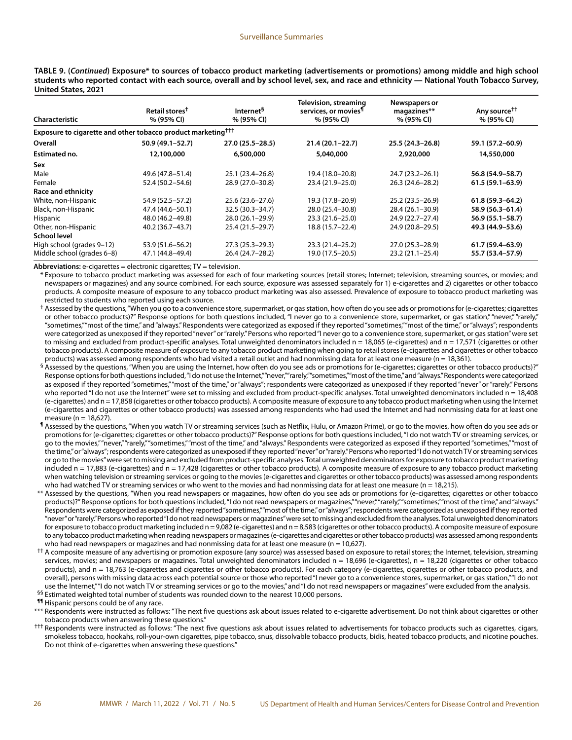**TABLE 9. (***Continued***) Exposure\* to sources of tobacco product marketing (advertisements or promotions) among middle and high school students who reported contact with each source, overall and by school level, sex, and race and ethnicity — National Youth Tobacco Survey, United States, 2021**

|                                                                          | Retail stores <sup>†</sup> | Internet <sup>§</sup> | <b>Television, streaming</b><br>services, or movies <sup>¶</sup> | Newspapers or<br>magazines** | Any source <sup>††</sup> |
|--------------------------------------------------------------------------|----------------------------|-----------------------|------------------------------------------------------------------|------------------------------|--------------------------|
| Characteristic                                                           | % (95% CI)                 | % (95% CI)            | % (95% CI)                                                       | % (95% CI)                   | % (95% CI)               |
| Exposure to cigarette and other tobacco product marketing <sup>†††</sup> |                            |                       |                                                                  |                              |                          |
| Overall                                                                  | 50.9 (49.1–52.7)           | $27.0(25.5 - 28.5)$   | $21.4(20.1 - 22.7)$                                              | $25.5(24.3 - 26.8)$          | 59.1 (57.2-60.9)         |
| Estimated no.                                                            | 12,100,000                 | 6,500,000             | 5,040,000                                                        | 2,920,000                    | 14,550,000               |
| Sex                                                                      |                            |                       |                                                                  |                              |                          |
| Male                                                                     | 49.6 (47.8–51.4)           | 25.1 (23.4–26.8)      | 19.4 (18.0-20.8)                                                 | 24.7 (23.2-26.1)             | 56.8 (54.9–58.7)         |
| Female                                                                   | 52.4 (50.2-54.6)           | 28.9 (27.0-30.8)      | 23.4 (21.9-25.0)                                                 | 26.3 (24.6-28.2)             | $61.5(59.1 - 63.9)$      |
| Race and ethnicity                                                       |                            |                       |                                                                  |                              |                          |
| White, non-Hispanic                                                      | 54.9 (52.5–57.2)           | 25.6 (23.6–27.6)      | 19.3 (17.8–20.9)                                                 | $25.2(23.5-26.9)$            | $61.8(59.3 - 64.2)$      |
| Black, non-Hispanic                                                      | 47.4 (44.6–50.1)           | $32.5(30.3 - 34.7)$   | 28.0 (25.4-30.8)                                                 | $28.4(26.1-30.9)$            | 58.9 (56.3-61.4)         |
| Hispanic                                                                 | 48.0 (46.2-49.8)           | $28.0(26.1-29.9)$     | $23.3(21.6 - 25.0)$                                              | 24.9 (22.7-27.4)             | $56.9(55.1 - 58.7)$      |
| Other, non-Hispanic                                                      | 40.2 (36.7–43.7)           | 25.4 (21.5–29.7)      | 18.8 (15.7–22.4)                                                 | 24.9 (20.8-29.5)             | 49.3 (44.9–53.6)         |
| School level                                                             |                            |                       |                                                                  |                              |                          |
| High school (grades 9-12)                                                | 53.9 (51.6–56.2)           | $27.3(25.3 - 29.3)$   | 23.3 (21.4-25.2)                                                 | 27.0 (25.3-28.9)             | $61.7(59.4 - 63.9)$      |
| Middle school (grades 6-8)                                               | 47.1 (44.8–49.4)           | 26.4 (24.7-28.2)      | 19.0 (17.5 - 20.5)                                               | $23.2(21.1 - 25.4)$          | 55.7 (53.4–57.9)         |

**Abbreviations:** e-cigarettes = electronic cigarettes; TV = television.

\* Exposure to tobacco product marketing was assessed for each of four marketing sources (retail stores; Internet; television, streaming sources, or movies; and newspapers or magazines) and any source combined. For each source, exposure was assessed separately for 1) e-cigarettes and 2) cigarettes or other tobacco products. A composite measure of exposure to any tobacco product marketing was also assessed. Prevalence of exposure to tobacco product marketing was restricted to students who reported using each source.

<sup>†</sup> Assessed by the questions, "When you go to a convenience store, supermarket, or gas station, how often do you see ads or promotions for (e-cigarettes; cigarettes or other tobacco products)?" Response options for both questions included, "I never go to a convenience store, supermarket, or gas station," "never," "rarely," "sometimes," "most of the time," and "always." Respondents were categorized as exposed if they reported "sometimes," "most of the time," or "always"; respondents were categorized as unexposed if they reported "never" or "rarely." Persons who reported "I never go to a convenience store, supermarket, or gas station" were set to missing and excluded from product-specific analyses. Total unweighted denominators included n = 18,065 (e-cigarettes) and n = 17,571 (cigarettes or other tobacco products). A composite measure of exposure to any tobacco product marketing when going to retail stores (e-cigarettes and cigarettes or other tobacco products) was assessed among respondents who had visited a retail outlet and had nonmissing data for at least one measure (n = 18,361).

- $\frac{6}{9}$  Assessed by the questions, "When you are using the Internet, how often do you see ads or promotions for (e-cigarettes; cigarettes or other tobacco products)?" Response options for both questions included, "I do not use the Internet," "never," "rarely," "sometimes," "most of the time," and "always." Respondents were categorized as exposed if they reported "sometimes," "most of the time," or "always"; respondents were categorized as unexposed if they reported "never" or "rarely." Persons who reported "I do not use the Internet" were set to missing and excluded from product-specific analyses. Total unweighted denominators included n = 18,408 (e-cigarettes) and n = 17,858 (cigarettes or other tobacco products). A composite measure of exposure to any tobacco product marketing when using the Internet (e-cigarettes and cigarettes or other tobacco products) was assessed among respondents who had used the Internet and had nonmissing data for at least one measure ( $n = 18.627$ ).
- ¶ Assessed by the questions, "When you watch TV or streaming services (such as Netflix, Hulu, or Amazon Prime), or go to the movies, how often do you see ads or promotions for (e-cigarettes; cigarettes or other tobacco products)?" Response options for both questions included, "I do not watch TV or streaming services, or go to the movies," "never," "rarely," "sometimes," "most of the time," and "always." Respondents were categorized as exposed if they reported "sometimes," "most of the time," or "always"; respondents were categorized as unexposed if they reported "never" or "rarely." Persons who reported "I do not watch TV or streaming services or go to the movies" were set to missing and excluded from product-specific analyses. Total unweighted denominators for exposure to tobacco product marketing included n = 17,883 (e-cigarettes) and n = 17,428 (cigarettes or other tobacco products). A composite measure of exposure to any tobacco product marketing when watching television or streaming services or going to the movies (e-cigarettes and cigarettes or other tobacco products) was assessed among respondents who had watched TV or streaming services or who went to the movies and had nonmissing data for at least one measure (n = 18,215).
- \*\* Assessed by the questions, "When you read newspapers or magazines, how often do you see ads or promotions for (e-cigarettes; cigarettes or other tobacco products)?" Response options for both questions included, "I do not read newspapers or magazines," "never," "rarely," "sometimes," "most of the time," and "always." Respondents were categorized as exposed if they reported "sometimes," "most of the time," or "always"; respondents were categorized as unexposed if they reported "never" or "rarely." Persons who reported "I do not read newspapers or magazines" were set to missing and excluded from the analyses. Total unweighted denominators for exposure to tobacco product marketing included n = 9,082 (e-cigarettes) and n = 8,583 (cigarettes or other tobacco products). A composite measure of exposure to any tobacco product marketing when reading newspapers or magazines (e-cigarettes and cigarettes or other tobacco products) was assessed among respondents who had read newspapers or magazines and had nonmissing data for at least one measure ( $n = 10,627$ ).
- †† A composite measure of any advertising or promotion exposure (any source) was assessed based on exposure to retail stores; the Internet, television, streaming services, movies; and newspapers or magazines. Total unweighted denominators included n = 18,696 (e-cigarettes), n = 18,220 (cigarettes or other tobacco products), and n = 18,763 (e-cigarettes and cigarettes or other tobacco products). For each category (e-cigarettes, cigarettes or other tobacco products, and overall), persons with missing data across each potential source or those who reported "I never go to a convenience stores, supermarket, or gas station," "I do not use the Internet,""I do not watch TV or streaming services or go to the movies," and "I do not read newspapers or magazines" were excluded from the analysis. §§ Estimated weighted total number of students was rounded down to the nearest 10,000 persons.

**11** Hispanic persons could be of any race.

- \*\*\* Respondents were instructed as follows: "The next five questions ask about issues related to e-cigarette advertisement. Do not think about cigarettes or other tobacco products when answering these questions."
- ††† Respondents were instructed as follows: "The next five questions ask about issues related to advertisements for tobacco products such as cigarettes, cigars, smokeless tobacco, hookahs, roll-your-own cigarettes, pipe tobacco, snus, dissolvable tobacco products, bidis, heated tobacco products, and nicotine pouches. Do not think of e-cigarettes when answering these questions."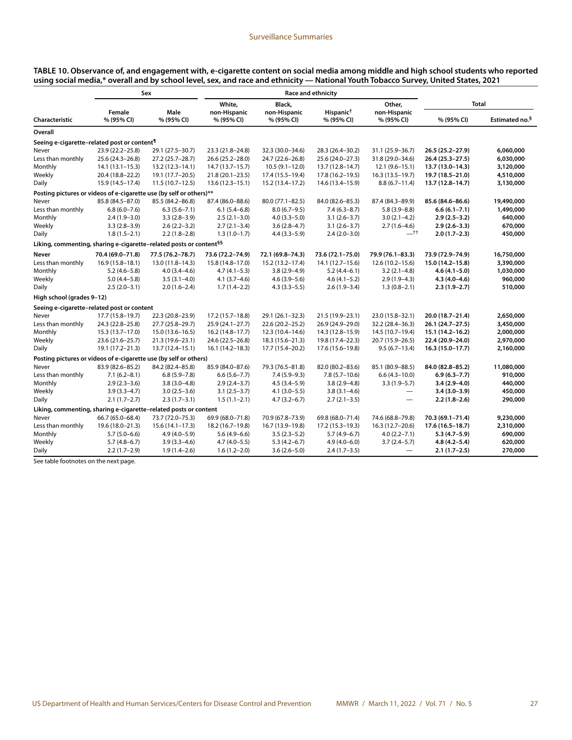| TABLE 10. Observance of, and engagement with, e-cigarette content on social media among middle and high school students who reported |  |
|--------------------------------------------------------------------------------------------------------------------------------------|--|
| using social media,* overall and by school level, sex, and race and ethnicity — National Youth Tobacco Survey, United States, 2021   |  |

|                                                                                |                      | Sex                 |                            | <b>Race and ethnicity</b>  |                                     |                            |                   |                            |
|--------------------------------------------------------------------------------|----------------------|---------------------|----------------------------|----------------------------|-------------------------------------|----------------------------|-------------------|----------------------------|
|                                                                                |                      |                     | White,                     | Black,                     |                                     | Other,                     | <b>Total</b>      |                            |
| Characteristic                                                                 | Female<br>% (95% CI) | Male<br>% (95% CI)  | non-Hispanic<br>% (95% CI) | non-Hispanic<br>% (95% CI) | Hispanic <sup>†</sup><br>% (95% CI) | non-Hispanic<br>% (95% CI) | % (95% CI)        | Estimated no. <sup>§</sup> |
| Overall                                                                        |                      |                     |                            |                            |                                     |                            |                   |                            |
| Seeing e-cigarette-related post or content <sup>¶</sup>                        |                      |                     |                            |                            |                                     |                            |                   |                            |
| Never                                                                          | 23.9 (22.2-25.8)     | 29.1 (27.5-30.7)    | 23.3 (21.8-24.8)           | 32.3 (30.0-34.6)           | 28.3 (26.4-30.2)                    | 31.1 (25.9-36.7)           | 26.5 (25.2-27.9)  | 6,060,000                  |
| Less than monthly                                                              | 25.6 (24.3-26.8)     | 27.2 (25.7-28.7)    | 26.6 (25.2-28.0)           | 24.7 (22.6-26.8)           | 25.6 (24.0-27.3)                    | 31.8 (29.0-34.6)           | 26.4 (25.3-27.5)  | 6,030,000                  |
| Monthly                                                                        | $14.1(13.1 - 15.3)$  | $13.2(12.3 - 14.1)$ | 14.7 (13.7-15.7)           | $10.5(9.1-12.0)$           | 13.7 (12.8-14.7)                    | $12.1(9.6 - 15.1)$         | 13.7 (13.0-14.3)  | 3,120,000                  |
| Weekly                                                                         | 20.4 (18.8-22.2)     | 19.1 (17.7-20.5)    | $21.8(20.1 - 23.5)$        | 17.4 (15.5-19.4)           | 17.8 (16.2-19.5)                    | $16.3(13.5 - 19.7)$        | 19.7 (18.5-21.0)  | 4,510,000                  |
| Daily                                                                          | 15.9 (14.5-17.4)     | $11.5(10.7-12.5)$   | $13.6(12.3 - 15.1)$        | 15.2 (13.4-17.2)           | 14.6 (13.4-15.9)                    | $8.8(6.7 - 11.4)$          | 13.7 (12.8-14.7)  | 3,130,000                  |
| Posting pictures or videos of e-cigarette use (by self or others)**            |                      |                     |                            |                            |                                     |                            |                   |                            |
| Never                                                                          | 85.8 (84.5-87.0)     | 85.5 (84.2-86.8)    | 87.4 (86.0-88.6)           | 80.0 (77.1-82.5)           | 84.0 (82.6-85.3)                    | 87.4 (84.3-89.9)           | 85.6 (84.6-86.6)  | 19,490,000                 |
| Less than monthly                                                              | $6.8(6.0 - 7.6)$     | $6.3(5.6 - 7.1)$    | $6.1(5.4-6.8)$             | $8.0(6.7-9.5)$             | $7.4(6.3 - 8.7)$                    | $5.8(3.9 - 8.8)$           | $6.6(6.1 - 7.1)$  | 1,490,000                  |
| Monthly                                                                        | $2.4(1.9-3.0)$       | $3.3(2.8-3.9)$      | $2.5(2.1-3.0)$             | $4.0(3.3 - 5.0)$           | $3.1(2.6-3.7)$                      | $3.0(2.1-4.2)$             | $2.9(2.5-3.2)$    | 640,000                    |
| Weekly                                                                         | $3.3(2.8-3.9)$       | $2.6(2.2 - 3.2)$    | $2.7(2.1-3.4)$             | $3.6(2.8-4.7)$             | $3.1(2.6-3.7)$                      | $2.7(1.6-4.6)$             | $2.9(2.6 - 3.3)$  | 670,000                    |
| Daily                                                                          | $1.8(1.5-2.1)$       | $2.2(1.8-2.8)$      | $1.3(1.0-1.7)$             | $4.4(3.3 - 5.9)$           | $2.4(2.0-3.0)$                      | $-$ tt                     | $2.0(1.7-2.3)$    | 450,000                    |
| Liking, commenting, sharing e-cigarette-related posts or content <sup>§§</sup> |                      |                     |                            |                            |                                     |                            |                   |                            |
| Never                                                                          | 70.4 (69.0-71.8)     | 77.5 (76.2-78.7)    | 73.6 (72.2-74.9)           | 72.1 (69.8-74.3)           | 73.6 (72.1-75.0)                    | 79.9 (76.1-83.3)           | 73.9 (72.9-74.9)  | 16,750,000                 |
| Less than monthly                                                              | $16.9(15.8 - 18.1)$  | 13.0 (11.8-14.3)    | 15.8 (14.8-17.0)           | 15.2 (13.2-17.4)           | 14.1 (12.7–15.6)                    | $12.6(10.2 - 15.6)$        | 15.0 (14.2-15.8)  | 3,390,000                  |
| Monthly                                                                        | $5.2(4.6 - 5.8)$     | $4.0(3.4 - 4.6)$    | $4.7(4.1 - 5.3)$           | $3.8(2.9-4.9)$             | $5.2(4.4-6.1)$                      | $3.2(2.1-4.8)$             | $4.6(4.1 - 5.0)$  | 1,030,000                  |
| Weekly                                                                         | $5.0(4.4-5.8)$       | $3.5(3.1-4.0)$      | $4.1(3.7-4.6)$             | $4.6(3.9 - 5.6)$           | $4.6(4.1 - 5.2)$                    | $2.9(1.9-4.3)$             | $4.3(4.0 - 4.6)$  | 960,000                    |
| Daily                                                                          | $2.5(2.0-3.1)$       | $2.0(1.6-2.4)$      | $1.7(1.4-2.2)$             | $4.3(3.3 - 5.5)$           | $2.6(1.9-3.4)$                      | $1.3(0.8-2.1)$             | $2.3(1.9-2.7)$    | 510,000                    |
| High school (grades 9-12)                                                      |                      |                     |                            |                            |                                     |                            |                   |                            |
| Seeing e-cigarette-related post or content                                     |                      |                     |                            |                            |                                     |                            |                   |                            |
| Never                                                                          | 17.7 (15.8-19.7)     | 22.3 (20.8-23.9)    | $17.2(15.7 - 18.8)$        | 29.1 (26.1-32.3)           | 21.5 (19.9-23.1)                    | 23.0 (15.8-32.1)           | 20.0 (18.7-21.4)  | 2,650,000                  |
| Less than monthly                                                              | 24.3 (22.8-25.8)     | 27.7 (25.8-29.7)    | $25.9(24.1 - 27.7)$        | 22.6 (20.2-25.2)           | 26.9 (24.9-29.0)                    | 32.2 (28.4-36.3)           | 26.1 (24.7-27.5)  | 3,450,000                  |
| Monthly                                                                        | 15.3 (13.7-17.0)     | $15.0(13.6 - 16.5)$ | $16.2(14.8 - 17.7)$        | 12.3 (10.4-14.6)           | 14.3 (12.8-15.9)                    | 14.5 (10.7-19.4)           | 15.1 (14.2-16.2)  | 2,000,000                  |
| Weekly                                                                         | 23.6 (21.6-25.7)     | 21.3 (19.6-23.1)    | 24.6 (22.5 - 26.8)         | 18.3 (15.6-21.3)           | 19.8 (17.4-22.3)                    | 20.7 (15.9-26.5)           | 22.4 (20.9-24.0)  | 2,970,000                  |
| Daily                                                                          | 19.1 (17.2-21.3)     | 13.7 (12.4-15.1)    | $16.1(14.2 - 18.3)$        | 17.7 (15.4-20.2)           | 17.6 (15.6-19.8)                    | $9.5(6.7-13.4)$            | $16.3(15.0-17.7)$ | 2,160,000                  |
| Posting pictures or videos of e-cigarette use (by self or others)              |                      |                     |                            |                            |                                     |                            |                   |                            |
| Never                                                                          | 83.9 (82.6-85.2)     | 84.2 (82.4-85.8)    | 85.9 (84.0-87.6)           | 79.3 (76.5-81.8)           | 82.0 (80.2-83.6)                    | 85.1 (80.9-88.5)           | 84.0 (82.8-85.2)  | 11,080,000                 |
| Less than monthly                                                              | $7.1(6.2 - 8.1)$     | $6.8(5.9 - 7.8)$    | $6.6(5.6 - 7.7)$           | $7.4(5.9-9.3)$             | $7.8(5.7-10.6)$                     | $6.6(4.3 - 10.0)$          | $6.9(6.3 - 7.7)$  | 910,000                    |
| Monthly                                                                        | $2.9(2.3-3.6)$       | $3.8(3.0-4.8)$      | $2.9(2.4-3.7)$             | $4.5(3.4 - 5.9)$           | $3.8(2.9 - 4.8)$                    | $3.3(1.9-5.7)$             | $3.4(2.9 - 4.0)$  | 440,000                    |
| Weekly                                                                         | $3.9(3.3 - 4.7)$     | $3.0(2.5-3.6)$      | $3.1(2.5-3.7)$             | $4.1(3.0-5.5)$             | $3.8(3.1 - 4.6)$                    | $\overline{\phantom{0}}$   | $3.4(3.0 - 3.9)$  | 450,000                    |
| Daily                                                                          | $2.1(1.7-2.7)$       | $2.3(1.7-3.1)$      | $1.5(1.1-2.1)$             | $4.7(3.2 - 6.7)$           | $2.7(2.1-3.5)$                      |                            | $2.2(1.8-2.6)$    | 290,000                    |
| Liking, commenting, sharing e-cigarette-related posts or content               |                      |                     |                            |                            |                                     |                            |                   |                            |
| Never                                                                          | 66.7 (65.0-68.4)     | 73.7 (72.0-75.3)    | 69.9 (68.0-71.8)           | 70.9 (67.8-73.9)           | 69.8 (68.0-71.4)                    | 74.6 (68.8-79.8)           | 70.3 (69.1-71.4)  | 9,230,000                  |
| Less than monthly                                                              | 19.6 (18.0-21.3)     | $15.6(14.1 - 17.3)$ | 18.2 (16.7-19.8)           | 16.7 (13.9-19.8)           | 17.2 (15.3-19.3)                    | 16.3 (12.7-20.6)           | 17.6 (16.5-18.7)  | 2,310,000                  |
| Monthly                                                                        | $5.7(5.0-6.6)$       | $4.9(4.0 - 5.9)$    | $5.6(4.9-6.6)$             | $3.5(2.3-5.2)$             | $5.7(4.9-6.7)$                      | $4.0(2.2 - 7.1)$           | $5.3(4.7-5.9)$    | 690,000                    |
| Weekly                                                                         | $5.7(4.8-6.7)$       | $3.9(3.3-4.6)$      | $4.7(4.0-5.5)$             | $5.3(4.2-6.7)$             | $4.9(4.0 - 6.0)$                    | $3.7(2.4-5.7)$             | $4.8(4.2 - 5.4)$  | 620,000                    |
| Daily                                                                          | $2.2(1.7-2.9)$       | $1.9(1.4-2.6)$      | $1.6(1.2 - 2.0)$           | $3.6(2.6 - 5.0)$           | $2.4(1.7-3.5)$                      | $\overline{\phantom{0}}$   | $2.1(1.7-2.5)$    | 270,000                    |

See table footnotes on the next page.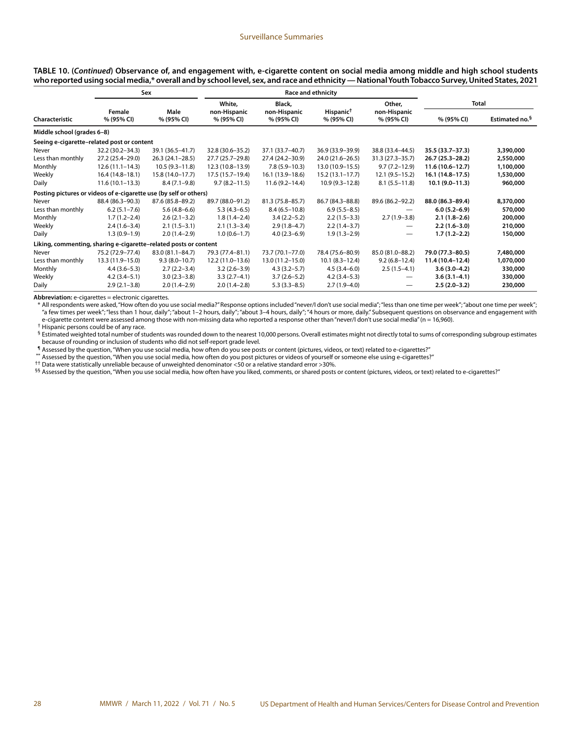| TABLE 10. (Continued) Observance of, and engagement with, e-cigarette content on social media among middle and high school students             |
|-------------------------------------------------------------------------------------------------------------------------------------------------|
| who reported using social media,* overall and by school level, sex, and race and ethnicity — National Youth Tobacco Survey, United States, 2021 |

|                                                                   |                      | Sex                |                            | Race and ethnicity         |                                     |                            |                     |                            |
|-------------------------------------------------------------------|----------------------|--------------------|----------------------------|----------------------------|-------------------------------------|----------------------------|---------------------|----------------------------|
|                                                                   |                      |                    | White,                     | Black,                     |                                     | Other,                     | Total               |                            |
| Characteristic                                                    | Female<br>% (95% CI) | Male<br>% (95% CI) | non-Hispanic<br>% (95% CI) | non-Hispanic<br>% (95% CI) | Hispanic <sup>†</sup><br>% (95% CI) | non-Hispanic<br>% (95% CI) | % (95% CI)          | Estimated no. <sup>§</sup> |
| Middle school (grades 6-8)                                        |                      |                    |                            |                            |                                     |                            |                     |                            |
| Seeing e-cigarette-related post or content                        |                      |                    |                            |                            |                                     |                            |                     |                            |
| Never                                                             | 32.2 (30.2-34.3)     | 39.1 (36.5-41.7)   | 32.8 (30.6-35.2)           | 37.1 (33.7-40.7)           | 36.9 (33.9-39.9)                    | 38.8 (33.4-44.5)           | 35.5 (33.7-37.3)    | 3,390,000                  |
| Less than monthly                                                 | 27.2 (25.4-29.0)     | $26.3(24.1-28.5)$  | 27.7 (25.7–29.8)           | 27.4 (24.2-30.9)           | 24.0 (21.6-26.5)                    | $31.3(27.3 - 35.7)$        | 26.7 (25.3-28.2)    | 2,550,000                  |
| Monthly                                                           | $12.6(11.1-14.3)$    | $10.5(9.3 - 11.8)$ | $12.3(10.8-13.9)$          | $7.8(5.9 - 10.3)$          | 13.0 (10.9-15.5)                    | $9.7(7.2 - 12.9)$          | $11.6(10.6 - 12.7)$ | 1,100,000                  |
| Weekly                                                            | $16.4(14.8-18.1)$    | 15.8 (14.0-17.7)   | 17.5 (15.7–19.4)           | 16.1 (13.9–18.6)           | $15.2(13.1 - 17.7)$                 | $12.1(9.5-15.2)$           | 16.1 (14.8-17.5)    | 1,530,000                  |
| Daily                                                             | $11.6(10.1 - 13.3)$  | $8.4(7.1-9.8)$     | $9.7(8.2 - 11.5)$          | $11.6(9.2 - 14.4)$         | $10.9(9.3 - 12.8)$                  | $8.1(5.5 - 11.8)$          | $10.1(9.0-11.3)$    | 960,000                    |
| Posting pictures or videos of e-cigarette use (by self or others) |                      |                    |                            |                            |                                     |                            |                     |                            |
| Never                                                             | 88.4 (86.3-90.3)     | 87.6 (85.8-89.2)   | 89.7 (88.0-91.2)           | 81.3 (75.8-85.7)           | 86.7 (84.3-88.8)                    | 89.6 (86.2-92.2)           | 88.0 (86.3-89.4)    | 8,370,000                  |
| Less than monthly                                                 | $6.2(5.1 - 7.6)$     | $5.6(4.8-6.6)$     | $5.3(4.3-6.5)$             | $8.4(6.5 - 10.8)$          | $6.9(5.5 - 8.5)$                    |                            | $6.0(5.2 - 6.9)$    | 570,000                    |
| Monthly                                                           | $1.7(1.2 - 2.4)$     | $2.6(2.1-3.2)$     | $1.8(1.4-2.4)$             | $3.4(2.2 - 5.2)$           | $2.2(1.5-3.3)$                      | $2.7(1.9-3.8)$             | $2.1(1.8-2.6)$      | 200,000                    |
| Weekly                                                            | $2.4(1.6-3.4)$       | $2.1(1.5-3.1)$     | $2.1(1.3-3.4)$             | $2.9(1.8-4.7)$             | $2.2(1.4-3.7)$                      |                            | $2.2(1.6-3.0)$      | 210,000                    |
| Daily                                                             | $1.3(0.9-1.9)$       | $2.0(1.4-2.9)$     | $1.0(0.6-1.7)$             | $4.0(2.3-6.9)$             | $1.9(1.3-2.9)$                      | —                          | $1.7(1.2-2.2)$      | 150,000                    |
| Liking, commenting, sharing e-cigarette-related posts or content  |                      |                    |                            |                            |                                     |                            |                     |                            |
| Never                                                             | 75.2 (72.9-77.4)     | 83.0 (81.1-84.7)   | 79.3 (77.4-81.1)           | 73.7 (70.1-77.0)           | 78.4 (75.6-80.9)                    | 85.0 (81.0-88.2)           | 79.0 (77.3-80.5)    | 7,480,000                  |
| Less than monthly                                                 | 13.3 (11.9-15.0)     | $9.3(8.0-10.7)$    | $12.2(11.0-13.6)$          | $13.0(11.2 - 15.0)$        | $10.1 (8.3 - 12.4)$                 | $9.2(6.8 - 12.4)$          | 11.4 (10.4-12.4)    | 1,070,000                  |
| Monthly                                                           | $4.4(3.6-5.3)$       | $2.7(2.2 - 3.4)$   | $3.2(2.6-3.9)$             | $4.3(3.2 - 5.7)$           | $4.5(3.4-6.0)$                      | $2.5(1.5-4.1)$             | $3.6(3.0-4.2)$      | 330,000                    |
| Weekly                                                            | $4.2(3.4-5.1)$       | $3.0(2.3 - 3.8)$   | $3.3(2.7-4.1)$             | $3.7(2.6-5.2)$             | $4.2(3.4-5.3)$                      |                            | $3.6(3.1 - 4.1)$    | 330,000                    |
| Daily                                                             | $2.9(2.1-3.8)$       | $2.0(1.4-2.9)$     | $2.0(1.4-2.8)$             | $5.3(3.3-8.5)$             | $2.7(1.9-4.0)$                      |                            | $2.5(2.0-3.2)$      | 230,000                    |

**Abbreviation:** e-cigarettes = electronic cigarettes.

\* All respondents were asked, "How often do you use social media?" Response options included "never/I don't use social media"; "less than one time per week"; "about one time per week"; "a few times per week"; "less than 1 hour, daily"; "about 1–2 hours, daily"; "about 3–4 hours, daily"; "4 hours or more, daily." Subsequent questions on observance and engagement with e-cigarette content were assessed among those with non-missing data who reported a response other than "never/I don't use social media" (n = 16,960).

† Hispanic persons could be of any race.

§ Estimated weighted total number of students was rounded down to the nearest 10,000 persons. Overall estimates might not directly total to sums of corresponding subgroup estimates because of rounding or inclusion of students who did not self-report grade level.

¶ Assessed by the question, "When you use social media, how often do you see posts or content (pictures, videos, or text) related to e-cigarettes?"

\*\* Assessed by the question, "When you use social media, how often do you post pictures or videos of yourself or someone else using e-cigarettes?"

†† Data were statistically unreliable because of unweighted denominator <50 or a relative standard error >30%.

§§ Assessed by the question, "When you use social media, how often have you liked, comments, or shared posts or content (pictures, videos, or text) related to e-cigarettes?"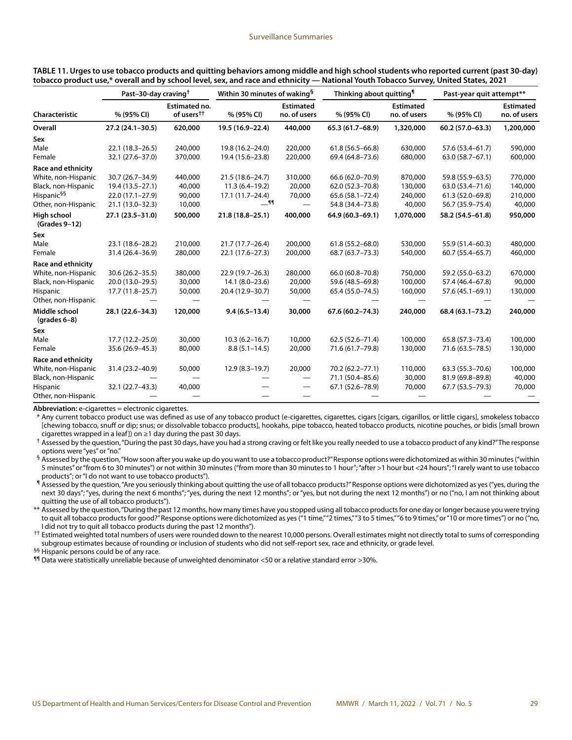| TABLE 11. Urges to use tobacco products and quitting behaviors among middle and high school students who reported current (past 30-day) |  |  |  |
|-----------------------------------------------------------------------------------------------------------------------------------------|--|--|--|
| tobacco product use,* overall and by school level, sex, and race and ethnicity — National Youth Tobacco Survey, United States, 2021     |  |  |  |

|                                  | Past-30-day craving <sup>†</sup> |                                                | Within 30 minutes of waking <sup>§</sup> |                                  | Thinking about quitting <sup>1</sup> |                                  | Past-year quit attempt** |                                  |
|----------------------------------|----------------------------------|------------------------------------------------|------------------------------------------|----------------------------------|--------------------------------------|----------------------------------|--------------------------|----------------------------------|
| Characteristic                   | % (95% CI)                       | <b>Estimated no.</b><br>of users <sup>††</sup> | % (95% CI)                               | <b>Estimated</b><br>no. of users | % (95% CI)                           | <b>Estimated</b><br>no. of users | % (95% CI)               | <b>Estimated</b><br>no. of users |
| Overall                          | 27.2 (24.1-30.5)                 | 620,000                                        | 19.5 (16.9-22.4)                         | 440,000                          | 65.3 (61.7-68.9)                     | 1,320,000                        | $60.2(57.0 - 63.3)$      | 1,200,000                        |
| Sex                              |                                  |                                                |                                          |                                  |                                      |                                  |                          |                                  |
| Male                             | $22.1(18.3 - 26.5)$              | 240,000                                        | 19.8 (16.2-24.0)                         | 220,000                          | $61.8(56.5 - 66.8)$                  | 630,000                          | 57.6 (53.4-61.7)         | 590,000                          |
| Female                           | 32.1 (27.6-37.0)                 | 370,000                                        | 19.4 (15.6-23.8)                         | 220,000                          | 69.4 (64.8-73.6)                     | 680,000                          | 63.0 (58.7-67.1)         | 600,000                          |
| <b>Race and ethnicity</b>        |                                  |                                                |                                          |                                  |                                      |                                  |                          |                                  |
| White, non-Hispanic              | 30.7 (26.7-34.9)                 | 440,000                                        | $21.5(18.6 - 24.7)$                      | 310,000                          | 66.6 (62.0-70.9)                     | 870,000                          | 59.8 (55.9-63.5)         | 770,000                          |
| Black, non-Hispanic              | 19.4 (13.5 - 27.1)               | 40,000                                         | $11.3(6.4 - 19.2)$                       | 20,000                           | 62.0 (52.3-70.8)                     | 130,000                          | 63.0 (53.4-71.6)         | 140,000                          |
| Hispanic <sup>§§</sup>           | $22.0(17.1-27.9)$                | 90,000                                         | 17.1 (11.7–24.4)                         | 70,000                           | 65.6 (58.1-72.4)                     | 240,000                          | 61.3 (52.0-69.8)         | 210,000                          |
| Other, non-Hispanic              | 21.1 (13.0-32.3)                 | 10,000                                         | $-$ 11                                   |                                  | 54.8 (34.4-73.8)                     | 40,000                           | 56.7 (35.9-75.4)         | 40,000                           |
| High school<br>(Grades 9-12)     | 27.1 (23.5-31.0)                 | 500,000                                        | $21.8(18.8 - 25.1)$                      | 400,000                          | 64.9 (60.3-69.1)                     | 1,070,000                        | 58.2 (54.5-61.8)         | 950,000                          |
| Sex                              |                                  |                                                |                                          |                                  |                                      |                                  |                          |                                  |
| Male                             | 23.1 (18.6-28.2)                 | 210,000                                        | 21.7 (17.7-26.4)                         | 200,000                          | $61.8(55.2 - 68.0)$                  | 530,000                          | 55.9 (51.4-60.3)         | 480,000                          |
| Female                           | 31.4 (26.4-36.9)                 | 280,000                                        | 22.1 (17.6-27.3)                         | 200,000                          | 68.7 (63.7-73.3)                     | 540,000                          | $60.7(55.4 - 65.7)$      | 460,000                          |
| Race and ethnicity               |                                  |                                                |                                          |                                  |                                      |                                  |                          |                                  |
| White, non-Hispanic              | $30.6(26.2 - 35.5)$              | 380,000                                        | 22.9 (19.7-26.3)                         | 280,000                          | 66.0 (60.8-70.8)                     | 750,000                          | 59.2 (55.0-63.2)         | 670,000                          |
| Black, non-Hispanic              | 20.0 (13.0-29.5)                 | 30,000                                         | $14.1 (8.0 - 23.6)$                      | 20,000                           | 59.6 (48.5-69.8)                     | 100,000                          | 57.4 (46.4-67.8)         | 90,000                           |
| Hispanic                         | $17.7(11.8-25.7)$                | 50,000                                         | 20.4 (12.9-30.7)                         | 50,000                           | 65.4 (55.0-74.5)                     | 160,000                          | 57.6 (45.1-69.1)         | 130,000                          |
| Other, non-Hispanic              |                                  |                                                |                                          |                                  |                                      |                                  |                          |                                  |
| Middle school<br>(grades $6-8$ ) | 28.1 (22.6-34.3)                 | 120,000                                        | $9.4(6.5 - 13.4)$                        | 30,000                           | 67.6 (60.2-74.3)                     | 240,000                          | 68.4 (63.1-73.2)         | 240,000                          |
| Sex                              |                                  |                                                |                                          |                                  |                                      |                                  |                          |                                  |
| Male                             | $17.7(12.2 - 25.0)$              | 30,000                                         | $10.3(6.2 - 16.7)$                       | 10,000                           | $62.5(52.6 - 71.4)$                  | 100,000                          | 65.8 (57.3-73.4)         | 100,000                          |
| Female                           | 35.6 (26.9-45.3)                 | 80,000                                         | $8.8(5.1 - 14.5)$                        | 20,000                           | 71.6 (61.7-79.8)                     | 130,000                          | 71.6 (63.5 - 78.5)       | 130,000                          |
| <b>Race and ethnicity</b>        |                                  |                                                |                                          |                                  |                                      |                                  |                          |                                  |
| White, non-Hispanic              | 31.4 (23.2-40.9)                 | 50,000                                         | $12.9(8.3 - 19.7)$                       | 20,000                           | 70.2 (62.2-77.1)                     | 110,000                          | 63.3 (55.3-70.6)         | 100,000                          |
| Black, non-Hispanic              |                                  |                                                |                                          |                                  | 71.1 (50.4-85.6)                     | 30,000                           | 81.9 (69.8-89.8)         | 40,000                           |
| Hispanic                         | 32.1 (22.7-43.3)                 | 40,000                                         |                                          |                                  | 67.1 (52.6–78.9)                     | 70,000                           | 67.7 (53.5–79.3)         | 70,000                           |
| Other, non-Hispanic              |                                  |                                                |                                          |                                  |                                      |                                  |                          |                                  |

**Abbreviation:** e-cigarettes = electronic cigarettes.

\* Any current tobacco product use was defined as use of any tobacco product (e-cigarettes, cigarettes, cigars [cigars, cigarillos, or little cigars], smokeless tobacco [chewing tobacco, snuff or dip; snus; or dissolvable tobacco products], hookahs, pipe tobacco, heated tobacco products, nicotine pouches, or bidis [small brown cigarettes wrapped in a leaf]) on ≥1 day during the past 30 days.

† Assessed by the question, "During the past 30 days, have you had a strong craving or felt like you really needed to use a tobacco product of any kind?" The response options were "yes" or "no."

§ Assessed by the question, "How soon after you wake up do you want to use a tobacco product?" Response options were dichotomized as within 30 minutes ("within 5 minutes" or "from 6 to 30 minutes") or not within 30 minutes ("from more than 30 minutes to 1 hour"; "after >1 hour but <24 hours"; "I rarely want to use tobacco products"; or "I do not want to use tobacco products").

¶ Assessed by the question, "Are you seriously thinking about quitting the use of all tobacco products?" Response options were dichotomized as yes ("yes, during the next 30 days"; "yes, during the next 6 months"; "yes, during the next 12 months"; or "yes, but not during the next 12 months") or no ("no, I am not thinking about quitting the use of all tobacco products").

\*\* Assessed by the question, "During the past 12 months, how many times have you stopped using all tobacco products for one day or longer because you were trying to quit all tobacco products for good?" Response options were dichotomized as yes ("1 time," "2 times," "3 to 5 times," "6 to 9 times," or "10 or more times") or no ("no, I did not try to quit all tobacco products during the past 12 months").

†† Estimated weighted total numbers of users were rounded down to the nearest 10,000 persons. Overall estimates might not directly total to sums of corresponding subgroup estimates because of rounding or inclusion of students who did not self-report sex, race and ethnicity, or grade level.

§§ Hispanic persons could be of any race.

¶¶ Data were statistically unreliable because of unweighted denominator <50 or a relative standard error >30%.